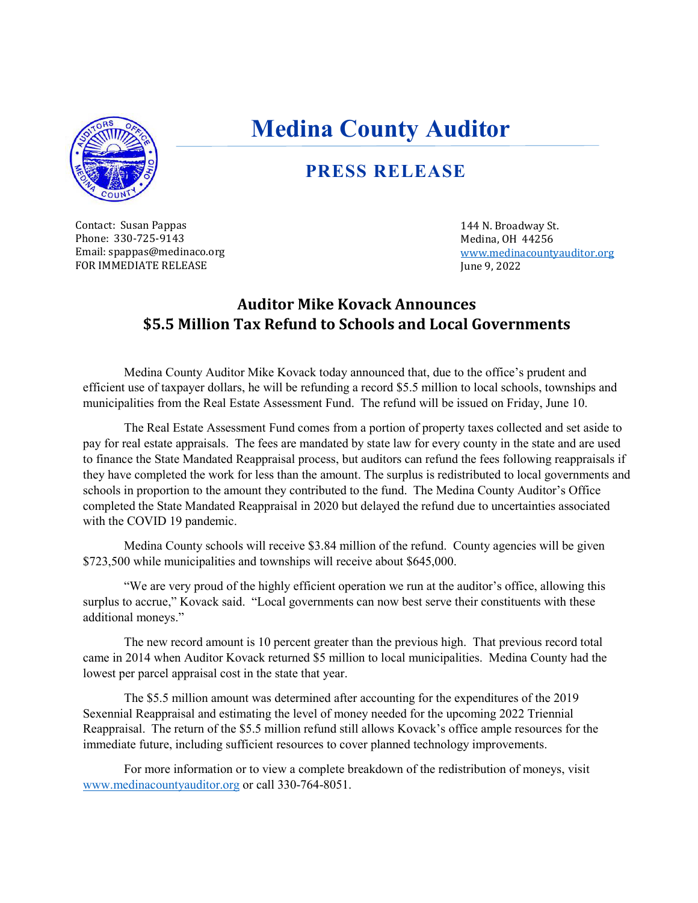

# **Medina County Auditor**

#### **PRESS RELEASE**

Contact: Susan Pappas Phone: 330-725-9143 Email: spappas@medinaco.org FOR IMMEDIATE RELEASE

144 N. Broadway St. Medina, OH 44256 [www.medinacountyauditor.org](http://www.medinacountyauditor.org/) June 9, 2022

#### **Auditor Mike Kovack Announces \$5.5 Million Tax Refund to Schools and Local Governments**

Medina County Auditor Mike Kovack today announced that, due to the office's prudent and efficient use of taxpayer dollars, he will be refunding a record \$5.5 million to local schools, townships and municipalities from the Real Estate Assessment Fund. The refund will be issued on Friday, June 10.

The Real Estate Assessment Fund comes from a portion of property taxes collected and set aside to pay for real estate appraisals. The fees are mandated by state law for every county in the state and are used to finance the State Mandated Reappraisal process, but auditors can refund the fees following reappraisals if they have completed the work for less than the amount. The surplus is redistributed to local governments and schools in proportion to the amount they contributed to the fund. The Medina County Auditor's Office completed the State Mandated Reappraisal in 2020 but delayed the refund due to uncertainties associated with the COVID 19 pandemic.

Medina County schools will receive \$3.84 million of the refund. County agencies will be given \$723,500 while municipalities and townships will receive about \$645,000.

"We are very proud of the highly efficient operation we run at the auditor's office, allowing this surplus to accrue," Kovack said. "Local governments can now best serve their constituents with these additional moneys."

The new record amount is 10 percent greater than the previous high. That previous record total came in 2014 when Auditor Kovack returned \$5 million to local municipalities. Medina County had the lowest per parcel appraisal cost in the state that year.

The \$5.5 million amount was determined after accounting for the expenditures of the 2019 Sexennial Reappraisal and estimating the level of money needed for the upcoming 2022 Triennial Reappraisal. The return of the \$5.5 million refund still allows Kovack's office ample resources for the immediate future, including sufficient resources to cover planned technology improvements.

For more information or to view a complete breakdown of the redistribution of moneys, visit [www.medinacountyauditor.org](http://www.medinacountyauditor.org/) or call 330-764-8051.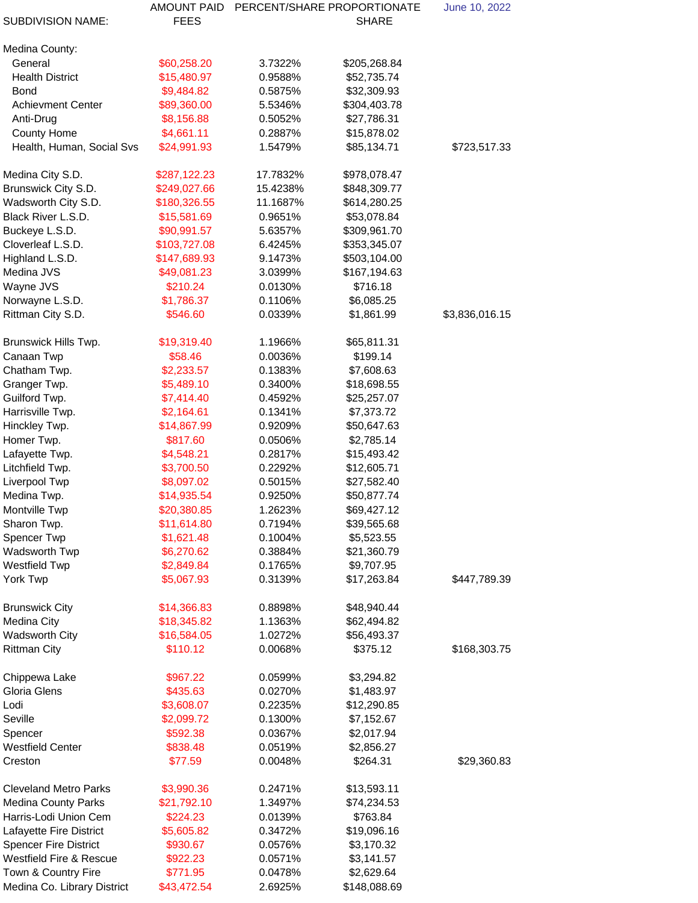| <b>SUBDIVISION NAME:</b>           | <b>AMOUNT PAID</b><br><b>FEES</b> |                    | PERCENT/SHARE PROPORTIONATE<br><b>SHARE</b> | June 10, 2022  |
|------------------------------------|-----------------------------------|--------------------|---------------------------------------------|----------------|
|                                    |                                   |                    |                                             |                |
| Medina County:                     |                                   |                    |                                             |                |
| General                            | \$60,258.20                       | 3.7322%            | \$205,268.84                                |                |
| <b>Health District</b>             | \$15,480.97                       | 0.9588%            | \$52,735.74                                 |                |
| <b>Bond</b>                        | \$9,484.82                        | 0.5875%            | \$32,309.93                                 |                |
| <b>Achievment Center</b>           | \$89,360.00                       | 5.5346%            | \$304,403.78                                |                |
| Anti-Drug                          | \$8,156.88                        | 0.5052%            | \$27,786.31                                 |                |
| <b>County Home</b>                 | \$4,661.11                        | 0.2887%            | \$15,878.02                                 |                |
| Health, Human, Social Svs          | \$24,991.93                       | 1.5479%            | \$85,134.71                                 | \$723,517.33   |
| Medina City S.D.                   | \$287,122.23                      | 17.7832%           | \$978,078.47                                |                |
| Brunswick City S.D.                | \$249,027.66                      | 15.4238%           | \$848,309.77                                |                |
| Wadsworth City S.D.                | \$180,326.55                      | 11.1687%           | \$614,280.25                                |                |
| <b>Black River L.S.D.</b>          | \$15,581.69                       | 0.9651%            | \$53,078.84                                 |                |
| Buckeye L.S.D.                     | \$90,991.57                       | 5.6357%            | \$309,961.70                                |                |
| Cloverleaf L.S.D.                  | \$103,727.08                      | 6.4245%            | \$353,345.07                                |                |
| Highland L.S.D.                    | \$147,689.93                      | 9.1473%            | \$503,104.00                                |                |
| Medina JVS                         | \$49,081.23                       | 3.0399%            | \$167,194.63                                |                |
| Wayne JVS                          | \$210.24                          | 0.0130%            | \$716.18                                    |                |
| Norwayne L.S.D.                    | \$1,786.37                        | 0.1106%            | \$6,085.25                                  |                |
| Rittman City S.D.                  | \$546.60                          | 0.0339%            | \$1,861.99                                  | \$3,836,016.15 |
| Brunswick Hills Twp.               | \$19,319.40                       | 1.1966%            | \$65,811.31                                 |                |
| Canaan Twp                         | \$58.46                           | 0.0036%            | \$199.14                                    |                |
| Chatham Twp.                       | \$2,233.57                        | 0.1383%            | \$7,608.63                                  |                |
| Granger Twp.                       | \$5,489.10                        | 0.3400%            | \$18,698.55                                 |                |
| Guilford Twp.                      | \$7,414.40                        | 0.4592%            | \$25,257.07                                 |                |
| Harrisville Twp.                   | \$2,164.61                        | 0.1341%            | \$7,373.72                                  |                |
| Hinckley Twp.                      | \$14,867.99                       | 0.9209%            | \$50,647.63                                 |                |
| Homer Twp.                         | \$817.60                          | 0.0506%            | \$2,785.14                                  |                |
| Lafayette Twp.                     | \$4,548.21                        | 0.2817%            | \$15,493.42                                 |                |
| Litchfield Twp.                    | \$3,700.50                        | 0.2292%            | \$12,605.71                                 |                |
| Liverpool Twp                      | \$8,097.02                        | 0.5015%            | \$27,582.40                                 |                |
| Medina Twp.                        | \$14,935.54                       | 0.9250%            | \$50,877.74                                 |                |
| Montville Twp                      | \$20,380.85                       | 1.2623%            | \$69,427.12                                 |                |
| Sharon Twp.                        | \$11,614.80                       | 0.7194%            | \$39,565.68                                 |                |
| <b>Spencer Twp</b>                 | \$1,621.48                        | 0.1004%            | \$5,523.55                                  |                |
| Wadsworth Twp                      | \$6,270.62                        | 0.3884%            | \$21,360.79                                 |                |
| <b>Westfield Twp</b>               | \$2,849.84                        | 0.1765%            | \$9,707.95                                  |                |
| York Twp                           | \$5,067.93                        | 0.3139%            | \$17,263.84                                 | \$447,789.39   |
| <b>Brunswick City</b>              | \$14,366.83                       | 0.8898%            | \$48,940.44                                 |                |
| <b>Medina City</b>                 | \$18,345.82                       | 1.1363%            | \$62,494.82                                 |                |
| <b>Wadsworth City</b>              | \$16,584.05                       | 1.0272%            | \$56,493.37                                 |                |
| <b>Rittman City</b>                | \$110.12                          | 0.0068%            | \$375.12                                    | \$168,303.75   |
|                                    |                                   |                    |                                             |                |
| Chippewa Lake                      | \$967.22                          | 0.0599%            | \$3,294.82                                  |                |
| <b>Gloria Glens</b>                | \$435.63                          | 0.0270%            | \$1,483.97                                  |                |
| Lodi<br>Seville                    | \$3,608.07<br>\$2,099.72          | 0.2235%<br>0.1300% | \$12,290.85                                 |                |
| Spencer                            | \$592.38                          | 0.0367%            | \$7,152.67<br>\$2,017.94                    |                |
| <b>Westfield Center</b>            | \$838.48                          | 0.0519%            | \$2,856.27                                  |                |
| Creston                            | \$77.59                           | 0.0048%            | \$264.31                                    | \$29,360.83    |
|                                    |                                   |                    |                                             |                |
| <b>Cleveland Metro Parks</b>       | \$3,990.36                        | 0.2471%            | \$13,593.11                                 |                |
| <b>Medina County Parks</b>         | \$21,792.10                       | 1.3497%            | \$74,234.53                                 |                |
| Harris-Lodi Union Cem              | \$224.23                          | 0.0139%            | \$763.84                                    |                |
| <b>Lafayette Fire District</b>     | \$5,605.82                        | 0.3472%            | \$19,096.16                                 |                |
| <b>Spencer Fire District</b>       | \$930.67                          | 0.0576%            | \$3,170.32                                  |                |
| <b>Westfield Fire &amp; Rescue</b> | \$922.23                          | 0.0571%            | \$3,141.57                                  |                |
| Town & Country Fire                | \$771.95                          | 0.0478%            | \$2,629.64                                  |                |
| Medina Co. Library District        | \$43,472.54                       | 2.6925%            | \$148,088.69                                |                |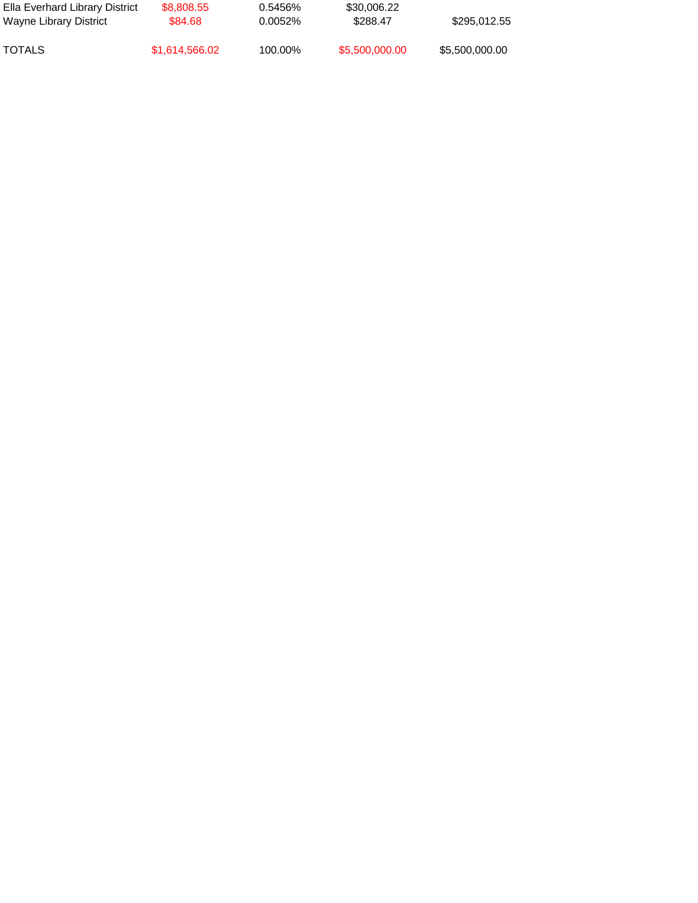| Ella Everhard Library District<br>Wayne Library District | \$8,808.55<br>\$84.68 | 0.5456%<br>0.0052% | \$30,006.22<br>\$288.47 | \$295,012.55   |  |
|----------------------------------------------------------|-----------------------|--------------------|-------------------------|----------------|--|
| TOTALS                                                   | \$1,614,566.02        | 100.00%            | \$5,500,000.00          | \$5,500,000.00 |  |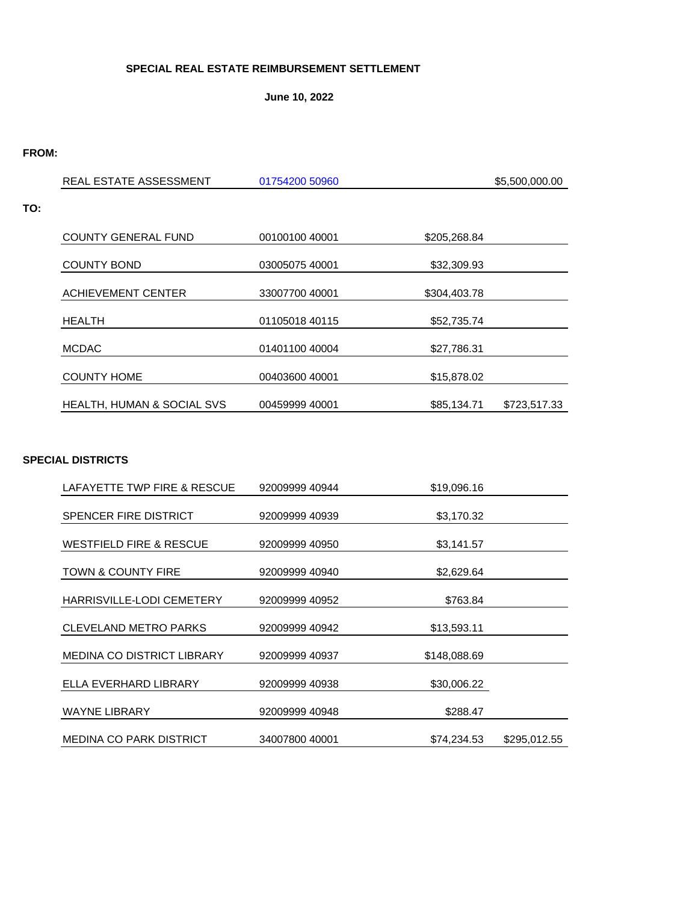#### **SPECIAL REAL ESTATE REIMBURSEMENT SETTLEMENT**

**June 10, 2022**

#### **FROM:**

**TO:**

| REAL ESTATE ASSESSMENT                | 01754200 50960 |              | \$5,500,000.00 |
|---------------------------------------|----------------|--------------|----------------|
|                                       |                |              |                |
|                                       |                |              |                |
| <b>COUNTY GENERAL FUND</b>            | 0010010040001  | \$205,268.84 |                |
| <b>COUNTY BOND</b>                    | 03005075 40001 | \$32,309.93  |                |
| <b>ACHIEVEMENT CENTER</b>             | 33007700 40001 | \$304,403.78 |                |
| <b>HEALTH</b>                         | 01105018 40115 | \$52,735.74  |                |
| <b>MCDAC</b>                          | 01401100 40004 | \$27,786.31  |                |
| <b>COUNTY HOME</b>                    | 00403600 40001 | \$15,878.02  |                |
| <b>HEALTH, HUMAN &amp; SOCIAL SVS</b> | 00459999 40001 | \$85,134.71  | \$723,517.33   |

#### **SPECIAL DISTRICTS**

| LAFAYETTE TWP FIRE & RESCUE        | 92009999 40944 | \$19,096.16  |              |
|------------------------------------|----------------|--------------|--------------|
| <b>SPENCER FIRE DISTRICT</b>       | 92009999 40939 | \$3,170.32   |              |
| <b>WESTFIELD FIRE &amp; RESCUE</b> | 92009999 40950 | \$3,141.57   |              |
| <b>TOWN &amp; COUNTY FIRE</b>      | 92009999 40940 | \$2,629.64   |              |
| HARRISVILLE-LODI CEMETERY          | 92009999 40952 | \$763.84     |              |
| <b>CLEVELAND METRO PARKS</b>       | 92009999 40942 | \$13,593.11  |              |
| <b>MEDINA CO DISTRICT LIBRARY</b>  | 92009999 40937 | \$148,088.69 |              |
| ELLA EVERHARD LIBRARY              | 92009999 40938 | \$30,006.22  |              |
| <b>WAYNE LIBRARY</b>               | 92009999 40948 | \$288.47     |              |
| <b>MEDINA CO PARK DISTRICT</b>     | 34007800 40001 | \$74,234.53  | \$295,012.55 |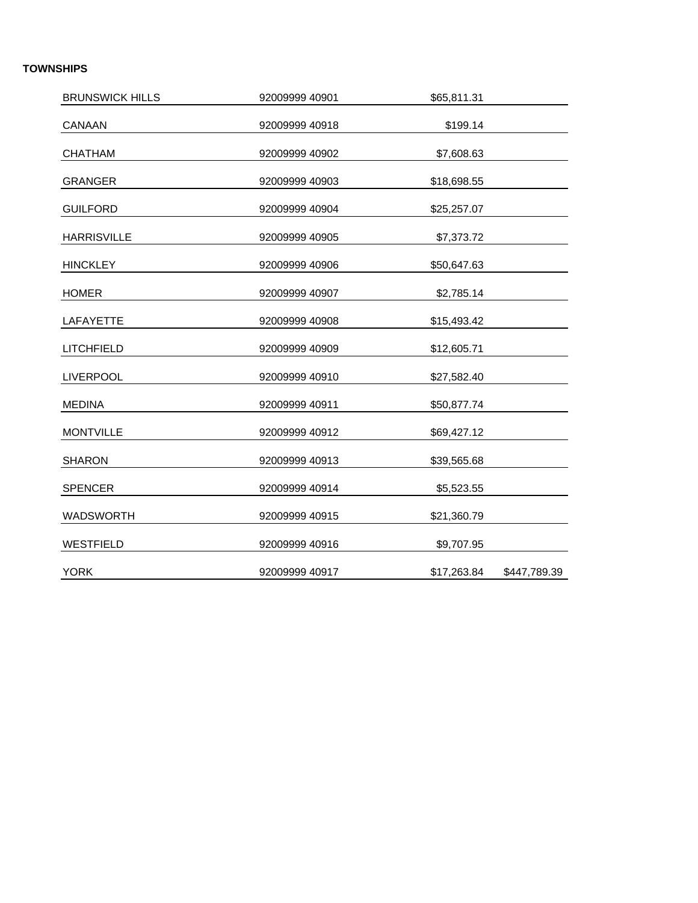#### **TOWNSHIPS**

| <b>BRUNSWICK HILLS</b> | 92009999 40901 | \$65,811.31 |              |
|------------------------|----------------|-------------|--------------|
| <b>CANAAN</b>          | 92009999 40918 | \$199.14    |              |
| <b>CHATHAM</b>         | 92009999 40902 | \$7,608.63  |              |
| <b>GRANGER</b>         | 92009999 40903 | \$18,698.55 |              |
| <b>GUILFORD</b>        | 92009999 40904 | \$25,257.07 |              |
| <b>HARRISVILLE</b>     | 92009999 40905 | \$7,373.72  |              |
| <b>HINCKLEY</b>        | 92009999 40906 | \$50,647.63 |              |
| <b>HOMER</b>           | 92009999 40907 | \$2,785.14  |              |
| <b>LAFAYETTE</b>       | 92009999 40908 | \$15,493.42 |              |
| <b>LITCHFIELD</b>      | 92009999 40909 | \$12,605.71 |              |
| <b>LIVERPOOL</b>       | 92009999 40910 | \$27,582.40 |              |
| <b>MEDINA</b>          | 92009999 40911 | \$50,877.74 |              |
| <b>MONTVILLE</b>       | 92009999 40912 | \$69,427.12 |              |
| <b>SHARON</b>          | 92009999 40913 | \$39,565.68 |              |
| <b>SPENCER</b>         | 92009999 40914 | \$5,523.55  |              |
| <b>WADSWORTH</b>       | 92009999 40915 | \$21,360.79 |              |
| <b>WESTFIELD</b>       | 92009999 40916 | \$9,707.95  |              |
| <b>YORK</b>            | 92009999 40917 | \$17,263.84 | \$447,789.39 |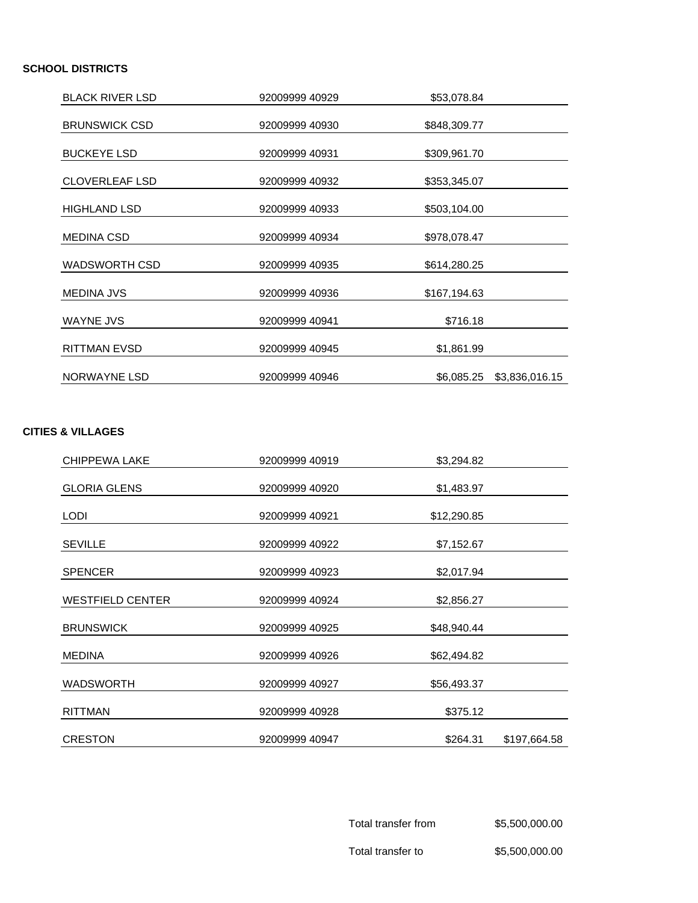#### **SCHOOL DISTRICTS**

| <b>BLACK RIVER LSD</b> | 92009999 40929 | \$53,078.84                  |  |
|------------------------|----------------|------------------------------|--|
| <b>BRUNSWICK CSD</b>   | 92009999 40930 | \$848,309.77                 |  |
| <b>BUCKEYE LSD</b>     | 92009999 40931 | \$309,961.70                 |  |
| <b>CLOVERLEAF LSD</b>  | 92009999 40932 | \$353,345.07                 |  |
| <b>HIGHLAND LSD</b>    | 92009999 40933 | \$503,104.00                 |  |
| <b>MEDINA CSD</b>      | 92009999 40934 | \$978,078.47                 |  |
| <b>WADSWORTH CSD</b>   | 92009999 40935 | \$614,280.25                 |  |
| <b>MEDINA JVS</b>      | 92009999 40936 | \$167,194.63                 |  |
| <b>WAYNE JVS</b>       | 92009999 40941 | \$716.18                     |  |
| <b>RITTMAN EVSD</b>    | 92009999 40945 | \$1,861.99                   |  |
| <b>NORWAYNE LSD</b>    | 92009999 40946 | \$6,085.25<br>\$3,836,016.15 |  |

#### **CITIES & VILLAGES**

| <b>CHIPPEWA LAKE</b>    | 92009999 40919 | \$3,294.82  |              |
|-------------------------|----------------|-------------|--------------|
| <b>GLORIA GLENS</b>     | 92009999 40920 | \$1,483.97  |              |
| <b>LODI</b>             | 92009999 40921 | \$12,290.85 |              |
| <b>SEVILLE</b>          | 92009999 40922 | \$7,152.67  |              |
| <b>SPENCER</b>          | 92009999 40923 | \$2,017.94  |              |
| <b>WESTFIELD CENTER</b> | 92009999 40924 | \$2,856.27  |              |
| <b>BRUNSWICK</b>        | 92009999 40925 | \$48,940.44 |              |
| <b>MEDINA</b>           | 92009999 40926 | \$62,494.82 |              |
| <b>WADSWORTH</b>        | 92009999 40927 | \$56,493.37 |              |
| <b>RITTMAN</b>          | 92009999 40928 | \$375.12    |              |
| <b>CRESTON</b>          | 92009999 40947 | \$264.31    | \$197,664.58 |

Total transfer from \$5,500,000.00

Total transfer to  $$5,500,000.00$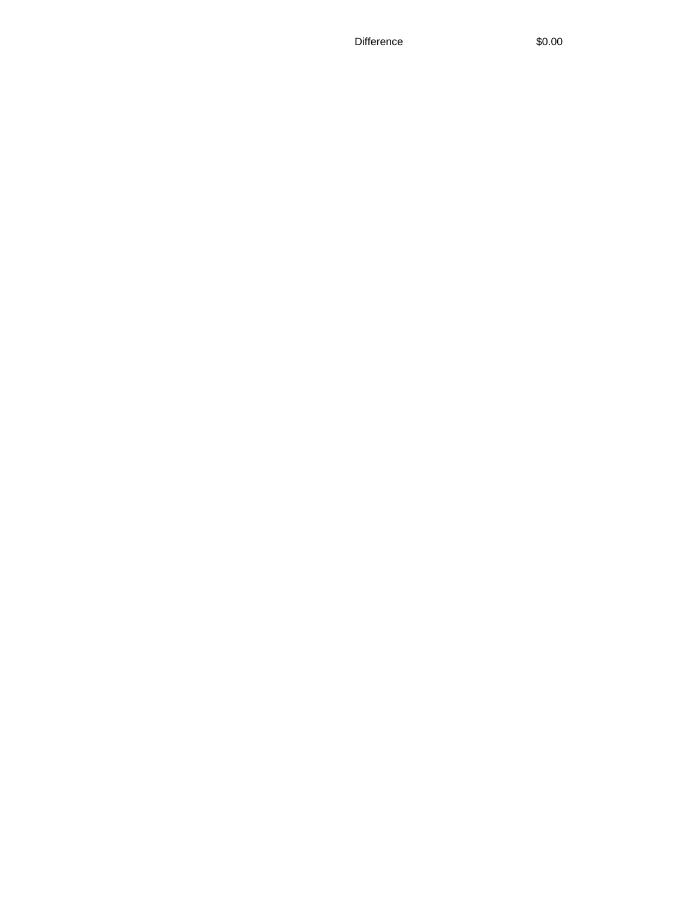Difference \$0.00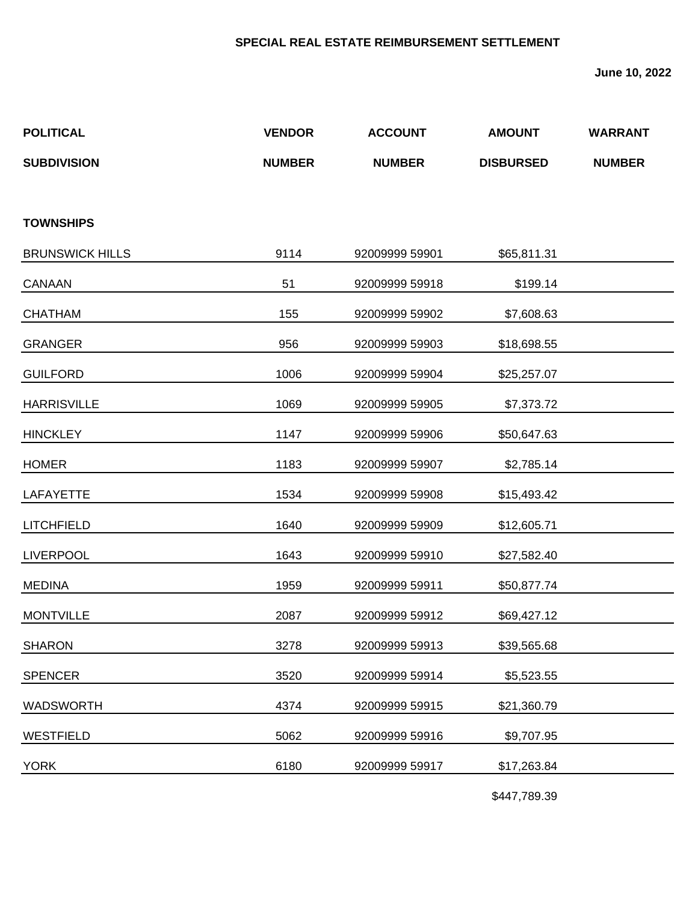#### **SPECIAL REAL ESTATE REIMBURSEMENT SETTLEMENT**

**June 10, 2022**

| <b>POLITICAL</b>       | <b>VENDOR</b> | <b>ACCOUNT</b> | <b>AMOUNT</b>    | <b>WARRANT</b> |
|------------------------|---------------|----------------|------------------|----------------|
| <b>SUBDIVISION</b>     | <b>NUMBER</b> | <b>NUMBER</b>  | <b>DISBURSED</b> | <b>NUMBER</b>  |
|                        |               |                |                  |                |
| <b>TOWNSHIPS</b>       |               |                |                  |                |
| <b>BRUNSWICK HILLS</b> | 9114          | 92009999 59901 | \$65,811.31      |                |
| CANAAN                 | 51            | 92009999 59918 | \$199.14         |                |
| <b>CHATHAM</b>         | 155           | 92009999 59902 | \$7,608.63       |                |
| <b>GRANGER</b>         | 956           | 92009999 59903 | \$18,698.55      |                |
| <b>GUILFORD</b>        | 1006          | 92009999 59904 | \$25,257.07      |                |
| <b>HARRISVILLE</b>     | 1069          | 92009999 59905 | \$7,373.72       |                |
| <b>HINCKLEY</b>        | 1147          | 92009999 59906 | \$50,647.63      |                |
| <b>HOMER</b>           | 1183          | 92009999 59907 | \$2,785.14       |                |
| <b>LAFAYETTE</b>       | 1534          | 92009999 59908 | \$15,493.42      |                |
| <b>LITCHFIELD</b>      | 1640          | 92009999 59909 | \$12,605.71      |                |
| <b>LIVERPOOL</b>       | 1643          | 92009999 59910 | \$27,582.40      |                |
| <b>MEDINA</b>          | 1959          | 92009999 59911 | \$50,877.74      |                |
| <b>MONTVILLE</b>       | 2087          | 92009999 59912 | \$69,427.12      |                |
| <b>SHARON</b>          | 3278          | 92009999 59913 | \$39,565.68      |                |
| <b>SPENCER</b>         | 3520          | 92009999 59914 | \$5,523.55       |                |
| <b>WADSWORTH</b>       | 4374          | 92009999 59915 | \$21,360.79      |                |
| <b>WESTFIELD</b>       | 5062          | 92009999 59916 | \$9,707.95       |                |
| <b>YORK</b>            | 6180          | 92009999 59917 | \$17,263.84      |                |
|                        |               |                |                  |                |

\$447,789.39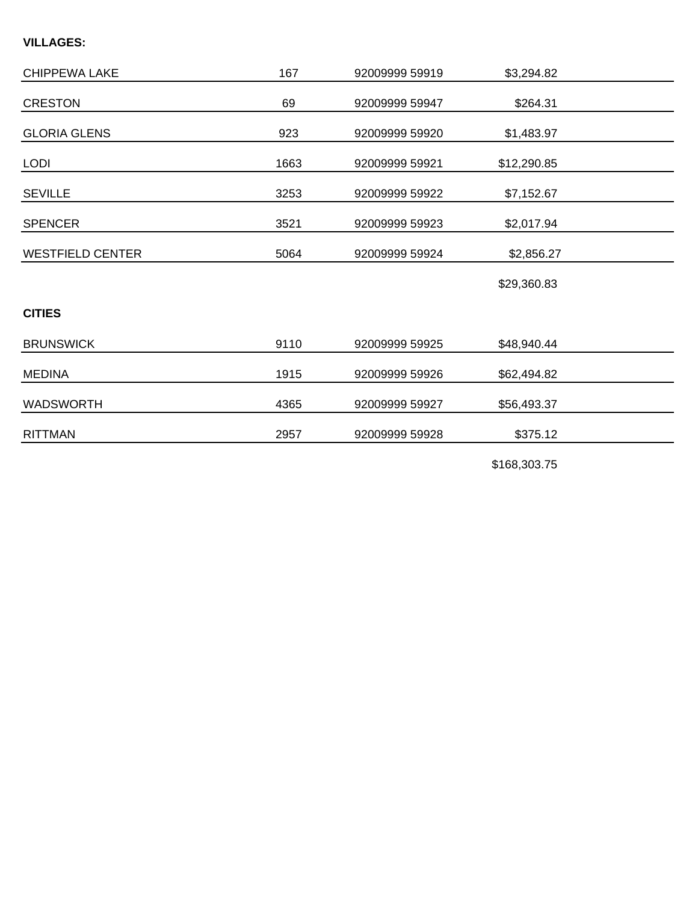#### **VILLAGES:**

| <b>CHIPPEWA LAKE</b>    | 167  | 92009999 59919 | \$3,294.82  |  |
|-------------------------|------|----------------|-------------|--|
| <b>CRESTON</b>          | 69   | 92009999 59947 | \$264.31    |  |
| <b>GLORIA GLENS</b>     | 923  | 92009999 59920 | \$1,483.97  |  |
| <b>LODI</b>             | 1663 | 92009999 59921 | \$12,290.85 |  |
| <b>SEVILLE</b>          | 3253 | 92009999 59922 | \$7,152.67  |  |
| <b>SPENCER</b>          | 3521 | 92009999 59923 | \$2,017.94  |  |
| <b>WESTFIELD CENTER</b> | 5064 | 92009999 59924 | \$2,856.27  |  |
|                         |      |                | \$29,360.83 |  |
| <b>CITIES</b>           |      |                |             |  |
| <b>BRUNSWICK</b>        | 9110 | 92009999 59925 | \$48,940.44 |  |
| <b>MEDINA</b>           | 1915 | 92009999 59926 | \$62,494.82 |  |
| <b>WADSWORTH</b>        | 4365 | 92009999 59927 | \$56,493.37 |  |
| <b>RITTMAN</b>          | 2957 | 92009999 59928 | \$375.12    |  |

\$168,303.75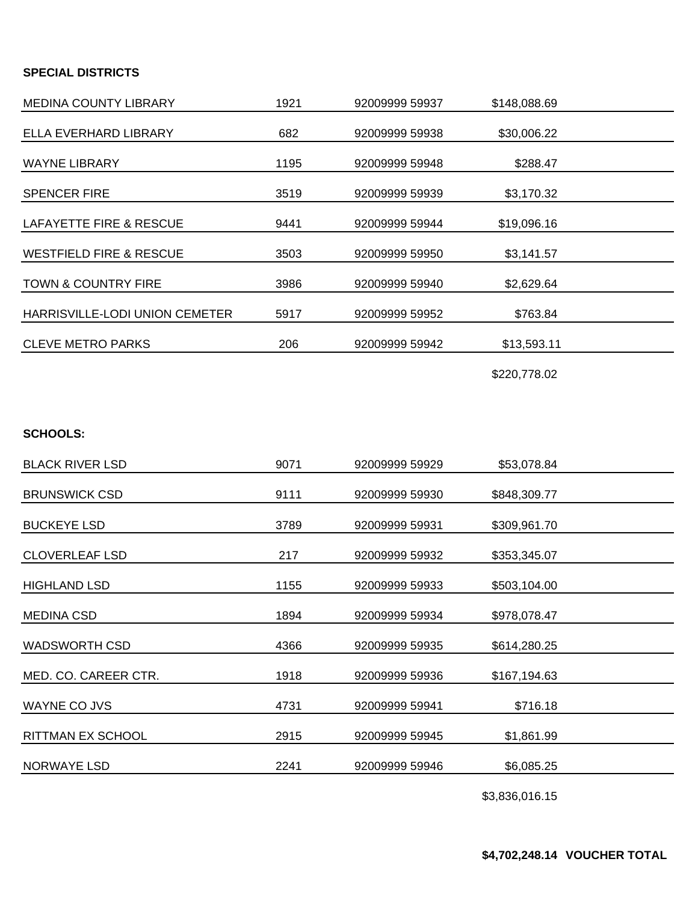#### **SPECIAL DISTRICTS**

| <b>MEDINA COUNTY LIBRARY</b>       | 1921 | 92009999 59937 | \$148,088.69 |  |
|------------------------------------|------|----------------|--------------|--|
| ELLA EVERHARD LIBRARY              | 682  | 92009999 59938 | \$30,006.22  |  |
| <b>WAYNE LIBRARY</b>               | 1195 | 92009999 59948 | \$288.47     |  |
| <b>SPENCER FIRE</b>                | 3519 | 92009999 59939 | \$3,170.32   |  |
| <b>LAFAYETTE FIRE &amp; RESCUE</b> | 9441 | 92009999 59944 | \$19,096.16  |  |
| <b>WESTFIELD FIRE &amp; RESCUE</b> | 3503 | 92009999 59950 | \$3,141.57   |  |
| <b>TOWN &amp; COUNTRY FIRE</b>     | 3986 | 92009999 59940 | \$2,629.64   |  |
| HARRISVILLE-LODI UNION CEMETER     | 5917 | 92009999 59952 | \$763.84     |  |
| <b>CLEVE METRO PARKS</b>           | 206  | 92009999 59942 | \$13,593.11  |  |
|                                    |      |                |              |  |

\$220,778.02

#### **SCHOOLS:**

| <b>BLACK RIVER LSD</b>   | 9071 | 92009999 59929 | \$53,078.84  |  |
|--------------------------|------|----------------|--------------|--|
| <b>BRUNSWICK CSD</b>     | 9111 | 92009999 59930 | \$848,309.77 |  |
| <b>BUCKEYE LSD</b>       | 3789 | 92009999 59931 | \$309,961.70 |  |
| <b>CLOVERLEAF LSD</b>    | 217  | 92009999 59932 | \$353,345.07 |  |
| <b>HIGHLAND LSD</b>      | 1155 | 92009999 59933 | \$503,104.00 |  |
| <b>MEDINA CSD</b>        | 1894 | 92009999 59934 | \$978,078.47 |  |
| <b>WADSWORTH CSD</b>     | 4366 | 92009999 59935 | \$614,280.25 |  |
| MED. CO. CAREER CTR.     | 1918 | 92009999 59936 | \$167,194.63 |  |
| <b>WAYNE CO JVS</b>      | 4731 | 92009999 59941 | \$716.18     |  |
| <b>RITTMAN EX SCHOOL</b> | 2915 | 92009999 59945 | \$1,861.99   |  |
| <b>NORWAYE LSD</b>       | 2241 | 92009999 59946 | \$6,085.25   |  |
|                          |      |                |              |  |

\$3,836,016.15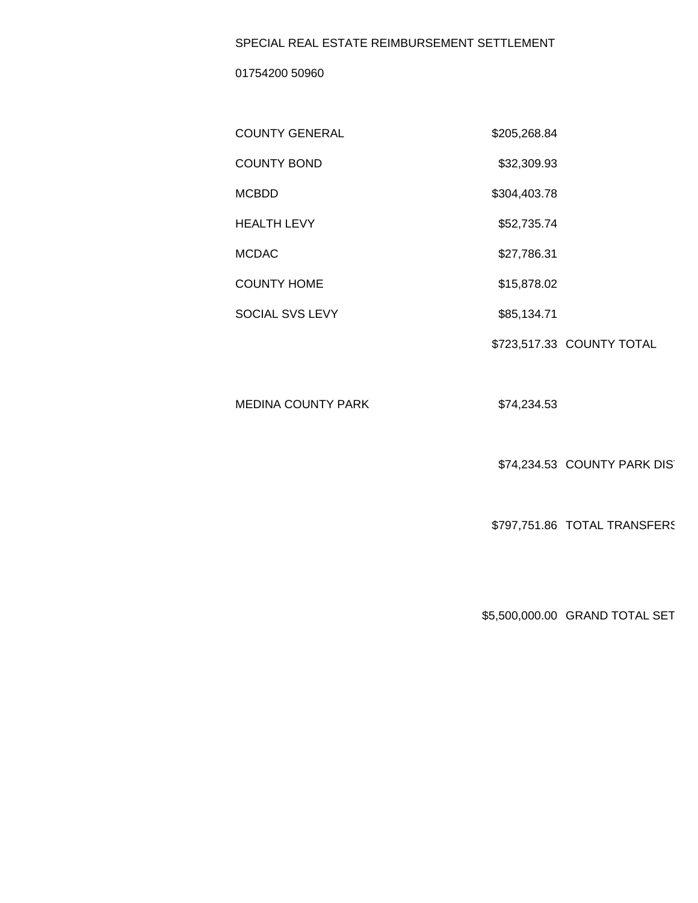#### SPECIAL REAL ESTATE REIMBURSEMENT SETTLEMENT

01754200 50960

| <b>COUNTY GENERAL</b>  | \$205,268.84 |                           |
|------------------------|--------------|---------------------------|
| <b>COUNTY BOND</b>     | \$32,309.93  |                           |
| <b>MCBDD</b>           | \$304,403.78 |                           |
| <b>HEALTH LEVY</b>     | \$52,735.74  |                           |
| <b>MCDAC</b>           | \$27,786.31  |                           |
| <b>COUNTY HOME</b>     | \$15,878.02  |                           |
| <b>SOCIAL SVS LEVY</b> | \$85,134.71  |                           |
|                        |              | \$723,517.33 COUNTY TOTAL |

MEDINA COUNTY PARK \$74,234.53

\$74,234.53 COUNTY PARK DIST

\$797,751.86 TOTAL TRANSFERS

\$5,500,000.00 GRAND TOTAL SET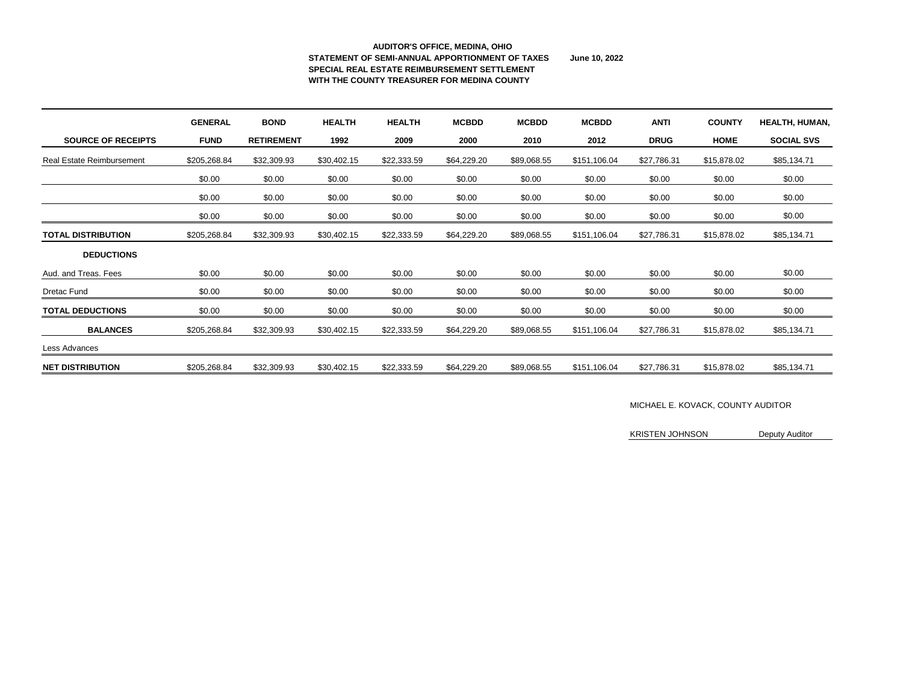### **AUDITOR'S OFFICE, MEDINA, OHIO STATEMENT OF SEMI-ANNUAL APPORTIONMENT OF TAXES June 10, 2022 SPECIAL REAL ESTATE REIMBURSEMENT SETTLEMENT WITH THE COUNTY TREASURER FOR MEDINA COUNTY**

|                                  | <b>GENERAL</b> | <b>BOND</b>       | <b>HEALTH</b> | <b>HEALTH</b> | <b>MCBDD</b> | <b>MCBDD</b> | <b>MCBDD</b> | <b>ANTI</b> | <b>COUNTY</b> | HEALTH, HUMAN,    |
|----------------------------------|----------------|-------------------|---------------|---------------|--------------|--------------|--------------|-------------|---------------|-------------------|
| <b>SOURCE OF RECEIPTS</b>        | <b>FUND</b>    | <b>RETIREMENT</b> | 1992          | 2009          | 2000         | 2010         | 2012         | <b>DRUG</b> | <b>HOME</b>   | <b>SOCIAL SVS</b> |
| <b>Real Estate Reimbursement</b> | \$205,268.84   | \$32,309.93       | \$30,402.15   | \$22,333.59   | \$64,229.20  | \$89,068.55  | \$151,106.04 | \$27,786.31 | \$15,878.02   | \$85,134.71       |
|                                  | \$0.00         | \$0.00            | \$0.00        | \$0.00        | \$0.00       | \$0.00       | \$0.00       | \$0.00      | \$0.00        | \$0.00            |
|                                  | \$0.00         | \$0.00            | \$0.00        | \$0.00        | \$0.00       | \$0.00       | \$0.00       | \$0.00      | \$0.00        | \$0.00            |
|                                  | \$0.00         | \$0.00            | \$0.00        | \$0.00        | \$0.00       | \$0.00       | \$0.00       | \$0.00      | \$0.00        | \$0.00            |
| <b>TOTAL DISTRIBUTION</b>        | \$205,268.84   | \$32,309.93       | \$30,402.15   | \$22,333.59   | \$64,229.20  | \$89,068.55  | \$151,106.04 | \$27,786.31 | \$15,878.02   | \$85,134.71       |
| <b>DEDUCTIONS</b>                |                |                   |               |               |              |              |              |             |               |                   |
| Aud. and Treas. Fees             | \$0.00         | \$0.00            | \$0.00        | \$0.00        | \$0.00       | \$0.00       | \$0.00       | \$0.00      | \$0.00        | \$0.00            |
| <b>Dretac Fund</b>               | \$0.00         | \$0.00            | \$0.00        | \$0.00        | \$0.00       | \$0.00       | \$0.00       | \$0.00      | \$0.00        | \$0.00            |
| <b>TOTAL DEDUCTIONS</b>          | \$0.00         | \$0.00            | \$0.00        | \$0.00        | \$0.00       | \$0.00       | \$0.00       | \$0.00      | \$0.00        | \$0.00            |
| <b>BALANCES</b>                  | \$205,268.84   | \$32,309.93       | \$30,402.15   | \$22,333.59   | \$64,229.20  | \$89,068.55  | \$151,106.04 | \$27,786.31 | \$15,878.02   | \$85,134.71       |
| Less Advances                    |                |                   |               |               |              |              |              |             |               |                   |
| <b>NET DISTRIBUTION</b>          | \$205,268.84   | \$32,309.93       | \$30,402.15   | \$22,333.59   | \$64,229.20  | \$89,068.55  | \$151,106.04 | \$27,786.31 | \$15,878.02   | \$85,134.71       |

# MICHAEL E. KOVACK, COUNTY AUDITOR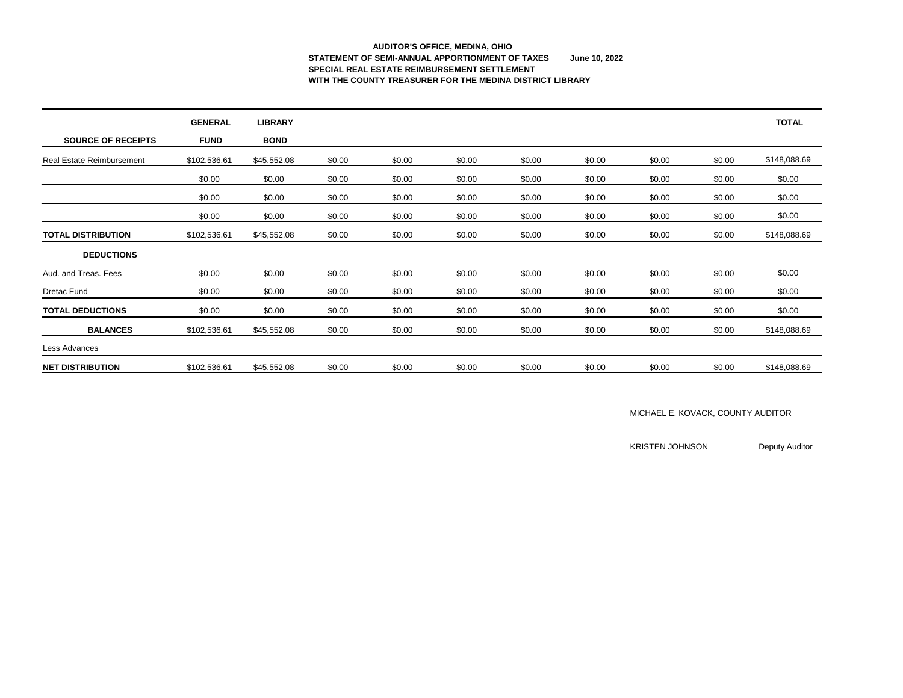### **AUDITOR'S OFFICE, MEDINA, OHIO STATEMENT OF SEMI-ANNUAL APPORTIONMENT OF TAXES June 10, 2022 SPECIAL REAL ESTATE REIMBURSEMENT SETTLEMENT WITH THE COUNTY TREASURER FOR THE MEDINA DISTRICT LIBRARY**

|                                  | <b>GENERAL</b> | <b>LIBRARY</b> |        |        |        |        |        |        |        | <b>TOTAL</b> |
|----------------------------------|----------------|----------------|--------|--------|--------|--------|--------|--------|--------|--------------|
| <b>SOURCE OF RECEIPTS</b>        | <b>FUND</b>    | <b>BOND</b>    |        |        |        |        |        |        |        |              |
| <b>Real Estate Reimbursement</b> | \$102,536.61   | \$45,552.08    | \$0.00 | \$0.00 | \$0.00 | \$0.00 | \$0.00 | \$0.00 | \$0.00 | \$148,088.69 |
|                                  | \$0.00         | \$0.00         | \$0.00 | \$0.00 | \$0.00 | \$0.00 | \$0.00 | \$0.00 | \$0.00 | \$0.00       |
|                                  | \$0.00         | \$0.00         | \$0.00 | \$0.00 | \$0.00 | \$0.00 | \$0.00 | \$0.00 | \$0.00 | \$0.00       |
|                                  | \$0.00         | \$0.00         | \$0.00 | \$0.00 | \$0.00 | \$0.00 | \$0.00 | \$0.00 | \$0.00 | \$0.00       |
| <b>TOTAL DISTRIBUTION</b>        | \$102,536.61   | \$45,552.08    | \$0.00 | \$0.00 | \$0.00 | \$0.00 | \$0.00 | \$0.00 | \$0.00 | \$148,088.69 |
| <b>DEDUCTIONS</b>                |                |                |        |        |        |        |        |        |        |              |
| Aud. and Treas. Fees             | \$0.00         | \$0.00         | \$0.00 | \$0.00 | \$0.00 | \$0.00 | \$0.00 | \$0.00 | \$0.00 | \$0.00       |
| Dretac Fund                      | \$0.00         | \$0.00         | \$0.00 | \$0.00 | \$0.00 | \$0.00 | \$0.00 | \$0.00 | \$0.00 | \$0.00       |
| <b>TOTAL DEDUCTIONS</b>          | \$0.00         | \$0.00         | \$0.00 | \$0.00 | \$0.00 | \$0.00 | \$0.00 | \$0.00 | \$0.00 | \$0.00       |
| <b>BALANCES</b>                  | \$102,536.61   | \$45,552.08    | \$0.00 | \$0.00 | \$0.00 | \$0.00 | \$0.00 | \$0.00 | \$0.00 | \$148,088.69 |
| Less Advances                    |                |                |        |        |        |        |        |        |        |              |
| <b>NET DISTRIBUTION</b>          | \$102,536.61   | \$45,552.08    | \$0.00 | \$0.00 | \$0.00 | \$0.00 | \$0.00 | \$0.00 | \$0.00 | \$148,088.69 |

#### MICHAEL E. KOVACK, COUNTY AUDITOR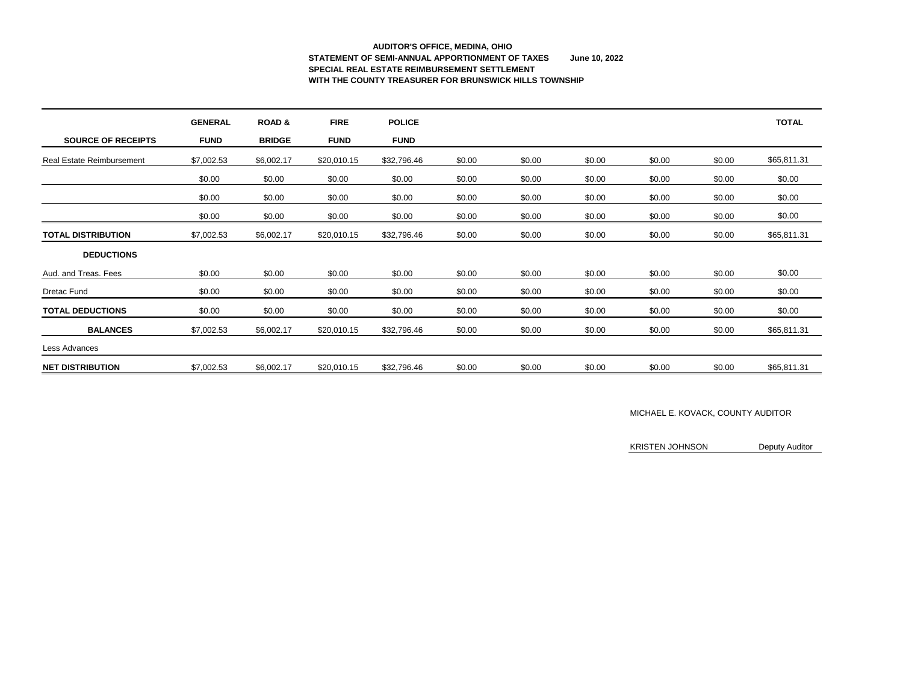### **AUDITOR'S OFFICE, MEDINA, OHIO STATEMENT OF SEMI-ANNUAL APPORTIONMENT OF TAXES June 10, 2022 SPECIAL REAL ESTATE REIMBURSEMENT SETTLEMENT WITH THE COUNTY TREASURER FOR BRUNSWICK HILLS TOWNSHIP**

|                                  | <b>GENERAL</b> | <b>ROAD &amp;</b> | <b>FIRE</b> | <b>POLICE</b> |        |        |        |        |        | <b>TOTAL</b> |
|----------------------------------|----------------|-------------------|-------------|---------------|--------|--------|--------|--------|--------|--------------|
| <b>SOURCE OF RECEIPTS</b>        | <b>FUND</b>    | <b>BRIDGE</b>     | <b>FUND</b> | <b>FUND</b>   |        |        |        |        |        |              |
| <b>Real Estate Reimbursement</b> | \$7,002.53     | \$6,002.17        | \$20,010.15 | \$32,796.46   | \$0.00 | \$0.00 | \$0.00 | \$0.00 | \$0.00 | \$65,811.31  |
|                                  | \$0.00         | \$0.00            | \$0.00      | \$0.00        | \$0.00 | \$0.00 | \$0.00 | \$0.00 | \$0.00 | \$0.00       |
|                                  | \$0.00         | \$0.00            | \$0.00      | \$0.00        | \$0.00 | \$0.00 | \$0.00 | \$0.00 | \$0.00 | \$0.00       |
|                                  | \$0.00         | \$0.00            | \$0.00      | \$0.00        | \$0.00 | \$0.00 | \$0.00 | \$0.00 | \$0.00 | \$0.00       |
| <b>TOTAL DISTRIBUTION</b>        | \$7,002.53     | \$6,002.17        | \$20,010.15 | \$32,796.46   | \$0.00 | \$0.00 | \$0.00 | \$0.00 | \$0.00 | \$65,811.31  |
| <b>DEDUCTIONS</b>                |                |                   |             |               |        |        |        |        |        |              |
| Aud. and Treas. Fees             | \$0.00         | \$0.00            | \$0.00      | \$0.00        | \$0.00 | \$0.00 | \$0.00 | \$0.00 | \$0.00 | \$0.00       |
| <b>Dretac Fund</b>               | \$0.00         | \$0.00            | \$0.00      | \$0.00        | \$0.00 | \$0.00 | \$0.00 | \$0.00 | \$0.00 | \$0.00       |
| <b>TOTAL DEDUCTIONS</b>          | \$0.00         | \$0.00            | \$0.00      | \$0.00        | \$0.00 | \$0.00 | \$0.00 | \$0.00 | \$0.00 | \$0.00       |
| <b>BALANCES</b>                  | \$7,002.53     | \$6,002.17        | \$20,010.15 | \$32,796.46   | \$0.00 | \$0.00 | \$0.00 | \$0.00 | \$0.00 | \$65,811.31  |
| Less Advances                    |                |                   |             |               |        |        |        |        |        |              |
| <b>NET DISTRIBUTION</b>          | \$7,002.53     | \$6,002.17        | \$20,010.15 | \$32,796.46   | \$0.00 | \$0.00 | \$0.00 | \$0.00 | \$0.00 | \$65,811.31  |

### MICHAEL E. KOVACK, COUNTY AUDITOR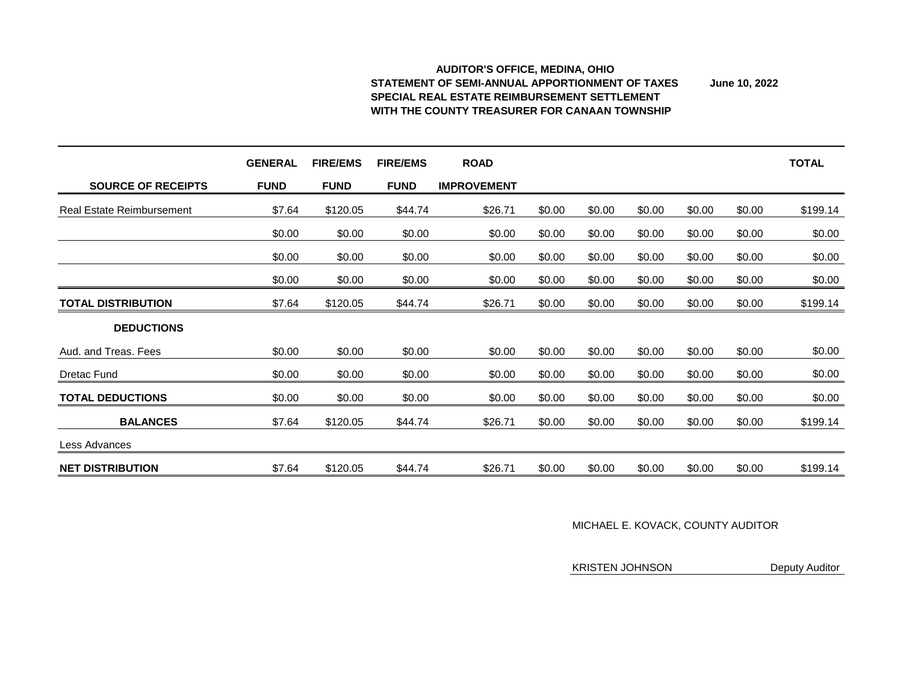#### **AUDITOR'S OFFICE, MEDINA, OHIO STATEMENT OF SEMI-ANNUAL APPORTIONMENT OF TAXES June 10, 2022 SPECIAL REAL ESTATE REIMBURSEMENT SETTLEMENT WITH THE COUNTY TREASURER FOR CANAAN TOWNSHIP**

|                                  | <b>GENERAL</b> | <b>FIRE/EMS</b> | <b>FIRE/EMS</b> | <b>ROAD</b>        |        |        |        |        |        | <b>TOTAL</b> |
|----------------------------------|----------------|-----------------|-----------------|--------------------|--------|--------|--------|--------|--------|--------------|
| <b>SOURCE OF RECEIPTS</b>        | <b>FUND</b>    | <b>FUND</b>     | <b>FUND</b>     | <b>IMPROVEMENT</b> |        |        |        |        |        |              |
| <b>Real Estate Reimbursement</b> | \$7.64         | \$120.05        | \$44.74         | \$26.71            | \$0.00 | \$0.00 | \$0.00 | \$0.00 | \$0.00 | \$199.14     |
|                                  | \$0.00         | \$0.00          | \$0.00          | \$0.00             | \$0.00 | \$0.00 | \$0.00 | \$0.00 | \$0.00 | \$0.00       |
|                                  | \$0.00         | \$0.00          | \$0.00          | \$0.00             | \$0.00 | \$0.00 | \$0.00 | \$0.00 | \$0.00 | \$0.00       |
|                                  | \$0.00         | \$0.00          | \$0.00          | \$0.00             | \$0.00 | \$0.00 | \$0.00 | \$0.00 | \$0.00 | \$0.00       |
| <b>TOTAL DISTRIBUTION</b>        | \$7.64         | \$120.05        | \$44.74         | \$26.71            | \$0.00 | \$0.00 | \$0.00 | \$0.00 | \$0.00 | \$199.14     |
| <b>DEDUCTIONS</b>                |                |                 |                 |                    |        |        |        |        |        |              |
| Aud. and Treas. Fees             | \$0.00         | \$0.00          | \$0.00          | \$0.00             | \$0.00 | \$0.00 | \$0.00 | \$0.00 | \$0.00 | \$0.00       |
| <b>Dretac Fund</b>               | \$0.00         | \$0.00          | \$0.00          | \$0.00             | \$0.00 | \$0.00 | \$0.00 | \$0.00 | \$0.00 | \$0.00       |
| <b>TOTAL DEDUCTIONS</b>          | \$0.00         | \$0.00          | \$0.00          | \$0.00             | \$0.00 | \$0.00 | \$0.00 | \$0.00 | \$0.00 | \$0.00       |
| <b>BALANCES</b>                  | \$7.64         | \$120.05        | \$44.74         | \$26.71            | \$0.00 | \$0.00 | \$0.00 | \$0.00 | \$0.00 | \$199.14     |
| <b>Less Advances</b>             |                |                 |                 |                    |        |        |        |        |        |              |
| <b>NET DISTRIBUTION</b>          | \$7.64         | \$120.05        | \$44.74         | \$26.71            | \$0.00 | \$0.00 | \$0.00 | \$0.00 | \$0.00 | \$199.14     |

KRISTEN JOHNSON Deputy Auditor

### MICHAEL E. KOVACK, COUNTY AUDITOR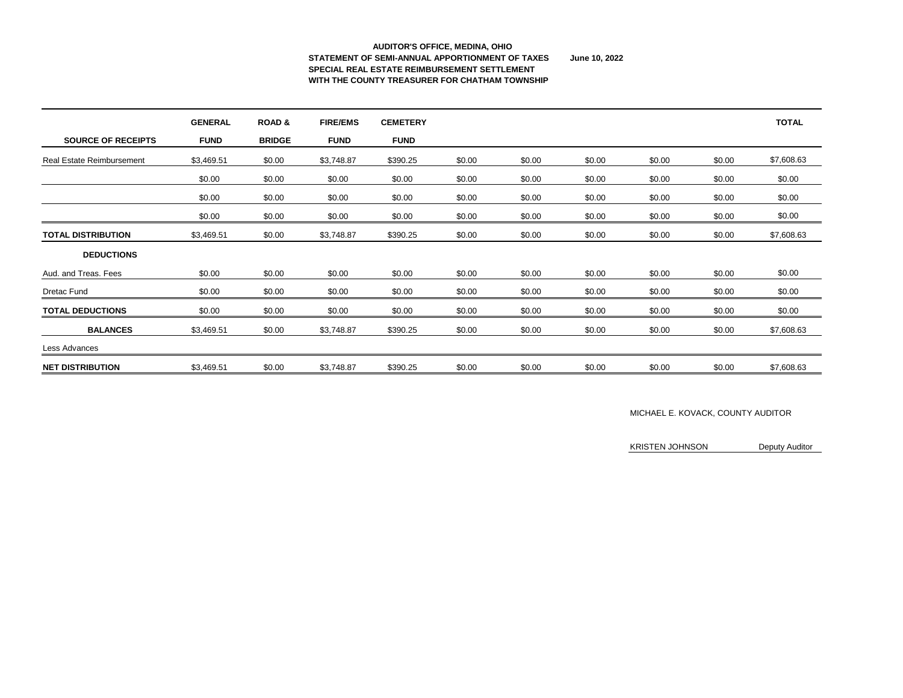### **AUDITOR'S OFFICE, MEDINA, OHIO STATEMENT OF SEMI-ANNUAL APPORTIONMENT OF TAXES June 10, 2022 SPECIAL REAL ESTATE REIMBURSEMENT SETTLEMENT WITH THE COUNTY TREASURER FOR CHATHAM TOWNSHIP**

|                                  | <b>GENERAL</b> | <b>ROAD &amp;</b> | <b>FIRE/EMS</b> | <b>CEMETERY</b> |        |        |        |        |        | <b>TOTAL</b> |
|----------------------------------|----------------|-------------------|-----------------|-----------------|--------|--------|--------|--------|--------|--------------|
| <b>SOURCE OF RECEIPTS</b>        | <b>FUND</b>    | <b>BRIDGE</b>     | <b>FUND</b>     | <b>FUND</b>     |        |        |        |        |        |              |
| <b>Real Estate Reimbursement</b> | \$3,469.51     | \$0.00            | \$3,748.87      | \$390.25        | \$0.00 | \$0.00 | \$0.00 | \$0.00 | \$0.00 | \$7,608.63   |
|                                  | \$0.00         | \$0.00            | \$0.00          | \$0.00          | \$0.00 | \$0.00 | \$0.00 | \$0.00 | \$0.00 | \$0.00       |
|                                  | \$0.00         | \$0.00            | \$0.00          | \$0.00          | \$0.00 | \$0.00 | \$0.00 | \$0.00 | \$0.00 | \$0.00       |
|                                  | \$0.00         | \$0.00            | \$0.00          | \$0.00          | \$0.00 | \$0.00 | \$0.00 | \$0.00 | \$0.00 | \$0.00       |
| <b>TOTAL DISTRIBUTION</b>        | \$3,469.51     | \$0.00            | \$3,748.87      | \$390.25        | \$0.00 | \$0.00 | \$0.00 | \$0.00 | \$0.00 | \$7,608.63   |
| <b>DEDUCTIONS</b>                |                |                   |                 |                 |        |        |        |        |        |              |
| Aud. and Treas. Fees             | \$0.00         | \$0.00            | \$0.00          | \$0.00          | \$0.00 | \$0.00 | \$0.00 | \$0.00 | \$0.00 | \$0.00       |
| <b>Dretac Fund</b>               | \$0.00         | \$0.00            | \$0.00          | \$0.00          | \$0.00 | \$0.00 | \$0.00 | \$0.00 | \$0.00 | \$0.00       |
| <b>TOTAL DEDUCTIONS</b>          | \$0.00         | \$0.00            | \$0.00          | \$0.00          | \$0.00 | \$0.00 | \$0.00 | \$0.00 | \$0.00 | \$0.00       |
| <b>BALANCES</b>                  | \$3,469.51     | \$0.00            | \$3,748.87      | \$390.25        | \$0.00 | \$0.00 | \$0.00 | \$0.00 | \$0.00 | \$7,608.63   |
| Less Advances                    |                |                   |                 |                 |        |        |        |        |        |              |
| <b>NET DISTRIBUTION</b>          | \$3,469.51     | \$0.00            | \$3,748.87      | \$390.25        | \$0.00 | \$0.00 | \$0.00 | \$0.00 | \$0.00 | \$7,608.63   |

### MICHAEL E. KOVACK, COUNTY AUDITOR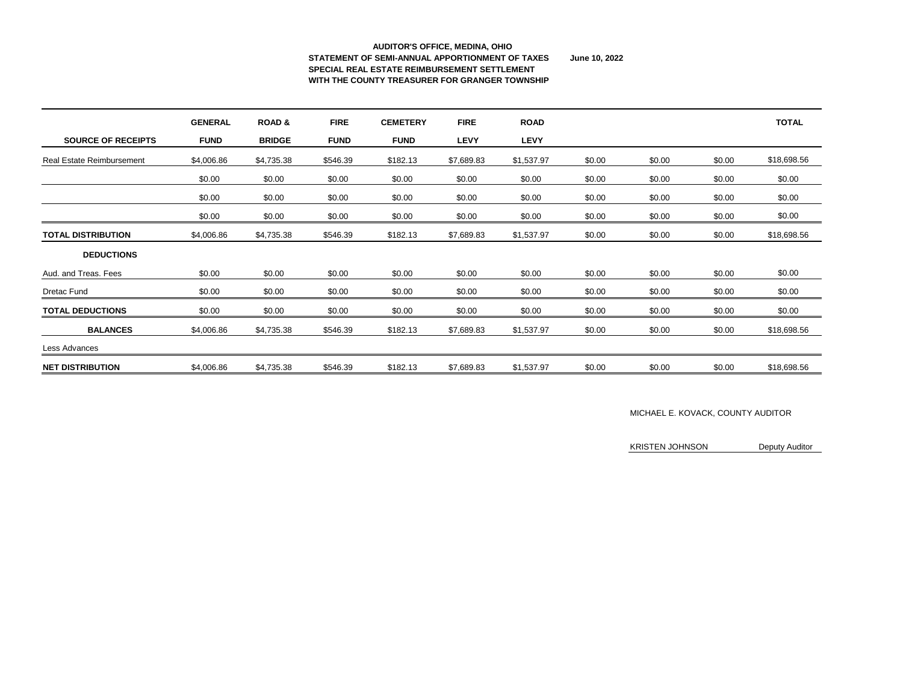#### **AUDITOR'S OFFICE, MEDINA, OHIO STATEMENT OF SEMI-ANNUAL APPORTIONMENT OF TAXES June 10, 2022 SPECIAL REAL ESTATE REIMBURSEMENT SETTLEMENT WITH THE COUNTY TREASURER FOR GRANGER TOWNSHIP**

|                                  | <b>GENERAL</b> | <b>ROAD &amp;</b> | <b>FIRE</b> | <b>CEMETERY</b> | <b>FIRE</b> | <b>ROAD</b> |        |        |        | <b>TOTAL</b> |
|----------------------------------|----------------|-------------------|-------------|-----------------|-------------|-------------|--------|--------|--------|--------------|
| <b>SOURCE OF RECEIPTS</b>        | <b>FUND</b>    | <b>BRIDGE</b>     | <b>FUND</b> | <b>FUND</b>     | <b>LEVY</b> | <b>LEVY</b> |        |        |        |              |
| <b>Real Estate Reimbursement</b> | \$4,006.86     | \$4,735.38        | \$546.39    | \$182.13        | \$7,689.83  | \$1,537.97  | \$0.00 | \$0.00 | \$0.00 | \$18,698.56  |
|                                  | \$0.00         | \$0.00            | \$0.00      | \$0.00          | \$0.00      | \$0.00      | \$0.00 | \$0.00 | \$0.00 | \$0.00       |
|                                  | \$0.00         | \$0.00            | \$0.00      | \$0.00          | \$0.00      | \$0.00      | \$0.00 | \$0.00 | \$0.00 | \$0.00       |
|                                  | \$0.00         | \$0.00            | \$0.00      | \$0.00          | \$0.00      | \$0.00      | \$0.00 | \$0.00 | \$0.00 | \$0.00       |
| <b>TOTAL DISTRIBUTION</b>        | \$4,006.86     | \$4,735.38        | \$546.39    | \$182.13        | \$7,689.83  | \$1,537.97  | \$0.00 | \$0.00 | \$0.00 | \$18,698.56  |
| <b>DEDUCTIONS</b>                |                |                   |             |                 |             |             |        |        |        |              |
| Aud. and Treas. Fees             | \$0.00         | \$0.00            | \$0.00      | \$0.00          | \$0.00      | \$0.00      | \$0.00 | \$0.00 | \$0.00 | \$0.00       |
| <b>Dretac Fund</b>               | \$0.00         | \$0.00            | \$0.00      | \$0.00          | \$0.00      | \$0.00      | \$0.00 | \$0.00 | \$0.00 | \$0.00       |
| <b>TOTAL DEDUCTIONS</b>          | \$0.00         | \$0.00            | \$0.00      | \$0.00          | \$0.00      | \$0.00      | \$0.00 | \$0.00 | \$0.00 | \$0.00       |
| <b>BALANCES</b>                  | \$4,006.86     | \$4,735.38        | \$546.39    | \$182.13        | \$7,689.83  | \$1,537.97  | \$0.00 | \$0.00 | \$0.00 | \$18,698.56  |
| Less Advances                    |                |                   |             |                 |             |             |        |        |        |              |
| <b>NET DISTRIBUTION</b>          | \$4,006.86     | \$4,735.38        | \$546.39    | \$182.13        | \$7,689.83  | \$1,537.97  | \$0.00 | \$0.00 | \$0.00 | \$18,698.56  |

### MICHAEL E. KOVACK, COUNTY AUDITOR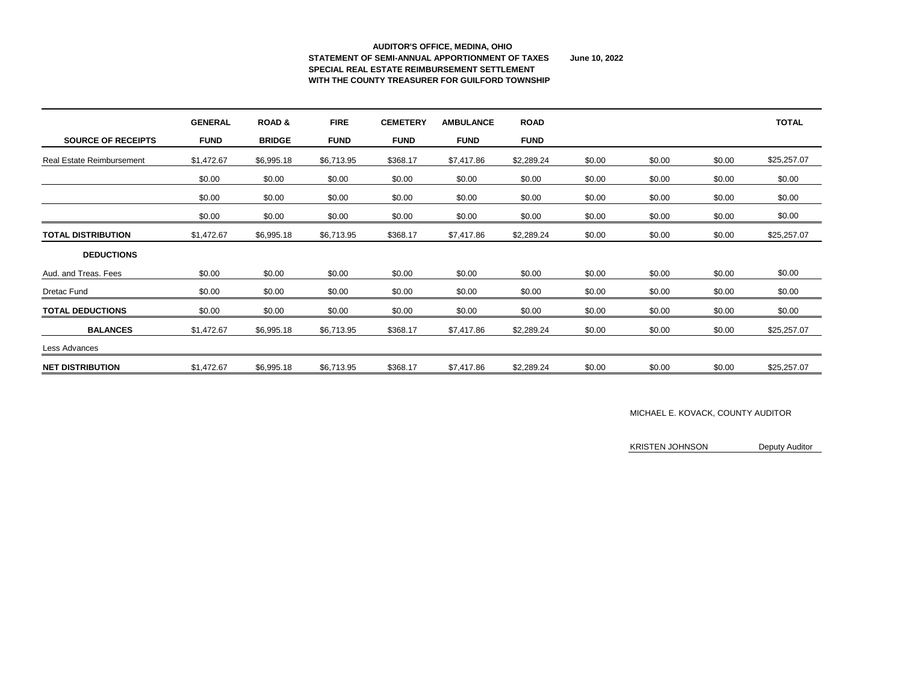#### **AUDITOR'S OFFICE, MEDINA, OHIO STATEMENT OF SEMI-ANNUAL APPORTIONMENT OF TAXES June 10, 2022 SPECIAL REAL ESTATE REIMBURSEMENT SETTLEMENT WITH THE COUNTY TREASURER FOR GUILFORD TOWNSHIP**

|                                  | <b>GENERAL</b> | <b>ROAD &amp;</b> | <b>FIRE</b> | <b>CEMETERY</b> | <b>AMBULANCE</b> | <b>ROAD</b> |        |        |        | <b>TOTAL</b> |
|----------------------------------|----------------|-------------------|-------------|-----------------|------------------|-------------|--------|--------|--------|--------------|
| <b>SOURCE OF RECEIPTS</b>        | <b>FUND</b>    | <b>BRIDGE</b>     | <b>FUND</b> | <b>FUND</b>     | <b>FUND</b>      | <b>FUND</b> |        |        |        |              |
| <b>Real Estate Reimbursement</b> | \$1,472.67     | \$6,995.18        | \$6,713.95  | \$368.17        | \$7,417.86       | \$2,289.24  | \$0.00 | \$0.00 | \$0.00 | \$25,257.07  |
|                                  | \$0.00         | \$0.00            | \$0.00      | \$0.00          | \$0.00           | \$0.00      | \$0.00 | \$0.00 | \$0.00 | \$0.00       |
|                                  | \$0.00         | \$0.00            | \$0.00      | \$0.00          | \$0.00           | \$0.00      | \$0.00 | \$0.00 | \$0.00 | \$0.00       |
|                                  | \$0.00         | \$0.00            | \$0.00      | \$0.00          | \$0.00           | \$0.00      | \$0.00 | \$0.00 | \$0.00 | \$0.00       |
| <b>TOTAL DISTRIBUTION</b>        | \$1,472.67     | \$6,995.18        | \$6,713.95  | \$368.17        | \$7,417.86       | \$2,289.24  | \$0.00 | \$0.00 | \$0.00 | \$25,257.07  |
| <b>DEDUCTIONS</b>                |                |                   |             |                 |                  |             |        |        |        |              |
| Aud. and Treas. Fees             | \$0.00         | \$0.00            | \$0.00      | \$0.00          | \$0.00           | \$0.00      | \$0.00 | \$0.00 | \$0.00 | \$0.00       |
| <b>Dretac Fund</b>               | \$0.00         | \$0.00            | \$0.00      | \$0.00          | \$0.00           | \$0.00      | \$0.00 | \$0.00 | \$0.00 | \$0.00       |
| <b>TOTAL DEDUCTIONS</b>          | \$0.00         | \$0.00            | \$0.00      | \$0.00          | \$0.00           | \$0.00      | \$0.00 | \$0.00 | \$0.00 | \$0.00       |
| <b>BALANCES</b>                  | \$1,472.67     | \$6,995.18        | \$6,713.95  | \$368.17        | \$7,417.86       | \$2,289.24  | \$0.00 | \$0.00 | \$0.00 | \$25,257.07  |
| Less Advances                    |                |                   |             |                 |                  |             |        |        |        |              |
| <b>NET DISTRIBUTION</b>          | \$1,472.67     | \$6,995.18        | \$6,713.95  | \$368.17        | \$7,417.86       | \$2,289.24  | \$0.00 | \$0.00 | \$0.00 | \$25,257.07  |

### MICHAEL E. KOVACK, COUNTY AUDITOR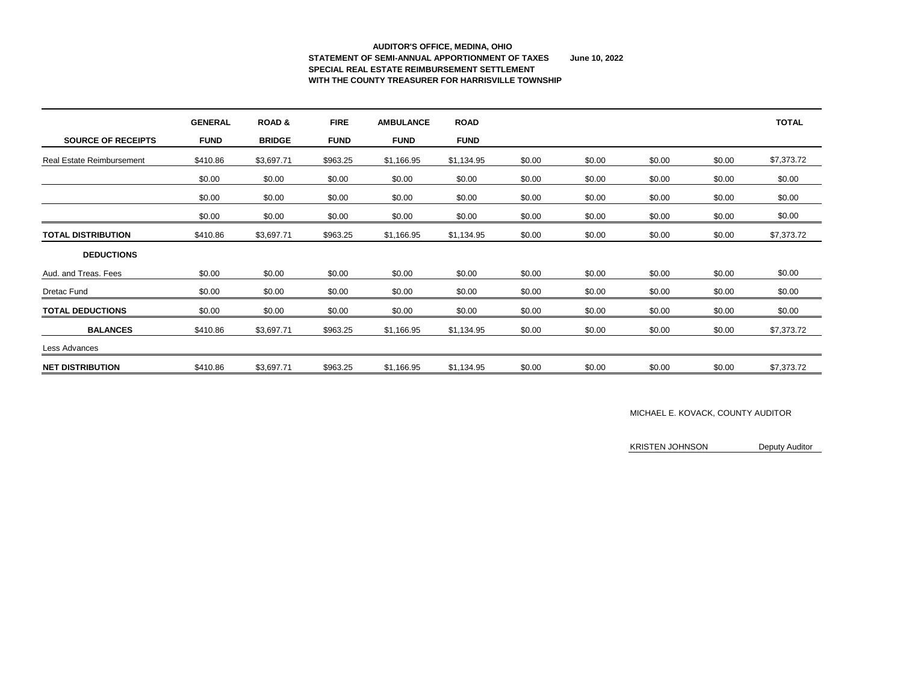# **AUDITOR'S OFFICE, MEDINA, OHIO STATEMENT OF SEMI-ANNUAL APPORTIONMENT OF TAXES June 10, 2022 SPECIAL REAL ESTATE REIMBURSEMENT SETTLEMENT WITH THE COUNTY TREASURER FOR HARRISVILLE TOWNSHIP**

|                                  | <b>GENERAL</b> | <b>ROAD &amp;</b> | <b>FIRE</b> | <b>AMBULANCE</b> | <b>ROAD</b> |        |        |        |        | <b>TOTAL</b> |
|----------------------------------|----------------|-------------------|-------------|------------------|-------------|--------|--------|--------|--------|--------------|
| <b>SOURCE OF RECEIPTS</b>        | <b>FUND</b>    | <b>BRIDGE</b>     | <b>FUND</b> | <b>FUND</b>      | <b>FUND</b> |        |        |        |        |              |
| <b>Real Estate Reimbursement</b> | \$410.86       | \$3,697.71        | \$963.25    | \$1,166.95       | \$1,134.95  | \$0.00 | \$0.00 | \$0.00 | \$0.00 | \$7,373.72   |
|                                  | \$0.00         | \$0.00            | \$0.00      | \$0.00           | \$0.00      | \$0.00 | \$0.00 | \$0.00 | \$0.00 | \$0.00       |
|                                  | \$0.00         | \$0.00            | \$0.00      | \$0.00           | \$0.00      | \$0.00 | \$0.00 | \$0.00 | \$0.00 | \$0.00       |
|                                  | \$0.00         | \$0.00            | \$0.00      | \$0.00           | \$0.00      | \$0.00 | \$0.00 | \$0.00 | \$0.00 | \$0.00       |
| <b>TOTAL DISTRIBUTION</b>        | \$410.86       | \$3,697.71        | \$963.25    | \$1,166.95       | \$1,134.95  | \$0.00 | \$0.00 | \$0.00 | \$0.00 | \$7,373.72   |
| <b>DEDUCTIONS</b>                |                |                   |             |                  |             |        |        |        |        |              |
| Aud. and Treas. Fees             | \$0.00         | \$0.00            | \$0.00      | \$0.00           | \$0.00      | \$0.00 | \$0.00 | \$0.00 | \$0.00 | \$0.00       |
| <b>Dretac Fund</b>               | \$0.00         | \$0.00            | \$0.00      | \$0.00           | \$0.00      | \$0.00 | \$0.00 | \$0.00 | \$0.00 | \$0.00       |
| <b>TOTAL DEDUCTIONS</b>          | \$0.00         | \$0.00            | \$0.00      | \$0.00           | \$0.00      | \$0.00 | \$0.00 | \$0.00 | \$0.00 | \$0.00       |
| <b>BALANCES</b>                  | \$410.86       | \$3,697.71        | \$963.25    | \$1,166.95       | \$1,134.95  | \$0.00 | \$0.00 | \$0.00 | \$0.00 | \$7,373.72   |
| Less Advances                    |                |                   |             |                  |             |        |        |        |        |              |
| <b>NET DISTRIBUTION</b>          | \$410.86       | \$3,697.71        | \$963.25    | \$1,166.95       | \$1,134.95  | \$0.00 | \$0.00 | \$0.00 | \$0.00 | \$7,373.72   |

### MICHAEL E. KOVACK, COUNTY AUDITOR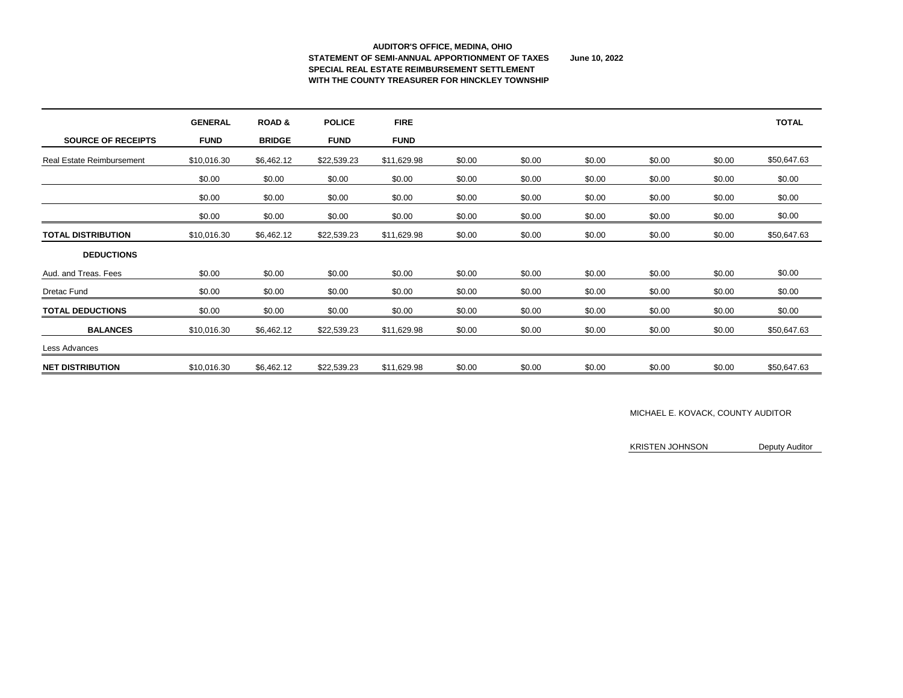#### **AUDITOR'S OFFICE, MEDINA, OHIO STATEMENT OF SEMI-ANNUAL APPORTIONMENT OF TAXES June 10, 2022 SPECIAL REAL ESTATE REIMBURSEMENT SETTLEMENT WITH THE COUNTY TREASURER FOR HINCKLEY TOWNSHIP**

|                                  | <b>GENERAL</b> | <b>ROAD &amp;</b> | <b>POLICE</b> | <b>FIRE</b> |        |        |        |        |        | <b>TOTAL</b> |
|----------------------------------|----------------|-------------------|---------------|-------------|--------|--------|--------|--------|--------|--------------|
| <b>SOURCE OF RECEIPTS</b>        | <b>FUND</b>    | <b>BRIDGE</b>     | <b>FUND</b>   | <b>FUND</b> |        |        |        |        |        |              |
| <b>Real Estate Reimbursement</b> | \$10,016.30    | \$6,462.12        | \$22,539.23   | \$11,629.98 | \$0.00 | \$0.00 | \$0.00 | \$0.00 | \$0.00 | \$50,647.63  |
|                                  | \$0.00         | \$0.00            | \$0.00        | \$0.00      | \$0.00 | \$0.00 | \$0.00 | \$0.00 | \$0.00 | \$0.00       |
|                                  | \$0.00         | \$0.00            | \$0.00        | \$0.00      | \$0.00 | \$0.00 | \$0.00 | \$0.00 | \$0.00 | \$0.00       |
|                                  | \$0.00         | \$0.00            | \$0.00        | \$0.00      | \$0.00 | \$0.00 | \$0.00 | \$0.00 | \$0.00 | \$0.00       |
| <b>TOTAL DISTRIBUTION</b>        | \$10,016.30    | \$6,462.12        | \$22,539.23   | \$11,629.98 | \$0.00 | \$0.00 | \$0.00 | \$0.00 | \$0.00 | \$50,647.63  |
| <b>DEDUCTIONS</b>                |                |                   |               |             |        |        |        |        |        |              |
| Aud. and Treas. Fees             | \$0.00         | \$0.00            | \$0.00        | \$0.00      | \$0.00 | \$0.00 | \$0.00 | \$0.00 | \$0.00 | \$0.00       |
| <b>Dretac Fund</b>               | \$0.00         | \$0.00            | \$0.00        | \$0.00      | \$0.00 | \$0.00 | \$0.00 | \$0.00 | \$0.00 | \$0.00       |
| <b>TOTAL DEDUCTIONS</b>          | \$0.00         | \$0.00            | \$0.00        | \$0.00      | \$0.00 | \$0.00 | \$0.00 | \$0.00 | \$0.00 | \$0.00       |
| <b>BALANCES</b>                  | \$10,016.30    | \$6,462.12        | \$22,539.23   | \$11,629.98 | \$0.00 | \$0.00 | \$0.00 | \$0.00 | \$0.00 | \$50,647.63  |
| Less Advances                    |                |                   |               |             |        |        |        |        |        |              |
| <b>NET DISTRIBUTION</b>          | \$10,016.30    | \$6,462.12        | \$22,539.23   | \$11,629.98 | \$0.00 | \$0.00 | \$0.00 | \$0.00 | \$0.00 | \$50,647.63  |

### MICHAEL E. KOVACK, COUNTY AUDITOR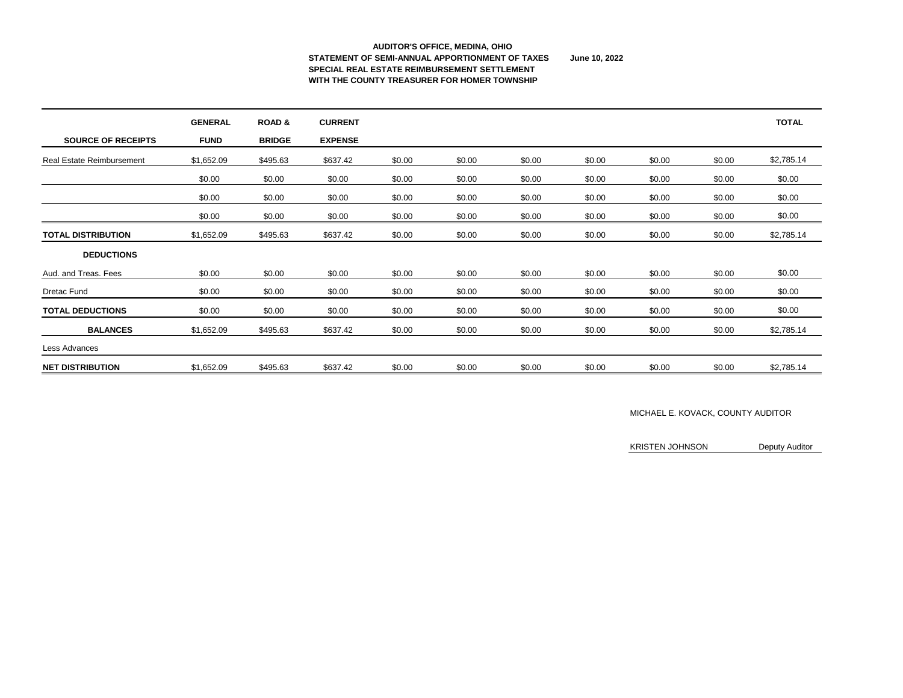#### **AUDITOR'S OFFICE, MEDINA, OHIO STATEMENT OF SEMI-ANNUAL APPORTIONMENT OF TAXES June 10, 2022 SPECIAL REAL ESTATE REIMBURSEMENT SETTLEMENT WITH THE COUNTY TREASURER FOR HOMER TOWNSHIP**

|                                  | <b>GENERAL</b> | <b>ROAD &amp;</b> | <b>CURRENT</b> |        |        |        |        |        |        | <b>TOTAL</b> |
|----------------------------------|----------------|-------------------|----------------|--------|--------|--------|--------|--------|--------|--------------|
| <b>SOURCE OF RECEIPTS</b>        | <b>FUND</b>    | <b>BRIDGE</b>     | <b>EXPENSE</b> |        |        |        |        |        |        |              |
| <b>Real Estate Reimbursement</b> | \$1,652.09     | \$495.63          | \$637.42       | \$0.00 | \$0.00 | \$0.00 | \$0.00 | \$0.00 | \$0.00 | \$2,785.14   |
|                                  | \$0.00         | \$0.00            | \$0.00         | \$0.00 | \$0.00 | \$0.00 | \$0.00 | \$0.00 | \$0.00 | \$0.00       |
|                                  | \$0.00         | \$0.00            | \$0.00         | \$0.00 | \$0.00 | \$0.00 | \$0.00 | \$0.00 | \$0.00 | \$0.00       |
|                                  | \$0.00         | \$0.00            | \$0.00         | \$0.00 | \$0.00 | \$0.00 | \$0.00 | \$0.00 | \$0.00 | \$0.00       |
| <b>TOTAL DISTRIBUTION</b>        | \$1,652.09     | \$495.63          | \$637.42       | \$0.00 | \$0.00 | \$0.00 | \$0.00 | \$0.00 | \$0.00 | \$2,785.14   |
| <b>DEDUCTIONS</b>                |                |                   |                |        |        |        |        |        |        |              |
| Aud. and Treas. Fees             | \$0.00         | \$0.00            | \$0.00         | \$0.00 | \$0.00 | \$0.00 | \$0.00 | \$0.00 | \$0.00 | \$0.00       |
| <b>Dretac Fund</b>               | \$0.00         | \$0.00            | \$0.00         | \$0.00 | \$0.00 | \$0.00 | \$0.00 | \$0.00 | \$0.00 | \$0.00       |
| <b>TOTAL DEDUCTIONS</b>          | \$0.00         | \$0.00            | \$0.00         | \$0.00 | \$0.00 | \$0.00 | \$0.00 | \$0.00 | \$0.00 | \$0.00       |
| <b>BALANCES</b>                  | \$1,652.09     | \$495.63          | \$637.42       | \$0.00 | \$0.00 | \$0.00 | \$0.00 | \$0.00 | \$0.00 | \$2,785.14   |
| Less Advances                    |                |                   |                |        |        |        |        |        |        |              |
| <b>NET DISTRIBUTION</b>          | \$1,652.09     | \$495.63          | \$637.42       | \$0.00 | \$0.00 | \$0.00 | \$0.00 | \$0.00 | \$0.00 | \$2,785.14   |

### MICHAEL E. KOVACK, COUNTY AUDITOR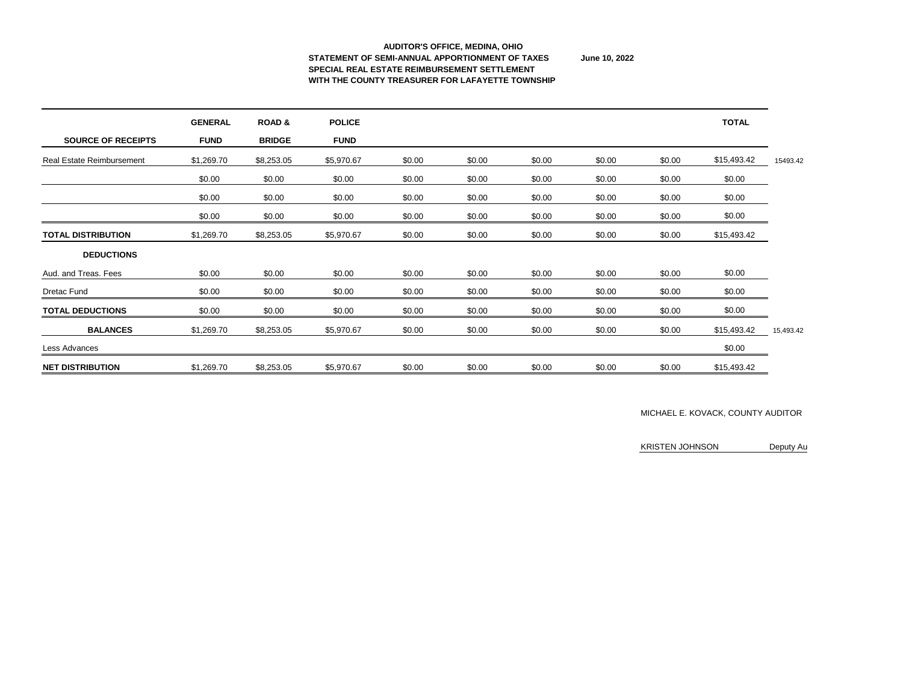#### **AUDITOR'S OFFICE, MEDINA, OHIO STATEMENT OF SEMI-ANNUAL APPORTIONMENT OF TAXES June 10, 2022 SPECIAL REAL ESTATE REIMBURSEMENT SETTLEMENT WITH THE COUNTY TREASURER FOR LAFAYETTE TOWNSHIP**

|                                  | <b>GENERAL</b> | <b>ROAD&amp;</b> | <b>POLICE</b> |        |        |        |        |        | <b>TOTAL</b> |           |
|----------------------------------|----------------|------------------|---------------|--------|--------|--------|--------|--------|--------------|-----------|
| <b>SOURCE OF RECEIPTS</b>        | <b>FUND</b>    | <b>BRIDGE</b>    | <b>FUND</b>   |        |        |        |        |        |              |           |
| <b>Real Estate Reimbursement</b> | \$1,269.70     | \$8,253.05       | \$5,970.67    | \$0.00 | \$0.00 | \$0.00 | \$0.00 | \$0.00 | \$15,493.42  | 15493.42  |
|                                  | \$0.00         | \$0.00           | \$0.00        | \$0.00 | \$0.00 | \$0.00 | \$0.00 | \$0.00 | \$0.00       |           |
|                                  | \$0.00         | \$0.00           | \$0.00        | \$0.00 | \$0.00 | \$0.00 | \$0.00 | \$0.00 | \$0.00       |           |
|                                  | \$0.00         | \$0.00           | \$0.00        | \$0.00 | \$0.00 | \$0.00 | \$0.00 | \$0.00 | \$0.00       |           |
| <b>TOTAL DISTRIBUTION</b>        | \$1,269.70     | \$8,253.05       | \$5,970.67    | \$0.00 | \$0.00 | \$0.00 | \$0.00 | \$0.00 | \$15,493.42  |           |
| <b>DEDUCTIONS</b>                |                |                  |               |        |        |        |        |        |              |           |
| Aud. and Treas. Fees             | \$0.00         | \$0.00           | \$0.00        | \$0.00 | \$0.00 | \$0.00 | \$0.00 | \$0.00 | \$0.00       |           |
| <b>Dretac Fund</b>               | \$0.00         | \$0.00           | \$0.00        | \$0.00 | \$0.00 | \$0.00 | \$0.00 | \$0.00 | \$0.00       |           |
| <b>TOTAL DEDUCTIONS</b>          | \$0.00         | \$0.00           | \$0.00        | \$0.00 | \$0.00 | \$0.00 | \$0.00 | \$0.00 | \$0.00       |           |
| <b>BALANCES</b>                  | \$1,269.70     | \$8,253.05       | \$5,970.67    | \$0.00 | \$0.00 | \$0.00 | \$0.00 | \$0.00 | \$15,493.42  | 15,493.42 |
| Less Advances                    |                |                  |               |        |        |        |        |        | \$0.00       |           |
| <b>NET DISTRIBUTION</b>          | \$1,269.70     | \$8,253.05       | \$5,970.67    | \$0.00 | \$0.00 | \$0.00 | \$0.00 | \$0.00 | \$15,493.42  |           |

### MICHAEL E. KOVACK, COUNTY AUDITOR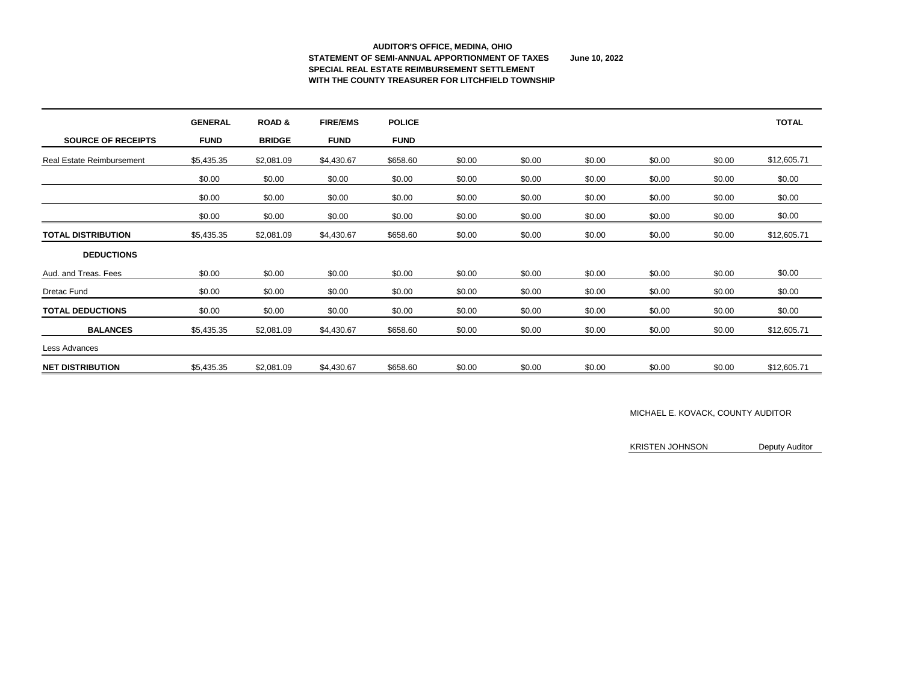#### **AUDITOR'S OFFICE, MEDINA, OHIO STATEMENT OF SEMI-ANNUAL APPORTIONMENT OF TAXES June 10, 2022 SPECIAL REAL ESTATE REIMBURSEMENT SETTLEMENT WITH THE COUNTY TREASURER FOR LITCHFIELD TOWNSHIP**

|                                  | <b>GENERAL</b> | <b>ROAD &amp;</b> | <b>FIRE/EMS</b> | <b>POLICE</b> |        |        |        |        |        | <b>TOTAL</b> |
|----------------------------------|----------------|-------------------|-----------------|---------------|--------|--------|--------|--------|--------|--------------|
| <b>SOURCE OF RECEIPTS</b>        | <b>FUND</b>    | <b>BRIDGE</b>     | <b>FUND</b>     | <b>FUND</b>   |        |        |        |        |        |              |
| <b>Real Estate Reimbursement</b> | \$5,435.35     | \$2,081.09        | \$4,430.67      | \$658.60      | \$0.00 | \$0.00 | \$0.00 | \$0.00 | \$0.00 | \$12,605.71  |
|                                  | \$0.00         | \$0.00            | \$0.00          | \$0.00        | \$0.00 | \$0.00 | \$0.00 | \$0.00 | \$0.00 | \$0.00       |
|                                  | \$0.00         | \$0.00            | \$0.00          | \$0.00        | \$0.00 | \$0.00 | \$0.00 | \$0.00 | \$0.00 | \$0.00       |
|                                  | \$0.00         | \$0.00            | \$0.00          | \$0.00        | \$0.00 | \$0.00 | \$0.00 | \$0.00 | \$0.00 | \$0.00       |
| <b>TOTAL DISTRIBUTION</b>        | \$5,435.35     | \$2,081.09        | \$4,430.67      | \$658.60      | \$0.00 | \$0.00 | \$0.00 | \$0.00 | \$0.00 | \$12,605.71  |
| <b>DEDUCTIONS</b>                |                |                   |                 |               |        |        |        |        |        |              |
| Aud. and Treas. Fees             | \$0.00         | \$0.00            | \$0.00          | \$0.00        | \$0.00 | \$0.00 | \$0.00 | \$0.00 | \$0.00 | \$0.00       |
| <b>Dretac Fund</b>               | \$0.00         | \$0.00            | \$0.00          | \$0.00        | \$0.00 | \$0.00 | \$0.00 | \$0.00 | \$0.00 | \$0.00       |
| <b>TOTAL DEDUCTIONS</b>          | \$0.00         | \$0.00            | \$0.00          | \$0.00        | \$0.00 | \$0.00 | \$0.00 | \$0.00 | \$0.00 | \$0.00       |
| <b>BALANCES</b>                  | \$5,435.35     | \$2,081.09        | \$4,430.67      | \$658.60      | \$0.00 | \$0.00 | \$0.00 | \$0.00 | \$0.00 | \$12,605.71  |
| Less Advances                    |                |                   |                 |               |        |        |        |        |        |              |
| <b>NET DISTRIBUTION</b>          | \$5,435.35     | \$2,081.09        | \$4,430.67      | \$658.60      | \$0.00 | \$0.00 | \$0.00 | \$0.00 | \$0.00 | \$12,605.71  |

### MICHAEL E. KOVACK, COUNTY AUDITOR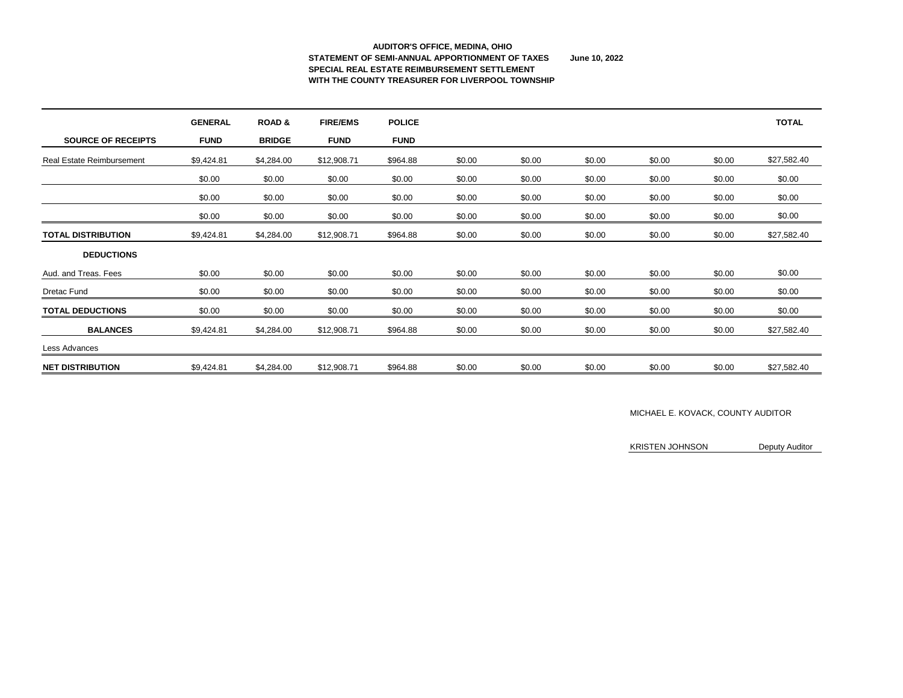#### **AUDITOR'S OFFICE, MEDINA, OHIO STATEMENT OF SEMI-ANNUAL APPORTIONMENT OF TAXES June 10, 2022 SPECIAL REAL ESTATE REIMBURSEMENT SETTLEMENT WITH THE COUNTY TREASURER FOR LIVERPOOL TOWNSHIP**

|                                  | <b>GENERAL</b> | <b>ROAD &amp;</b> | <b>FIRE/EMS</b> | <b>POLICE</b> |        |        |        |        |        | <b>TOTAL</b> |
|----------------------------------|----------------|-------------------|-----------------|---------------|--------|--------|--------|--------|--------|--------------|
| <b>SOURCE OF RECEIPTS</b>        | <b>FUND</b>    | <b>BRIDGE</b>     | <b>FUND</b>     | <b>FUND</b>   |        |        |        |        |        |              |
| <b>Real Estate Reimbursement</b> | \$9,424.81     | \$4,284.00        | \$12,908.71     | \$964.88      | \$0.00 | \$0.00 | \$0.00 | \$0.00 | \$0.00 | \$27,582.40  |
|                                  | \$0.00         | \$0.00            | \$0.00          | \$0.00        | \$0.00 | \$0.00 | \$0.00 | \$0.00 | \$0.00 | \$0.00       |
|                                  | \$0.00         | \$0.00            | \$0.00          | \$0.00        | \$0.00 | \$0.00 | \$0.00 | \$0.00 | \$0.00 | \$0.00       |
|                                  | \$0.00         | \$0.00            | \$0.00          | \$0.00        | \$0.00 | \$0.00 | \$0.00 | \$0.00 | \$0.00 | \$0.00       |
| <b>TOTAL DISTRIBUTION</b>        | \$9,424.81     | \$4,284.00        | \$12,908.71     | \$964.88      | \$0.00 | \$0.00 | \$0.00 | \$0.00 | \$0.00 | \$27,582.40  |
| <b>DEDUCTIONS</b>                |                |                   |                 |               |        |        |        |        |        |              |
| Aud. and Treas. Fees             | \$0.00         | \$0.00            | \$0.00          | \$0.00        | \$0.00 | \$0.00 | \$0.00 | \$0.00 | \$0.00 | \$0.00       |
| <b>Dretac Fund</b>               | \$0.00         | \$0.00            | \$0.00          | \$0.00        | \$0.00 | \$0.00 | \$0.00 | \$0.00 | \$0.00 | \$0.00       |
| <b>TOTAL DEDUCTIONS</b>          | \$0.00         | \$0.00            | \$0.00          | \$0.00        | \$0.00 | \$0.00 | \$0.00 | \$0.00 | \$0.00 | \$0.00       |
| <b>BALANCES</b>                  | \$9,424.81     | \$4,284.00        | \$12,908.71     | \$964.88      | \$0.00 | \$0.00 | \$0.00 | \$0.00 | \$0.00 | \$27,582.40  |
| Less Advances                    |                |                   |                 |               |        |        |        |        |        |              |
| <b>NET DISTRIBUTION</b>          | \$9,424.81     | \$4,284.00        | \$12,908.71     | \$964.88      | \$0.00 | \$0.00 | \$0.00 | \$0.00 | \$0.00 | \$27,582.40  |

### MICHAEL E. KOVACK, COUNTY AUDITOR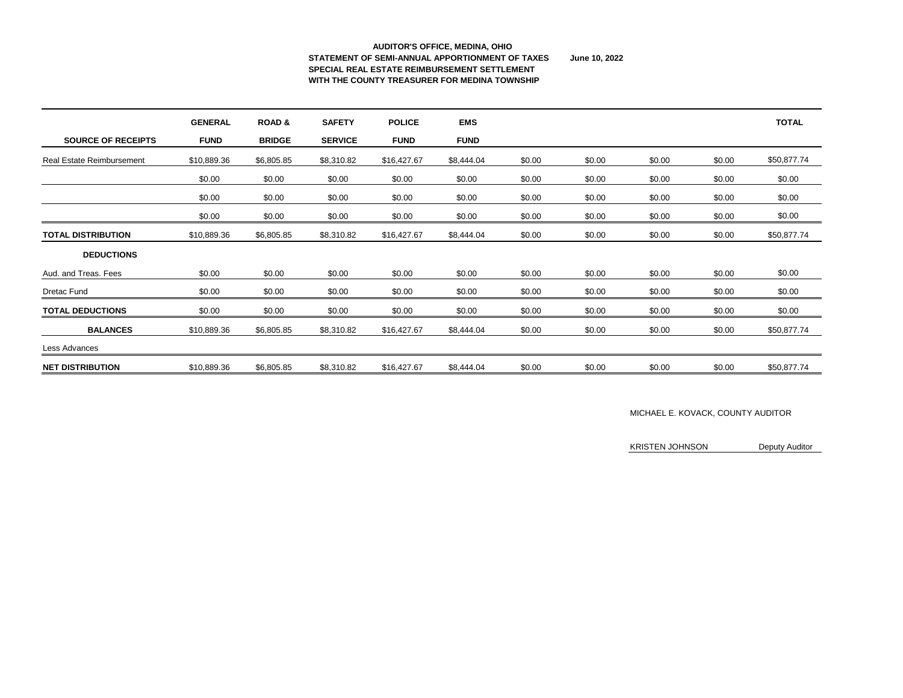#### **AUDITOR'S OFFICE, MEDINA, OHIO STATEMENT OF SEMI-ANNUAL APPORTIONMENT OF TAXES June 10, 2022 SPECIAL REAL ESTATE REIMBURSEMENT SETTLEMENT WITH THE COUNTY TREASURER FOR MEDINA TOWNSHIP**

|                                  | <b>GENERAL</b> | <b>ROAD &amp;</b> | <b>SAFETY</b>  | <b>POLICE</b> | <b>EMS</b>  |        |        |        |        | <b>TOTAL</b> |
|----------------------------------|----------------|-------------------|----------------|---------------|-------------|--------|--------|--------|--------|--------------|
| <b>SOURCE OF RECEIPTS</b>        | <b>FUND</b>    | <b>BRIDGE</b>     | <b>SERVICE</b> | <b>FUND</b>   | <b>FUND</b> |        |        |        |        |              |
| <b>Real Estate Reimbursement</b> | \$10,889.36    | \$6,805.85        | \$8,310.82     | \$16,427.67   | \$8,444.04  | \$0.00 | \$0.00 | \$0.00 | \$0.00 | \$50,877.74  |
|                                  | \$0.00         | \$0.00            | \$0.00         | \$0.00        | \$0.00      | \$0.00 | \$0.00 | \$0.00 | \$0.00 | \$0.00       |
|                                  | \$0.00         | \$0.00            | \$0.00         | \$0.00        | \$0.00      | \$0.00 | \$0.00 | \$0.00 | \$0.00 | \$0.00       |
|                                  | \$0.00         | \$0.00            | \$0.00         | \$0.00        | \$0.00      | \$0.00 | \$0.00 | \$0.00 | \$0.00 | \$0.00       |
| <b>TOTAL DISTRIBUTION</b>        | \$10,889.36    | \$6,805.85        | \$8,310.82     | \$16,427.67   | \$8,444.04  | \$0.00 | \$0.00 | \$0.00 | \$0.00 | \$50,877.74  |
| <b>DEDUCTIONS</b>                |                |                   |                |               |             |        |        |        |        |              |
| Aud. and Treas. Fees             | \$0.00         | \$0.00            | \$0.00         | \$0.00        | \$0.00      | \$0.00 | \$0.00 | \$0.00 | \$0.00 | \$0.00       |
| <b>Dretac Fund</b>               | \$0.00         | \$0.00            | \$0.00         | \$0.00        | \$0.00      | \$0.00 | \$0.00 | \$0.00 | \$0.00 | \$0.00       |
| <b>TOTAL DEDUCTIONS</b>          | \$0.00         | \$0.00            | \$0.00         | \$0.00        | \$0.00      | \$0.00 | \$0.00 | \$0.00 | \$0.00 | \$0.00       |
| <b>BALANCES</b>                  | \$10,889.36    | \$6,805.85        | \$8,310.82     | \$16,427.67   | \$8,444.04  | \$0.00 | \$0.00 | \$0.00 | \$0.00 | \$50,877.74  |
| Less Advances                    |                |                   |                |               |             |        |        |        |        |              |
| <b>NET DISTRIBUTION</b>          | \$10,889.36    | \$6,805.85        | \$8,310.82     | \$16,427.67   | \$8,444.04  | \$0.00 | \$0.00 | \$0.00 | \$0.00 | \$50,877.74  |

### MICHAEL E. KOVACK, COUNTY AUDITOR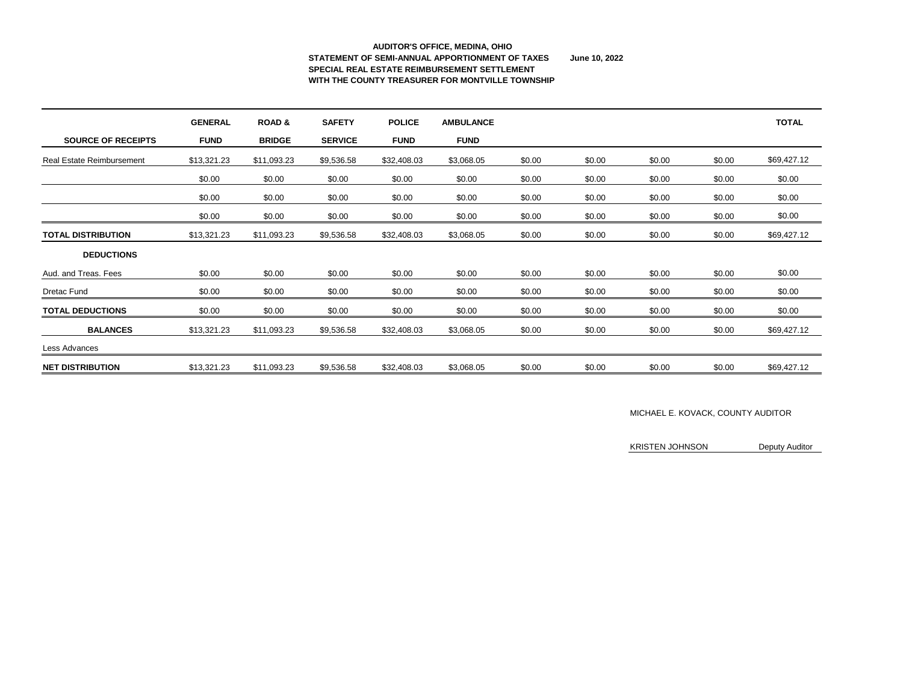#### **AUDITOR'S OFFICE, MEDINA, OHIO STATEMENT OF SEMI-ANNUAL APPORTIONMENT OF TAXES June 10, 2022 SPECIAL REAL ESTATE REIMBURSEMENT SETTLEMENT WITH THE COUNTY TREASURER FOR MONTVILLE TOWNSHIP**

|                                  | <b>GENERAL</b> | <b>ROAD &amp;</b> | <b>SAFETY</b>  | <b>POLICE</b> | <b>AMBULANCE</b> |        |        |        |        | <b>TOTAL</b> |
|----------------------------------|----------------|-------------------|----------------|---------------|------------------|--------|--------|--------|--------|--------------|
| <b>SOURCE OF RECEIPTS</b>        | <b>FUND</b>    | <b>BRIDGE</b>     | <b>SERVICE</b> | <b>FUND</b>   | <b>FUND</b>      |        |        |        |        |              |
| <b>Real Estate Reimbursement</b> | \$13,321.23    | \$11,093.23       | \$9,536.58     | \$32,408.03   | \$3,068.05       | \$0.00 | \$0.00 | \$0.00 | \$0.00 | \$69,427.12  |
|                                  | \$0.00         | \$0.00            | \$0.00         | \$0.00        | \$0.00           | \$0.00 | \$0.00 | \$0.00 | \$0.00 | \$0.00       |
|                                  | \$0.00         | \$0.00            | \$0.00         | \$0.00        | \$0.00           | \$0.00 | \$0.00 | \$0.00 | \$0.00 | \$0.00       |
|                                  | \$0.00         | \$0.00            | \$0.00         | \$0.00        | \$0.00           | \$0.00 | \$0.00 | \$0.00 | \$0.00 | \$0.00       |
| <b>TOTAL DISTRIBUTION</b>        | \$13,321.23    | \$11,093.23       | \$9,536.58     | \$32,408.03   | \$3,068.05       | \$0.00 | \$0.00 | \$0.00 | \$0.00 | \$69,427.12  |
| <b>DEDUCTIONS</b>                |                |                   |                |               |                  |        |        |        |        |              |
| Aud. and Treas. Fees             | \$0.00         | \$0.00            | \$0.00         | \$0.00        | \$0.00           | \$0.00 | \$0.00 | \$0.00 | \$0.00 | \$0.00       |
| <b>Dretac Fund</b>               | \$0.00         | \$0.00            | \$0.00         | \$0.00        | \$0.00           | \$0.00 | \$0.00 | \$0.00 | \$0.00 | \$0.00       |
| <b>TOTAL DEDUCTIONS</b>          | \$0.00         | \$0.00            | \$0.00         | \$0.00        | \$0.00           | \$0.00 | \$0.00 | \$0.00 | \$0.00 | \$0.00       |
| <b>BALANCES</b>                  | \$13,321.23    | \$11,093.23       | \$9,536.58     | \$32,408.03   | \$3,068.05       | \$0.00 | \$0.00 | \$0.00 | \$0.00 | \$69,427.12  |
| Less Advances                    |                |                   |                |               |                  |        |        |        |        |              |
| <b>NET DISTRIBUTION</b>          | \$13,321.23    | \$11,093.23       | \$9,536.58     | \$32,408.03   | \$3,068.05       | \$0.00 | \$0.00 | \$0.00 | \$0.00 | \$69,427.12  |

### MICHAEL E. KOVACK, COUNTY AUDITOR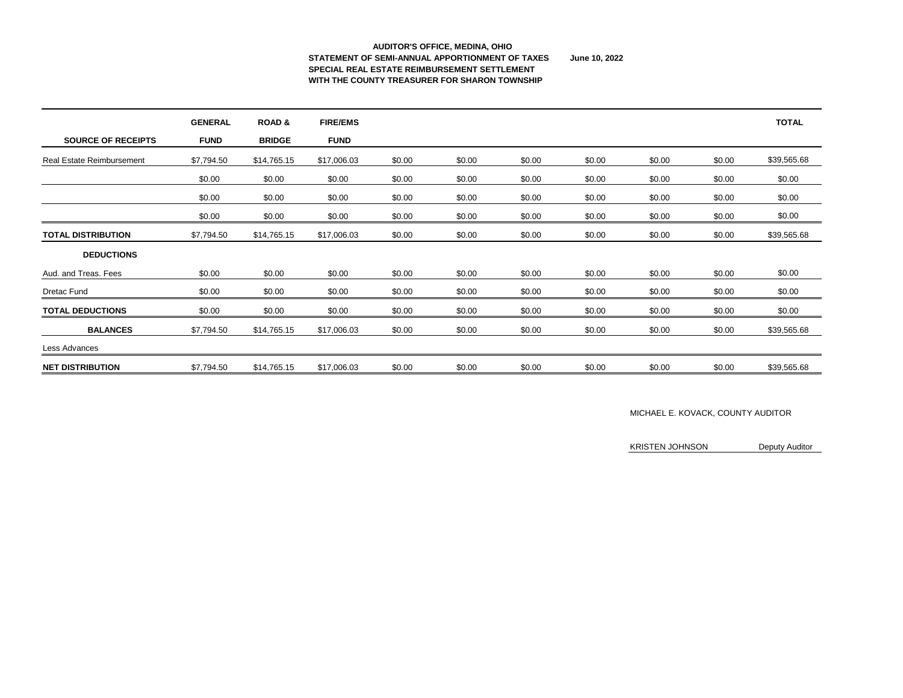#### **AUDITOR'S OFFICE, MEDINA, OHIO STATEMENT OF SEMI-ANNUAL APPORTIONMENT OF TAXES June 10, 2022 SPECIAL REAL ESTATE REIMBURSEMENT SETTLEMENT WITH THE COUNTY TREASURER FOR SHARON TOWNSHIP**

|                                  | <b>GENERAL</b> | <b>ROAD &amp;</b> | <b>FIRE/EMS</b> |        |        |        |        |        |        | <b>TOTAL</b> |
|----------------------------------|----------------|-------------------|-----------------|--------|--------|--------|--------|--------|--------|--------------|
| <b>SOURCE OF RECEIPTS</b>        | <b>FUND</b>    | <b>BRIDGE</b>     | <b>FUND</b>     |        |        |        |        |        |        |              |
| <b>Real Estate Reimbursement</b> | \$7,794.50     | \$14,765.15       | \$17,006.03     | \$0.00 | \$0.00 | \$0.00 | \$0.00 | \$0.00 | \$0.00 | \$39,565.68  |
|                                  | \$0.00         | \$0.00            | \$0.00          | \$0.00 | \$0.00 | \$0.00 | \$0.00 | \$0.00 | \$0.00 | \$0.00       |
|                                  | \$0.00         | \$0.00            | \$0.00          | \$0.00 | \$0.00 | \$0.00 | \$0.00 | \$0.00 | \$0.00 | \$0.00       |
|                                  | \$0.00         | \$0.00            | \$0.00          | \$0.00 | \$0.00 | \$0.00 | \$0.00 | \$0.00 | \$0.00 | \$0.00       |
| <b>TOTAL DISTRIBUTION</b>        | \$7,794.50     | \$14,765.15       | \$17,006.03     | \$0.00 | \$0.00 | \$0.00 | \$0.00 | \$0.00 | \$0.00 | \$39,565.68  |
| <b>DEDUCTIONS</b>                |                |                   |                 |        |        |        |        |        |        |              |
| Aud. and Treas. Fees             | \$0.00         | \$0.00            | \$0.00          | \$0.00 | \$0.00 | \$0.00 | \$0.00 | \$0.00 | \$0.00 | \$0.00       |
| <b>Dretac Fund</b>               | \$0.00         | \$0.00            | \$0.00          | \$0.00 | \$0.00 | \$0.00 | \$0.00 | \$0.00 | \$0.00 | \$0.00       |
| <b>TOTAL DEDUCTIONS</b>          | \$0.00         | \$0.00            | \$0.00          | \$0.00 | \$0.00 | \$0.00 | \$0.00 | \$0.00 | \$0.00 | \$0.00       |
| <b>BALANCES</b>                  | \$7,794.50     | \$14,765.15       | \$17,006.03     | \$0.00 | \$0.00 | \$0.00 | \$0.00 | \$0.00 | \$0.00 | \$39,565.68  |
| Less Advances                    |                |                   |                 |        |        |        |        |        |        |              |
| <b>NET DISTRIBUTION</b>          | \$7,794.50     | \$14,765.15       | \$17,006.03     | \$0.00 | \$0.00 | \$0.00 | \$0.00 | \$0.00 | \$0.00 | \$39,565.68  |

### MICHAEL E. KOVACK, COUNTY AUDITOR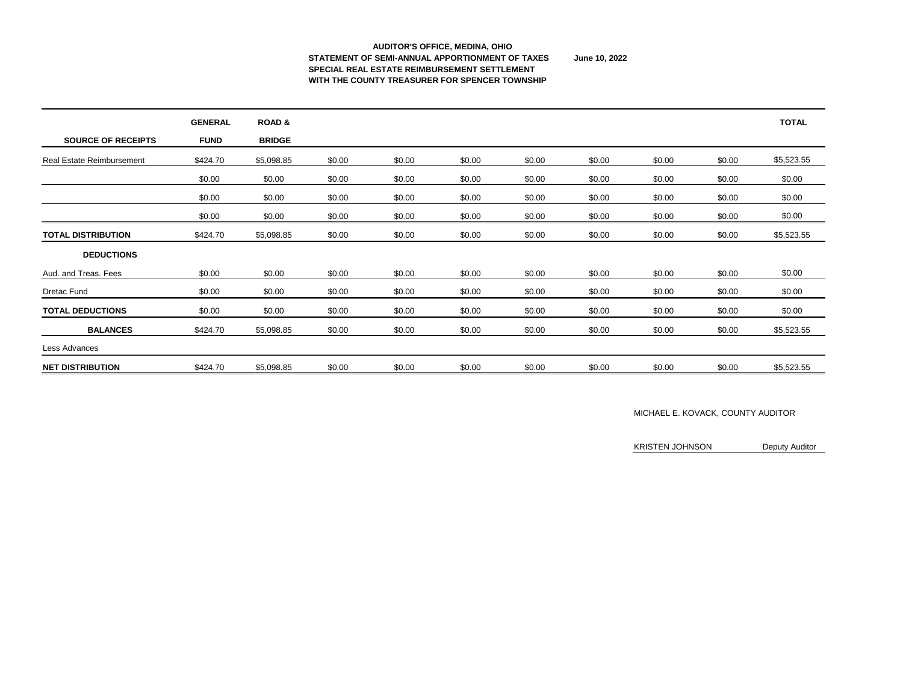#### **AUDITOR'S OFFICE, MEDINA, OHIO STATEMENT OF SEMI-ANNUAL APPORTIONMENT OF TAXES June 10, 2022 SPECIAL REAL ESTATE REIMBURSEMENT SETTLEMENT WITH THE COUNTY TREASURER FOR SPENCER TOWNSHIP**

|                                  | <b>GENERAL</b> | <b>ROAD &amp;</b> |        |        |        |        |        |        |        | <b>TOTAL</b> |
|----------------------------------|----------------|-------------------|--------|--------|--------|--------|--------|--------|--------|--------------|
| <b>SOURCE OF RECEIPTS</b>        | <b>FUND</b>    | <b>BRIDGE</b>     |        |        |        |        |        |        |        |              |
| <b>Real Estate Reimbursement</b> | \$424.70       | \$5,098.85        | \$0.00 | \$0.00 | \$0.00 | \$0.00 | \$0.00 | \$0.00 | \$0.00 | \$5,523.55   |
|                                  | \$0.00         | \$0.00            | \$0.00 | \$0.00 | \$0.00 | \$0.00 | \$0.00 | \$0.00 | \$0.00 | \$0.00       |
|                                  | \$0.00         | \$0.00            | \$0.00 | \$0.00 | \$0.00 | \$0.00 | \$0.00 | \$0.00 | \$0.00 | \$0.00       |
|                                  | \$0.00         | \$0.00            | \$0.00 | \$0.00 | \$0.00 | \$0.00 | \$0.00 | \$0.00 | \$0.00 | \$0.00       |
| <b>TOTAL DISTRIBUTION</b>        | \$424.70       | \$5,098.85        | \$0.00 | \$0.00 | \$0.00 | \$0.00 | \$0.00 | \$0.00 | \$0.00 | \$5,523.55   |
| <b>DEDUCTIONS</b>                |                |                   |        |        |        |        |        |        |        |              |
| Aud. and Treas. Fees             | \$0.00         | \$0.00            | \$0.00 | \$0.00 | \$0.00 | \$0.00 | \$0.00 | \$0.00 | \$0.00 | \$0.00       |
| <b>Dretac Fund</b>               | \$0.00         | \$0.00            | \$0.00 | \$0.00 | \$0.00 | \$0.00 | \$0.00 | \$0.00 | \$0.00 | \$0.00       |
| <b>TOTAL DEDUCTIONS</b>          | \$0.00         | \$0.00            | \$0.00 | \$0.00 | \$0.00 | \$0.00 | \$0.00 | \$0.00 | \$0.00 | \$0.00       |
| <b>BALANCES</b>                  | \$424.70       | \$5,098.85        | \$0.00 | \$0.00 | \$0.00 | \$0.00 | \$0.00 | \$0.00 | \$0.00 | \$5,523.55   |
| Less Advances                    |                |                   |        |        |        |        |        |        |        |              |
| <b>NET DISTRIBUTION</b>          | \$424.70       | \$5,098.85        | \$0.00 | \$0.00 | \$0.00 | \$0.00 | \$0.00 | \$0.00 | \$0.00 | \$5,523.55   |

### MICHAEL E. KOVACK, COUNTY AUDITOR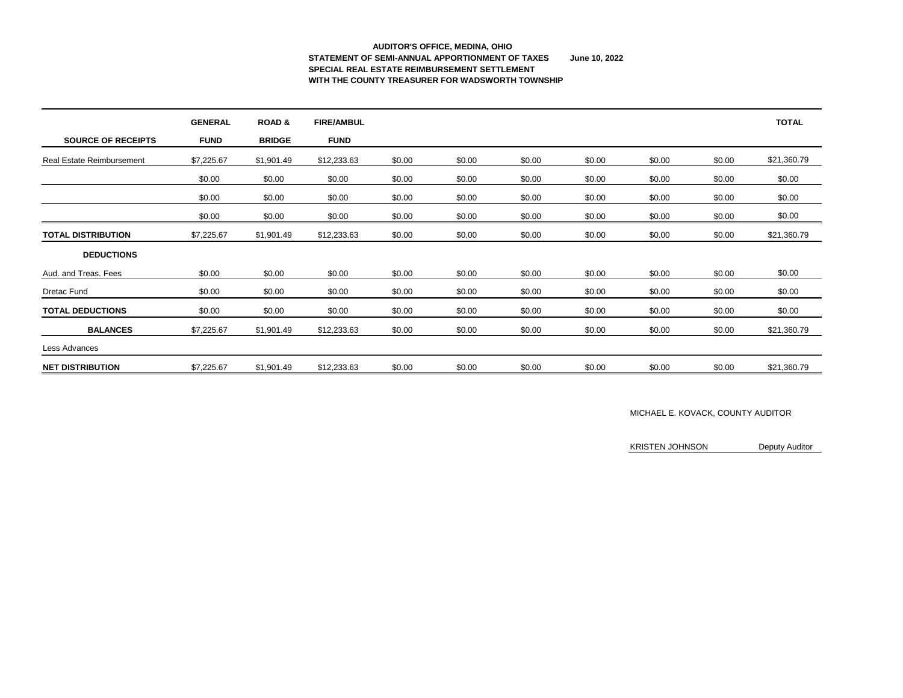### **AUDITOR'S OFFICE, MEDINA, OHIO STATEMENT OF SEMI-ANNUAL APPORTIONMENT OF TAXES June 10, 2022 SPECIAL REAL ESTATE REIMBURSEMENT SETTLEMENT WITH THE COUNTY TREASURER FOR WADSWORTH TOWNSHIP**

|                                  | <b>GENERAL</b> | <b>ROAD &amp;</b> | <b>FIRE/AMBUL</b> |        |        |        |        |        |        | <b>TOTAL</b> |
|----------------------------------|----------------|-------------------|-------------------|--------|--------|--------|--------|--------|--------|--------------|
| <b>SOURCE OF RECEIPTS</b>        | <b>FUND</b>    | <b>BRIDGE</b>     | <b>FUND</b>       |        |        |        |        |        |        |              |
| <b>Real Estate Reimbursement</b> | \$7,225.67     | \$1,901.49        | \$12,233.63       | \$0.00 | \$0.00 | \$0.00 | \$0.00 | \$0.00 | \$0.00 | \$21,360.79  |
|                                  | \$0.00         | \$0.00            | \$0.00            | \$0.00 | \$0.00 | \$0.00 | \$0.00 | \$0.00 | \$0.00 | \$0.00       |
|                                  | \$0.00         | \$0.00            | \$0.00            | \$0.00 | \$0.00 | \$0.00 | \$0.00 | \$0.00 | \$0.00 | \$0.00       |
|                                  | \$0.00         | \$0.00            | \$0.00            | \$0.00 | \$0.00 | \$0.00 | \$0.00 | \$0.00 | \$0.00 | \$0.00       |
| <b>TOTAL DISTRIBUTION</b>        | \$7,225.67     | \$1,901.49        | \$12,233.63       | \$0.00 | \$0.00 | \$0.00 | \$0.00 | \$0.00 | \$0.00 | \$21,360.79  |
| <b>DEDUCTIONS</b>                |                |                   |                   |        |        |        |        |        |        |              |
| Aud. and Treas. Fees             | \$0.00         | \$0.00            | \$0.00            | \$0.00 | \$0.00 | \$0.00 | \$0.00 | \$0.00 | \$0.00 | \$0.00       |
| <b>Dretac Fund</b>               | \$0.00         | \$0.00            | \$0.00            | \$0.00 | \$0.00 | \$0.00 | \$0.00 | \$0.00 | \$0.00 | \$0.00       |
| <b>TOTAL DEDUCTIONS</b>          | \$0.00         | \$0.00            | \$0.00            | \$0.00 | \$0.00 | \$0.00 | \$0.00 | \$0.00 | \$0.00 | \$0.00       |
| <b>BALANCES</b>                  | \$7,225.67     | \$1,901.49        | \$12,233.63       | \$0.00 | \$0.00 | \$0.00 | \$0.00 | \$0.00 | \$0.00 | \$21,360.79  |
| Less Advances                    |                |                   |                   |        |        |        |        |        |        |              |
| <b>NET DISTRIBUTION</b>          | \$7,225.67     | \$1,901.49        | \$12,233.63       | \$0.00 | \$0.00 | \$0.00 | \$0.00 | \$0.00 | \$0.00 | \$21,360.79  |

### MICHAEL E. KOVACK, COUNTY AUDITOR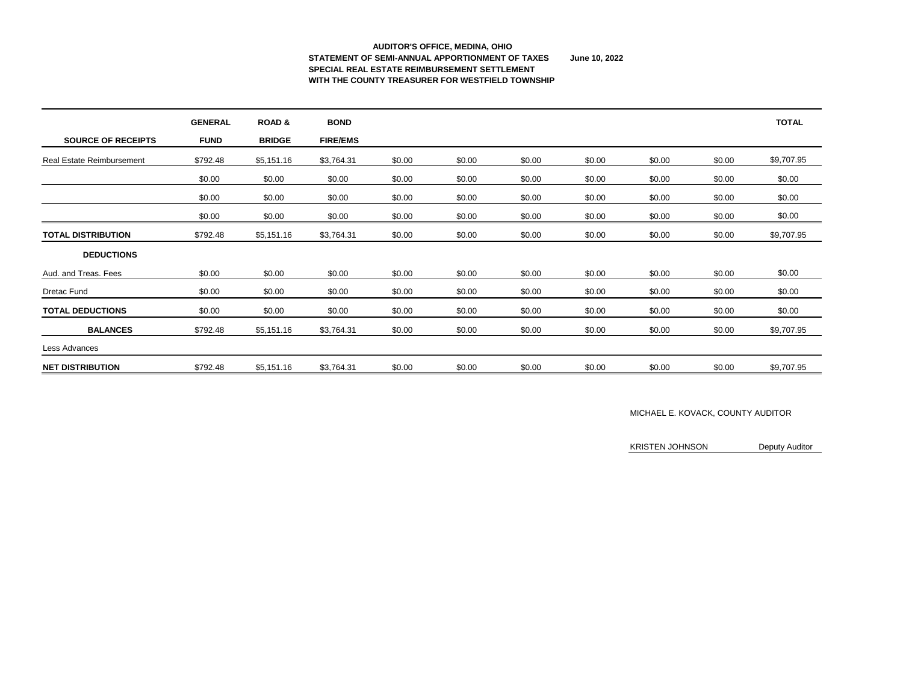### **AUDITOR'S OFFICE, MEDINA, OHIO STATEMENT OF SEMI-ANNUAL APPORTIONMENT OF TAXES June 10, 2022 SPECIAL REAL ESTATE REIMBURSEMENT SETTLEMENT WITH THE COUNTY TREASURER FOR WESTFIELD TOWNSHIP**

|                                  | <b>GENERAL</b> | <b>ROAD &amp;</b> | <b>BOND</b>     |        |        |        |        |        |        | <b>TOTAL</b> |
|----------------------------------|----------------|-------------------|-----------------|--------|--------|--------|--------|--------|--------|--------------|
| <b>SOURCE OF RECEIPTS</b>        | <b>FUND</b>    | <b>BRIDGE</b>     | <b>FIRE/EMS</b> |        |        |        |        |        |        |              |
| <b>Real Estate Reimbursement</b> | \$792.48       | \$5,151.16        | \$3,764.31      | \$0.00 | \$0.00 | \$0.00 | \$0.00 | \$0.00 | \$0.00 | \$9,707.95   |
|                                  | \$0.00         | \$0.00            | \$0.00          | \$0.00 | \$0.00 | \$0.00 | \$0.00 | \$0.00 | \$0.00 | \$0.00       |
|                                  | \$0.00         | \$0.00            | \$0.00          | \$0.00 | \$0.00 | \$0.00 | \$0.00 | \$0.00 | \$0.00 | \$0.00       |
|                                  | \$0.00         | \$0.00            | \$0.00          | \$0.00 | \$0.00 | \$0.00 | \$0.00 | \$0.00 | \$0.00 | \$0.00       |
| <b>TOTAL DISTRIBUTION</b>        | \$792.48       | \$5,151.16        | \$3,764.31      | \$0.00 | \$0.00 | \$0.00 | \$0.00 | \$0.00 | \$0.00 | \$9,707.95   |
| <b>DEDUCTIONS</b>                |                |                   |                 |        |        |        |        |        |        |              |
| Aud. and Treas. Fees             | \$0.00         | \$0.00            | \$0.00          | \$0.00 | \$0.00 | \$0.00 | \$0.00 | \$0.00 | \$0.00 | \$0.00       |
| <b>Dretac Fund</b>               | \$0.00         | \$0.00            | \$0.00          | \$0.00 | \$0.00 | \$0.00 | \$0.00 | \$0.00 | \$0.00 | \$0.00       |
| <b>TOTAL DEDUCTIONS</b>          | \$0.00         | \$0.00            | \$0.00          | \$0.00 | \$0.00 | \$0.00 | \$0.00 | \$0.00 | \$0.00 | \$0.00       |
| <b>BALANCES</b>                  | \$792.48       | \$5,151.16        | \$3,764.31      | \$0.00 | \$0.00 | \$0.00 | \$0.00 | \$0.00 | \$0.00 | \$9,707.95   |
| Less Advances                    |                |                   |                 |        |        |        |        |        |        |              |
| <b>NET DISTRIBUTION</b>          | \$792.48       | \$5,151.16        | \$3,764.31      | \$0.00 | \$0.00 | \$0.00 | \$0.00 | \$0.00 | \$0.00 | \$9,707.95   |

### MICHAEL E. KOVACK, COUNTY AUDITOR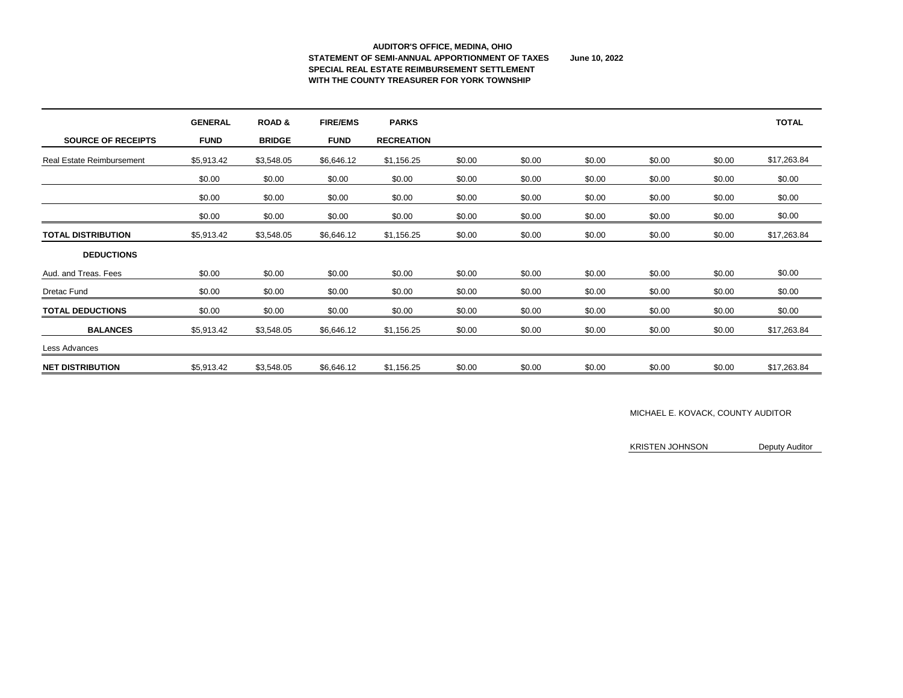#### **AUDITOR'S OFFICE, MEDINA, OHIO STATEMENT OF SEMI-ANNUAL APPORTIONMENT OF TAXES June 10, 2022 SPECIAL REAL ESTATE REIMBURSEMENT SETTLEMENT WITH THE COUNTY TREASURER FOR YORK TOWNSHIP**

|                                  | <b>GENERAL</b> | <b>ROAD &amp;</b> | <b>FIRE/EMS</b> | <b>PARKS</b>      |        |        |        |        |        | <b>TOTAL</b> |
|----------------------------------|----------------|-------------------|-----------------|-------------------|--------|--------|--------|--------|--------|--------------|
| <b>SOURCE OF RECEIPTS</b>        | <b>FUND</b>    | <b>BRIDGE</b>     | <b>FUND</b>     | <b>RECREATION</b> |        |        |        |        |        |              |
| <b>Real Estate Reimbursement</b> | \$5,913.42     | \$3,548.05        | \$6,646.12      | \$1,156.25        | \$0.00 | \$0.00 | \$0.00 | \$0.00 | \$0.00 | \$17,263.84  |
|                                  | \$0.00         | \$0.00            | \$0.00          | \$0.00            | \$0.00 | \$0.00 | \$0.00 | \$0.00 | \$0.00 | \$0.00       |
|                                  | \$0.00         | \$0.00            | \$0.00          | \$0.00            | \$0.00 | \$0.00 | \$0.00 | \$0.00 | \$0.00 | \$0.00       |
|                                  | \$0.00         | \$0.00            | \$0.00          | \$0.00            | \$0.00 | \$0.00 | \$0.00 | \$0.00 | \$0.00 | \$0.00       |
| <b>TOTAL DISTRIBUTION</b>        | \$5,913.42     | \$3,548.05        | \$6,646.12      | \$1,156.25        | \$0.00 | \$0.00 | \$0.00 | \$0.00 | \$0.00 | \$17,263.84  |
| <b>DEDUCTIONS</b>                |                |                   |                 |                   |        |        |        |        |        |              |
| Aud. and Treas. Fees             | \$0.00         | \$0.00            | \$0.00          | \$0.00            | \$0.00 | \$0.00 | \$0.00 | \$0.00 | \$0.00 | \$0.00       |
| <b>Dretac Fund</b>               | \$0.00         | \$0.00            | \$0.00          | \$0.00            | \$0.00 | \$0.00 | \$0.00 | \$0.00 | \$0.00 | \$0.00       |
| <b>TOTAL DEDUCTIONS</b>          | \$0.00         | \$0.00            | \$0.00          | \$0.00            | \$0.00 | \$0.00 | \$0.00 | \$0.00 | \$0.00 | \$0.00       |
| <b>BALANCES</b>                  | \$5,913.42     | \$3,548.05        | \$6,646.12      | \$1,156.25        | \$0.00 | \$0.00 | \$0.00 | \$0.00 | \$0.00 | \$17,263.84  |
| Less Advances                    |                |                   |                 |                   |        |        |        |        |        |              |
| <b>NET DISTRIBUTION</b>          | \$5,913.42     | \$3,548.05        | \$6,646.12      | \$1,156.25        | \$0.00 | \$0.00 | \$0.00 | \$0.00 | \$0.00 | \$17,263.84  |

### MICHAEL E. KOVACK, COUNTY AUDITOR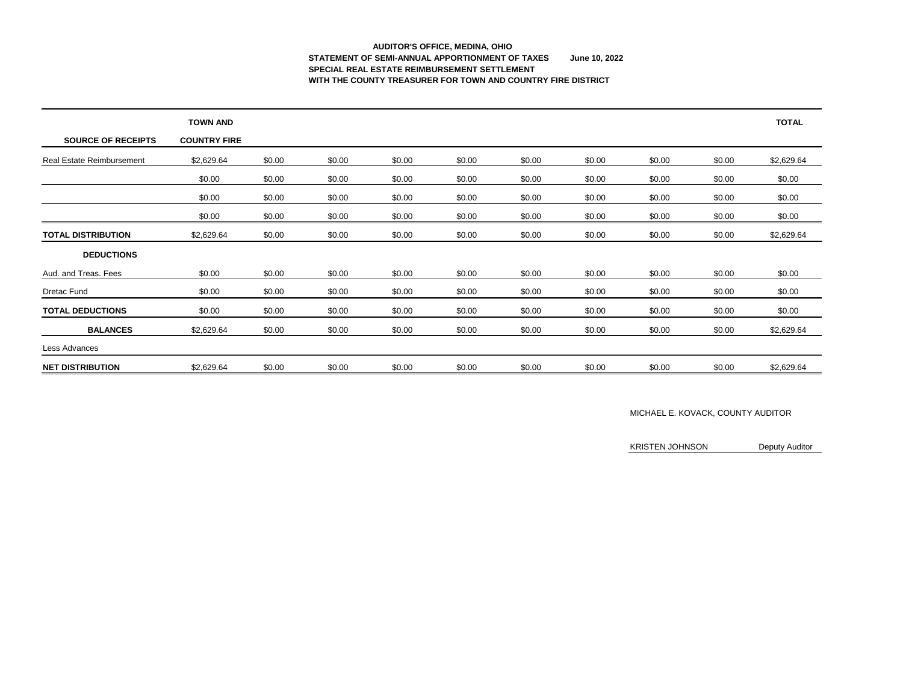# **AUDITOR'S OFFICE, MEDINA, OHIO STATEMENT OF SEMI-ANNUAL APPORTIONMENT OF TAXES June 10, 2022 SPECIAL REAL ESTATE REIMBURSEMENT SETTLEMENT WITH THE COUNTY TREASURER FOR TOWN AND COUNTRY FIRE DISTRICT**

|                                  | <b>TOWN AND</b>     |        |        |        |        |        |        |        |        | <b>TOTAL</b> |
|----------------------------------|---------------------|--------|--------|--------|--------|--------|--------|--------|--------|--------------|
| <b>SOURCE OF RECEIPTS</b>        | <b>COUNTRY FIRE</b> |        |        |        |        |        |        |        |        |              |
| <b>Real Estate Reimbursement</b> | \$2,629.64          | \$0.00 | \$0.00 | \$0.00 | \$0.00 | \$0.00 | \$0.00 | \$0.00 | \$0.00 | \$2,629.64   |
|                                  | \$0.00              | \$0.00 | \$0.00 | \$0.00 | \$0.00 | \$0.00 | \$0.00 | \$0.00 | \$0.00 | \$0.00       |
|                                  | \$0.00              | \$0.00 | \$0.00 | \$0.00 | \$0.00 | \$0.00 | \$0.00 | \$0.00 | \$0.00 | \$0.00       |
|                                  | \$0.00              | \$0.00 | \$0.00 | \$0.00 | \$0.00 | \$0.00 | \$0.00 | \$0.00 | \$0.00 | \$0.00       |
| <b>TOTAL DISTRIBUTION</b>        | \$2,629.64          | \$0.00 | \$0.00 | \$0.00 | \$0.00 | \$0.00 | \$0.00 | \$0.00 | \$0.00 | \$2,629.64   |
| <b>DEDUCTIONS</b>                |                     |        |        |        |        |        |        |        |        |              |
| Aud. and Treas. Fees             | \$0.00              | \$0.00 | \$0.00 | \$0.00 | \$0.00 | \$0.00 | \$0.00 | \$0.00 | \$0.00 | \$0.00       |
| <b>Dretac Fund</b>               | \$0.00              | \$0.00 | \$0.00 | \$0.00 | \$0.00 | \$0.00 | \$0.00 | \$0.00 | \$0.00 | \$0.00       |
| <b>TOTAL DEDUCTIONS</b>          | \$0.00              | \$0.00 | \$0.00 | \$0.00 | \$0.00 | \$0.00 | \$0.00 | \$0.00 | \$0.00 | \$0.00       |
| <b>BALANCES</b>                  | \$2,629.64          | \$0.00 | \$0.00 | \$0.00 | \$0.00 | \$0.00 | \$0.00 | \$0.00 | \$0.00 | \$2,629.64   |
| Less Advances                    |                     |        |        |        |        |        |        |        |        |              |
| <b>NET DISTRIBUTION</b>          | \$2,629.64          | \$0.00 | \$0.00 | \$0.00 | \$0.00 | \$0.00 | \$0.00 | \$0.00 | \$0.00 | \$2,629.64   |

### MICHAEL E. KOVACK, COUNTY AUDITOR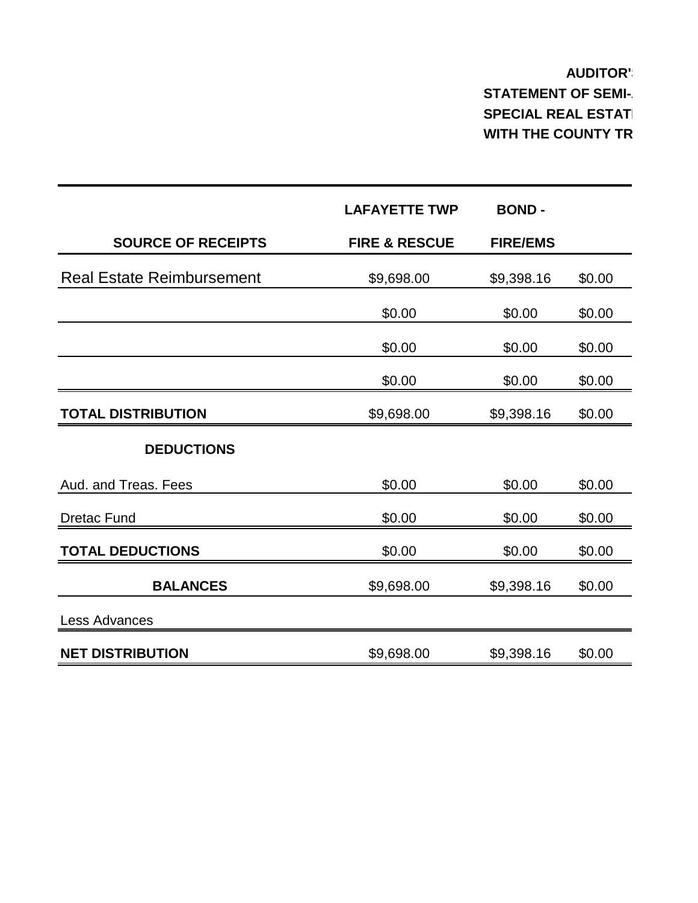#### **AUDITOR' STATEMENT OF SEMI-SPECIAL REAL ESTATE WITH THE COUNTY TR**

|                                  | <b>LAFAYETTE TWP</b>     | <b>BOND-</b>    |        |
|----------------------------------|--------------------------|-----------------|--------|
| <b>SOURCE OF RECEIPTS</b>        | <b>FIRE &amp; RESCUE</b> | <b>FIRE/EMS</b> |        |
| <b>Real Estate Reimbursement</b> | \$9,698.00               | \$9,398.16      | \$0.00 |
|                                  | \$0.00                   | \$0.00          | \$0.00 |
|                                  | \$0.00                   | \$0.00          | \$0.00 |
|                                  | \$0.00                   | \$0.00          | \$0.00 |
| <b>TOTAL DISTRIBUTION</b>        | \$9,698.00               | \$9,398.16      | \$0.00 |
| <b>DEDUCTIONS</b>                |                          |                 |        |
| Aud. and Treas. Fees             | \$0.00                   | \$0.00          | \$0.00 |
| <b>Dretac Fund</b>               | \$0.00                   | \$0.00          | \$0.00 |
| <b>TOTAL DEDUCTIONS</b>          | \$0.00                   | \$0.00          | \$0.00 |
| <b>BALANCES</b>                  | \$9,698.00               | \$9,398.16      | \$0.00 |
| <b>Less Advances</b>             |                          |                 |        |
| <b>NET DISTRIBUTION</b>          | \$9,698.00               | \$9,398.16      | \$0.00 |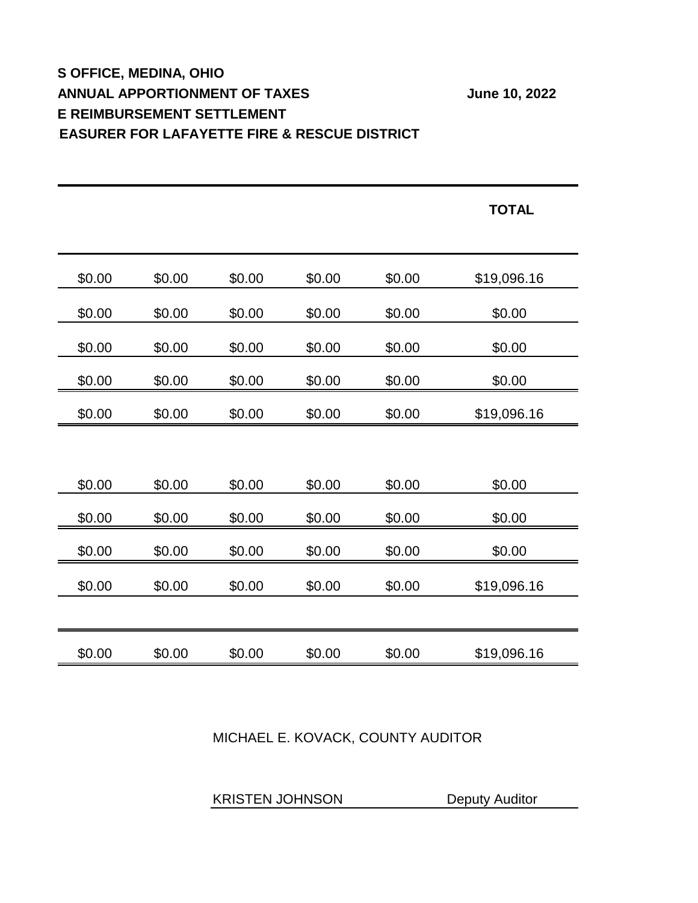#### **S OFFICE, MEDINA, OHIO ANNUAL APPORTIONMENT OF TAXES** June 10, 2022 **E REIMBURSEMENT SETTLEMENT EASURER FOR LAFAYETTE FIRE & RESCUE DISTRICT**

|        |        |        |        |        | <b>TOTAL</b> |
|--------|--------|--------|--------|--------|--------------|
|        |        |        |        |        |              |
| \$0.00 | \$0.00 | \$0.00 | \$0.00 | \$0.00 | \$19,096.16  |
| \$0.00 | \$0.00 | \$0.00 | \$0.00 | \$0.00 | \$0.00       |
| \$0.00 | \$0.00 | \$0.00 | \$0.00 | \$0.00 | \$0.00       |
| \$0.00 | \$0.00 | \$0.00 | \$0.00 | \$0.00 | \$0.00       |
| \$0.00 | \$0.00 | \$0.00 | \$0.00 | \$0.00 | \$19,096.16  |
|        |        |        |        |        |              |
| \$0.00 | \$0.00 | \$0.00 | \$0.00 | \$0.00 | \$0.00       |
| \$0.00 | \$0.00 | \$0.00 | \$0.00 | \$0.00 | \$0.00       |
| \$0.00 | \$0.00 | \$0.00 | \$0.00 | \$0.00 | \$0.00       |
| \$0.00 | \$0.00 | \$0.00 | \$0.00 | \$0.00 | \$19,096.16  |
|        |        |        |        |        |              |
| \$0.00 | \$0.00 | \$0.00 | \$0.00 | \$0.00 | \$19,096.16  |

MICHAEL E. KOVACK, COUNTY AUDITOR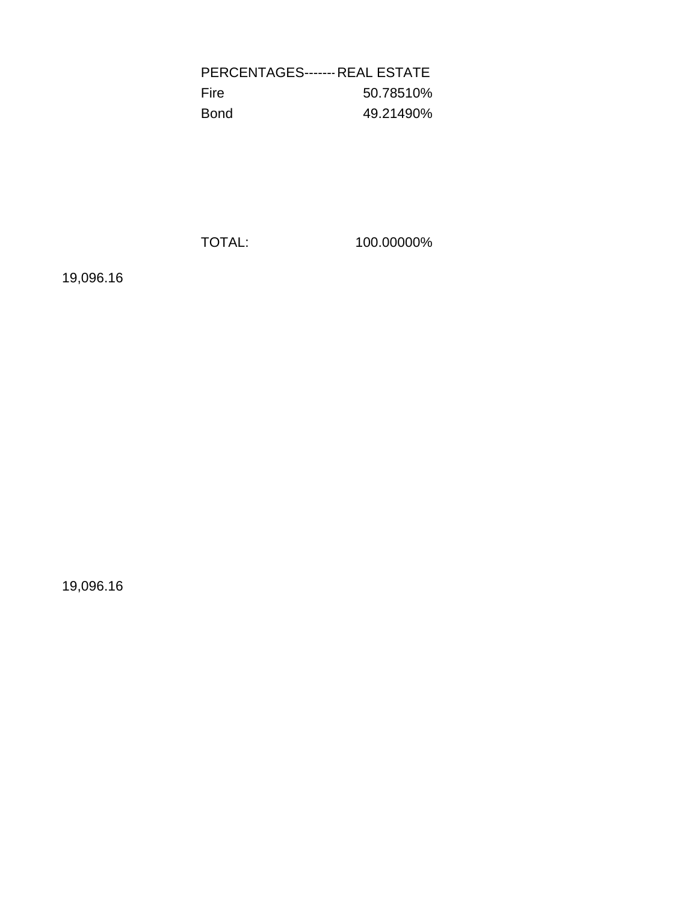PERCENTAGES------------ REAL ESTATE Fire 50.78510% Bond 49.21490%

TOTAL: 100.00000%

19,096.16

19,096.16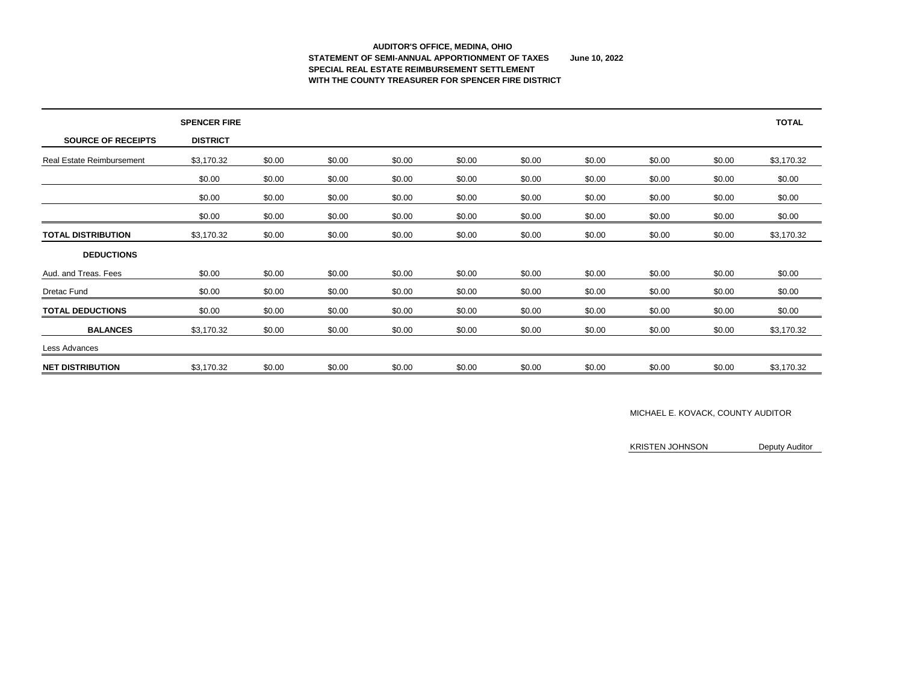### **AUDITOR'S OFFICE, MEDINA, OHIO STATEMENT OF SEMI-ANNUAL APPORTIONMENT OF TAXES June 10, 2022 SPECIAL REAL ESTATE REIMBURSEMENT SETTLEMENT WITH THE COUNTY TREASURER FOR SPENCER FIRE DISTRICT**

|                                  | <b>SPENCER FIRE</b> |        |        |        |        |        |        |        |        | <b>TOTAL</b> |
|----------------------------------|---------------------|--------|--------|--------|--------|--------|--------|--------|--------|--------------|
| <b>SOURCE OF RECEIPTS</b>        | <b>DISTRICT</b>     |        |        |        |        |        |        |        |        |              |
| <b>Real Estate Reimbursement</b> | \$3,170.32          | \$0.00 | \$0.00 | \$0.00 | \$0.00 | \$0.00 | \$0.00 | \$0.00 | \$0.00 | \$3,170.32   |
|                                  | \$0.00              | \$0.00 | \$0.00 | \$0.00 | \$0.00 | \$0.00 | \$0.00 | \$0.00 | \$0.00 | \$0.00       |
|                                  | \$0.00              | \$0.00 | \$0.00 | \$0.00 | \$0.00 | \$0.00 | \$0.00 | \$0.00 | \$0.00 | \$0.00       |
|                                  | \$0.00              | \$0.00 | \$0.00 | \$0.00 | \$0.00 | \$0.00 | \$0.00 | \$0.00 | \$0.00 | \$0.00       |
| <b>TOTAL DISTRIBUTION</b>        | \$3,170.32          | \$0.00 | \$0.00 | \$0.00 | \$0.00 | \$0.00 | \$0.00 | \$0.00 | \$0.00 | \$3,170.32   |
| <b>DEDUCTIONS</b>                |                     |        |        |        |        |        |        |        |        |              |
| Aud. and Treas. Fees             | \$0.00              | \$0.00 | \$0.00 | \$0.00 | \$0.00 | \$0.00 | \$0.00 | \$0.00 | \$0.00 | \$0.00       |
| Dretac Fund                      | \$0.00              | \$0.00 | \$0.00 | \$0.00 | \$0.00 | \$0.00 | \$0.00 | \$0.00 | \$0.00 | \$0.00       |
| <b>TOTAL DEDUCTIONS</b>          | \$0.00              | \$0.00 | \$0.00 | \$0.00 | \$0.00 | \$0.00 | \$0.00 | \$0.00 | \$0.00 | \$0.00       |
| <b>BALANCES</b>                  | \$3,170.32          | \$0.00 | \$0.00 | \$0.00 | \$0.00 | \$0.00 | \$0.00 | \$0.00 | \$0.00 | \$3,170.32   |
| Less Advances                    |                     |        |        |        |        |        |        |        |        |              |
| <b>NET DISTRIBUTION</b>          | \$3,170.32          | \$0.00 | \$0.00 | \$0.00 | \$0.00 | \$0.00 | \$0.00 | \$0.00 | \$0.00 | \$3,170.32   |

### MICHAEL E. KOVACK, COUNTY AUDITOR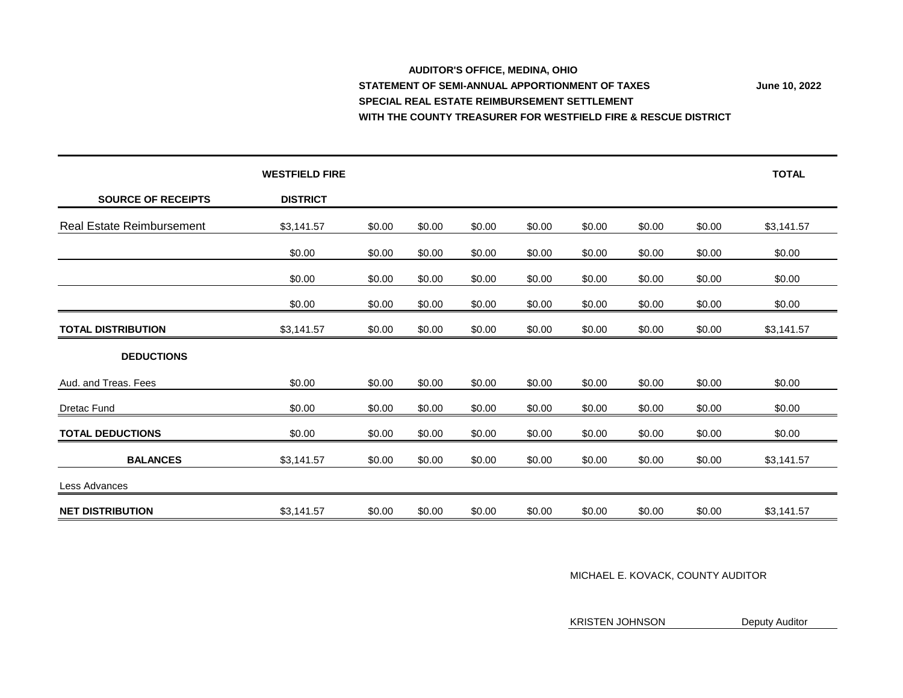#### **AUDITOR'S OFFICE, MEDINA, OHIO STATEMENT OF SEMI-ANNUAL APPORTIONMENT OF TAXES** June 10, 2022 **SPECIAL REAL ESTATE REIMBURSEMENT SETTLEMENT WITH THE COUNTY TREASURER FOR WESTFIELD FIRE & RESCUE DISTRICT**

**WESTFIELD FIRE TOTAL SOURCE OF RECEIPTS DISTRICT** Real Estate Reimbursement  $$3,141.57$   $$0.00$   $$0.00$   $$0.00$   $$0.00$   $$0.00$   $$0.00$   $$0.00$   $$0.00$   $$3,141.57$ \$0.00 \$0.00 \$0.00 \$0.00 \$0.00 \$0.00 \$0.00 \$0.00 \$0.00 \$0.00 \$0.00 \$0.00 \$0.00 \$0.00 \$0.00 \$0.00 \$0.00 \$0.00 \$0.00 \$0.00 \$0.00 \$0.00 \$0.00 \$0.00 \$0.00 \$0.00 \$0.00 **TOTAL DISTRIBUTION \$3,141.57** \$0.00 \$0.00 \$0.00 \$0.00 \$0.00 \$0.00 \$0.00 \$0.00 \$3,141.57 **DEDUCTIONS** Aud. and Treas. Fees **60.00** \$0.00 \$0.00 \$0.00 \$0.00 \$0.00 \$0.00 \$0.00 \$0.00 \$0.00 \$0.00 \$0.00 Dretac Fund \$0.00 \$0.00 \$0.00 \$0.00 \$0.00 \$0.00 \$0.00 \$0.00 \$0.00 **TOTAL DEDUCTIONS** 60.00 \$0.00 \$0.00 \$0.00 \$0.00 \$0.00 \$0.00 \$0.00 \$0.00 \$0.00 \$0.00 **BALANCES** \$3,141.57 \$0.00 \$0.00 \$0.00 \$0.00 \$0.00 \$0.00 \$0.00 \$3,141.57 Less Advances **NET DISTRIBUTION 53,141.57** \$0.00 \$0.00 \$0.00 \$0.00 \$0.00 \$0.00 \$0.00 \$0.00 \$0.00 \$3,141.57

MICHAEL E. KOVACK, COUNTY AUDITOR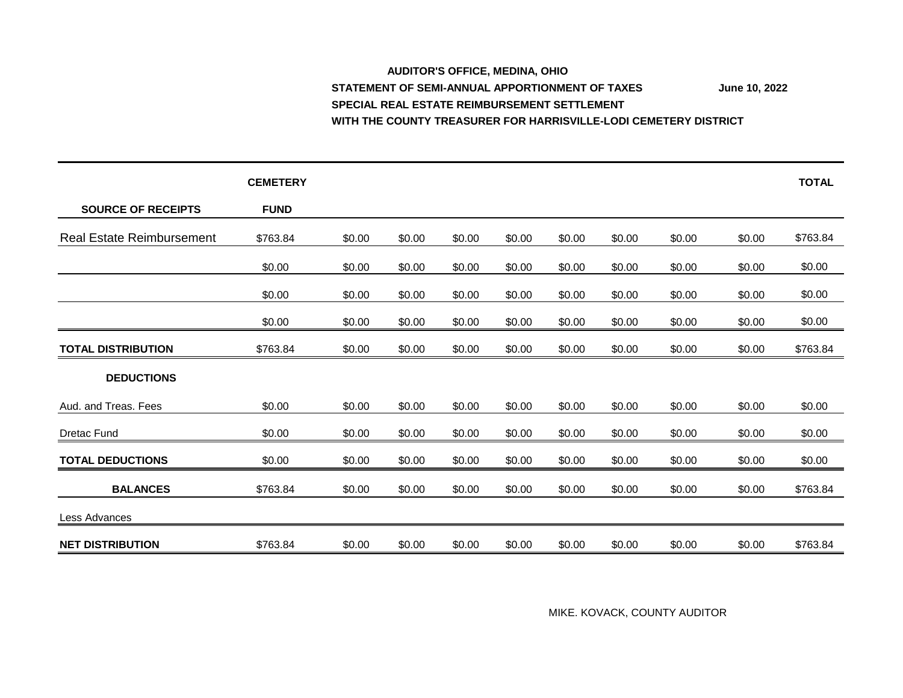#### **AUDITOR'S OFFICE, MEDINA, OHIO** STATEMENT OF SEMI-ANNUAL APPORTIONMENT OF TAXES June 10, 2022 **SPECIAL REAL ESTATE REIMBURSEMENT SETTLEMENT WITH THE COUNTY TREASURER FOR HARRISVILLE-LODI CEMETERY DISTRICT**

|                                  | <b>CEMETERY</b> |        |        |        |        |        |        |        |        | <b>TOTAL</b> |
|----------------------------------|-----------------|--------|--------|--------|--------|--------|--------|--------|--------|--------------|
| <b>SOURCE OF RECEIPTS</b>        | <b>FUND</b>     |        |        |        |        |        |        |        |        |              |
| <b>Real Estate Reimbursement</b> | \$763.84        | \$0.00 | \$0.00 | \$0.00 | \$0.00 | \$0.00 | \$0.00 | \$0.00 | \$0.00 | \$763.84     |
|                                  | \$0.00          | \$0.00 | \$0.00 | \$0.00 | \$0.00 | \$0.00 | \$0.00 | \$0.00 | \$0.00 | \$0.00       |
|                                  | \$0.00          | \$0.00 | \$0.00 | \$0.00 | \$0.00 | \$0.00 | \$0.00 | \$0.00 | \$0.00 | \$0.00       |
|                                  | \$0.00          | \$0.00 | \$0.00 | \$0.00 | \$0.00 | \$0.00 | \$0.00 | \$0.00 | \$0.00 | \$0.00       |
| <b>TOTAL DISTRIBUTION</b>        | \$763.84        | \$0.00 | \$0.00 | \$0.00 | \$0.00 | \$0.00 | \$0.00 | \$0.00 | \$0.00 | \$763.84     |
| <b>DEDUCTIONS</b>                |                 |        |        |        |        |        |        |        |        |              |
| Aud. and Treas. Fees             | \$0.00          | \$0.00 | \$0.00 | \$0.00 | \$0.00 | \$0.00 | \$0.00 | \$0.00 | \$0.00 | \$0.00       |
| Dretac Fund                      | \$0.00          | \$0.00 | \$0.00 | \$0.00 | \$0.00 | \$0.00 | \$0.00 | \$0.00 | \$0.00 | \$0.00       |
| <b>TOTAL DEDUCTIONS</b>          | \$0.00          | \$0.00 | \$0.00 | \$0.00 | \$0.00 | \$0.00 | \$0.00 | \$0.00 | \$0.00 | \$0.00       |
| <b>BALANCES</b>                  | \$763.84        | \$0.00 | \$0.00 | \$0.00 | \$0.00 | \$0.00 | \$0.00 | \$0.00 | \$0.00 | \$763.84     |
| Less Advances                    |                 |        |        |        |        |        |        |        |        |              |
| <b>NET DISTRIBUTION</b>          | \$763.84        | \$0.00 | \$0.00 | \$0.00 | \$0.00 | \$0.00 | \$0.00 | \$0.00 | \$0.00 | \$763.84     |

MIKE. KOVACK, COUNTY AUDITOR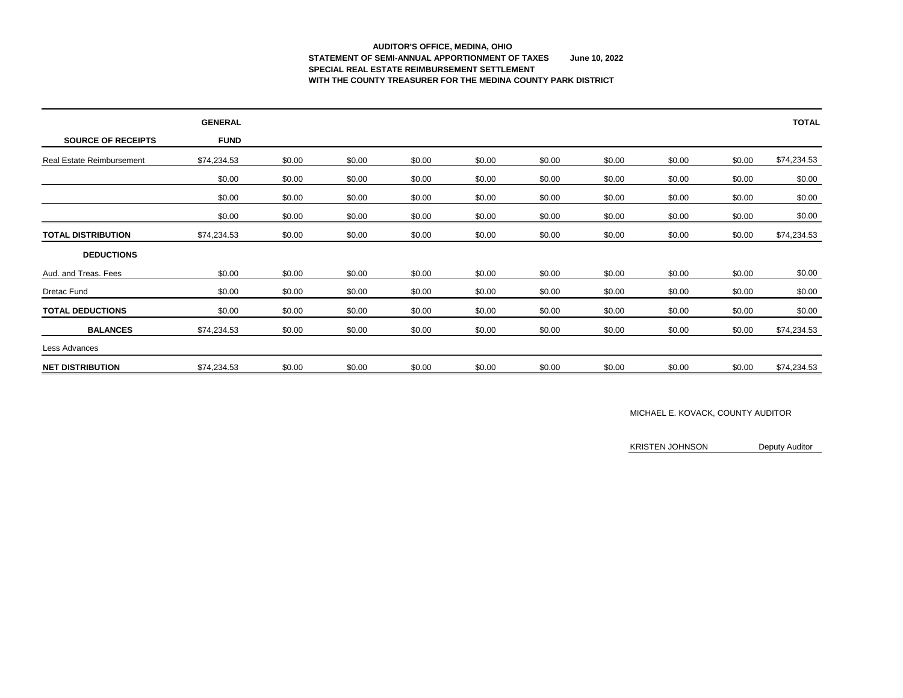# **AUDITOR'S OFFICE, MEDINA, OHIO STATEMENT OF SEMI-ANNUAL APPORTIONMENT OF TAXES June 10, 2022 SPECIAL REAL ESTATE REIMBURSEMENT SETTLEMENT WITH THE COUNTY TREASURER FOR THE MEDINA COUNTY PARK DISTRICT**

|                                  | <b>GENERAL</b> |        |        |        |        |        |        |        |        | <b>TOTAL</b> |
|----------------------------------|----------------|--------|--------|--------|--------|--------|--------|--------|--------|--------------|
| <b>SOURCE OF RECEIPTS</b>        | <b>FUND</b>    |        |        |        |        |        |        |        |        |              |
| <b>Real Estate Reimbursement</b> | \$74,234.53    | \$0.00 | \$0.00 | \$0.00 | \$0.00 | \$0.00 | \$0.00 | \$0.00 | \$0.00 | \$74,234.53  |
|                                  | \$0.00         | \$0.00 | \$0.00 | \$0.00 | \$0.00 | \$0.00 | \$0.00 | \$0.00 | \$0.00 | \$0.00       |
|                                  | \$0.00         | \$0.00 | \$0.00 | \$0.00 | \$0.00 | \$0.00 | \$0.00 | \$0.00 | \$0.00 | \$0.00       |
|                                  | \$0.00         | \$0.00 | \$0.00 | \$0.00 | \$0.00 | \$0.00 | \$0.00 | \$0.00 | \$0.00 | \$0.00       |
| <b>TOTAL DISTRIBUTION</b>        | \$74,234.53    | \$0.00 | \$0.00 | \$0.00 | \$0.00 | \$0.00 | \$0.00 | \$0.00 | \$0.00 | \$74,234.53  |
| <b>DEDUCTIONS</b>                |                |        |        |        |        |        |        |        |        |              |
| Aud. and Treas. Fees             | \$0.00         | \$0.00 | \$0.00 | \$0.00 | \$0.00 | \$0.00 | \$0.00 | \$0.00 | \$0.00 | \$0.00       |
| <b>Dretac Fund</b>               | \$0.00         | \$0.00 | \$0.00 | \$0.00 | \$0.00 | \$0.00 | \$0.00 | \$0.00 | \$0.00 | \$0.00       |
| <b>TOTAL DEDUCTIONS</b>          | \$0.00         | \$0.00 | \$0.00 | \$0.00 | \$0.00 | \$0.00 | \$0.00 | \$0.00 | \$0.00 | \$0.00       |
| <b>BALANCES</b>                  | \$74,234.53    | \$0.00 | \$0.00 | \$0.00 | \$0.00 | \$0.00 | \$0.00 | \$0.00 | \$0.00 | \$74,234.53  |
| Less Advances                    |                |        |        |        |        |        |        |        |        |              |
| <b>NET DISTRIBUTION</b>          | \$74,234.53    | \$0.00 | \$0.00 | \$0.00 | \$0.00 | \$0.00 | \$0.00 | \$0.00 | \$0.00 | \$74,234.53  |

### MICHAEL E. KOVACK, COUNTY AUDITOR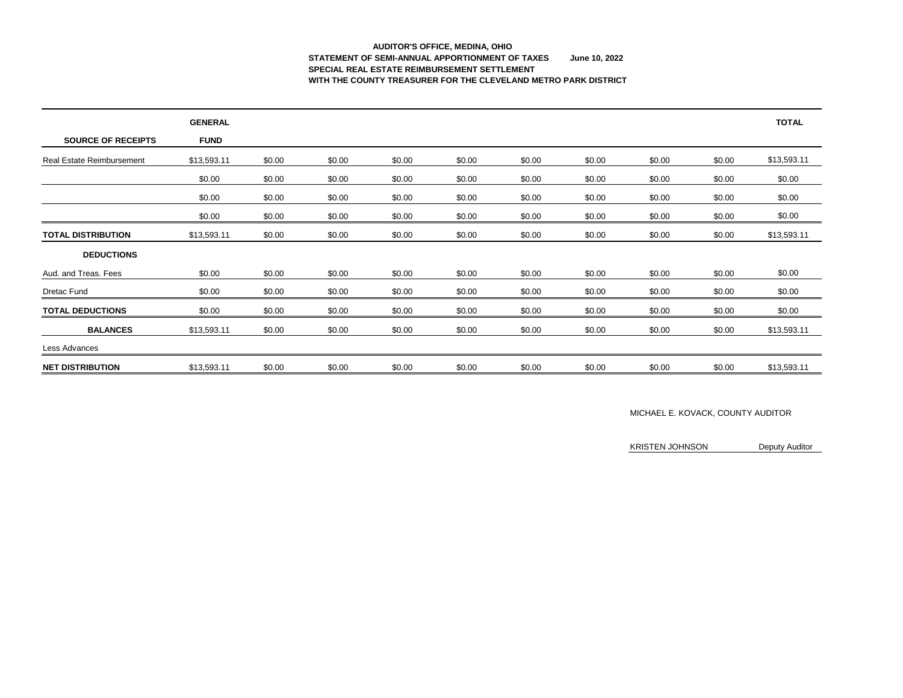# **AUDITOR'S OFFICE, MEDINA, OHIO STATEMENT OF SEMI-ANNUAL APPORTIONMENT OF TAXES June 10, 2022 SPECIAL REAL ESTATE REIMBURSEMENT SETTLEMENT WITH THE COUNTY TREASURER FOR THE CLEVELAND METRO PARK DISTRICT**

|                                  | <b>GENERAL</b> |        |        |        |        |        |        |        |        | <b>TOTAL</b> |
|----------------------------------|----------------|--------|--------|--------|--------|--------|--------|--------|--------|--------------|
| <b>SOURCE OF RECEIPTS</b>        | <b>FUND</b>    |        |        |        |        |        |        |        |        |              |
| <b>Real Estate Reimbursement</b> | \$13,593.11    | \$0.00 | \$0.00 | \$0.00 | \$0.00 | \$0.00 | \$0.00 | \$0.00 | \$0.00 | \$13,593.11  |
|                                  | \$0.00         | \$0.00 | \$0.00 | \$0.00 | \$0.00 | \$0.00 | \$0.00 | \$0.00 | \$0.00 | \$0.00       |
|                                  | \$0.00         | \$0.00 | \$0.00 | \$0.00 | \$0.00 | \$0.00 | \$0.00 | \$0.00 | \$0.00 | \$0.00       |
|                                  | \$0.00         | \$0.00 | \$0.00 | \$0.00 | \$0.00 | \$0.00 | \$0.00 | \$0.00 | \$0.00 | \$0.00       |
| <b>TOTAL DISTRIBUTION</b>        | \$13,593.11    | \$0.00 | \$0.00 | \$0.00 | \$0.00 | \$0.00 | \$0.00 | \$0.00 | \$0.00 | \$13,593.11  |
| <b>DEDUCTIONS</b>                |                |        |        |        |        |        |        |        |        |              |
| Aud. and Treas. Fees             | \$0.00         | \$0.00 | \$0.00 | \$0.00 | \$0.00 | \$0.00 | \$0.00 | \$0.00 | \$0.00 | \$0.00       |
| <b>Dretac Fund</b>               | \$0.00         | \$0.00 | \$0.00 | \$0.00 | \$0.00 | \$0.00 | \$0.00 | \$0.00 | \$0.00 | \$0.00       |
| <b>TOTAL DEDUCTIONS</b>          | \$0.00         | \$0.00 | \$0.00 | \$0.00 | \$0.00 | \$0.00 | \$0.00 | \$0.00 | \$0.00 | \$0.00       |
| <b>BALANCES</b>                  | \$13,593.11    | \$0.00 | \$0.00 | \$0.00 | \$0.00 | \$0.00 | \$0.00 | \$0.00 | \$0.00 | \$13,593.11  |
| Less Advances                    |                |        |        |        |        |        |        |        |        |              |
| <b>NET DISTRIBUTION</b>          | \$13,593.11    | \$0.00 | \$0.00 | \$0.00 | \$0.00 | \$0.00 | \$0.00 | \$0.00 | \$0.00 | \$13,593.11  |

### MICHAEL E. KOVACK, COUNTY AUDITOR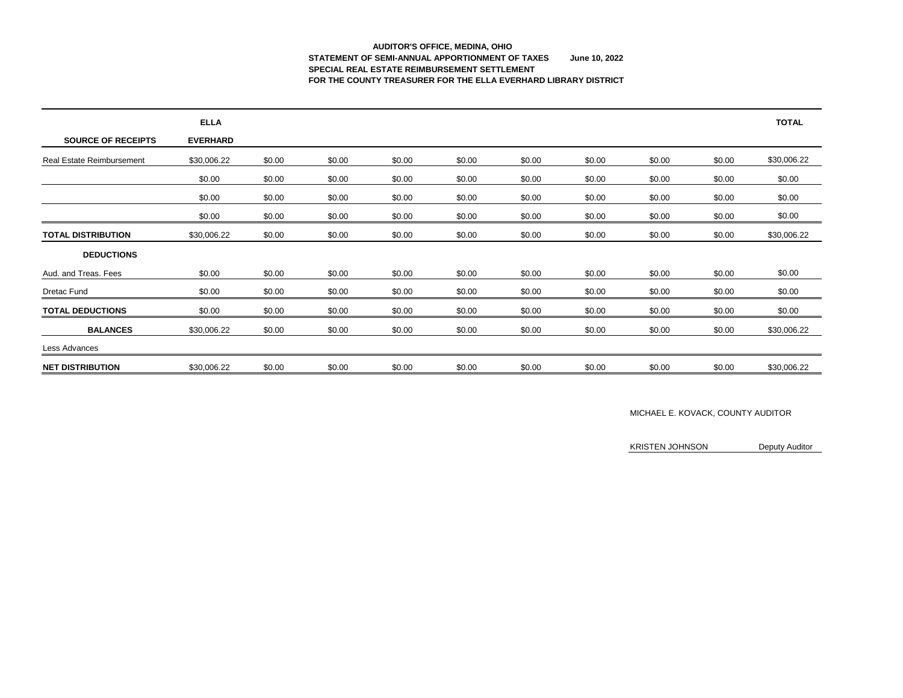# **AUDITOR'S OFFICE, MEDINA, OHIO STATEMENT OF SEMI-ANNUAL APPORTIONMENT OF TAXES June 10, 2022 SPECIAL REAL ESTATE REIMBURSEMENT SETTLEMENT FOR THE COUNTY TREASURER FOR THE ELLA EVERHARD LIBRARY DISTRICT**

|                                  | <b>ELLA</b>     |        |        |        |        |        |        |        |        | <b>TOTAL</b> |
|----------------------------------|-----------------|--------|--------|--------|--------|--------|--------|--------|--------|--------------|
| <b>SOURCE OF RECEIPTS</b>        | <b>EVERHARD</b> |        |        |        |        |        |        |        |        |              |
| <b>Real Estate Reimbursement</b> | \$30,006.22     | \$0.00 | \$0.00 | \$0.00 | \$0.00 | \$0.00 | \$0.00 | \$0.00 | \$0.00 | \$30,006.22  |
|                                  | \$0.00          | \$0.00 | \$0.00 | \$0.00 | \$0.00 | \$0.00 | \$0.00 | \$0.00 | \$0.00 | \$0.00       |
|                                  | \$0.00          | \$0.00 | \$0.00 | \$0.00 | \$0.00 | \$0.00 | \$0.00 | \$0.00 | \$0.00 | \$0.00       |
|                                  | \$0.00          | \$0.00 | \$0.00 | \$0.00 | \$0.00 | \$0.00 | \$0.00 | \$0.00 | \$0.00 | \$0.00       |
| <b>TOTAL DISTRIBUTION</b>        | \$30,006.22     | \$0.00 | \$0.00 | \$0.00 | \$0.00 | \$0.00 | \$0.00 | \$0.00 | \$0.00 | \$30,006.22  |
| <b>DEDUCTIONS</b>                |                 |        |        |        |        |        |        |        |        |              |
| Aud. and Treas. Fees             | \$0.00          | \$0.00 | \$0.00 | \$0.00 | \$0.00 | \$0.00 | \$0.00 | \$0.00 | \$0.00 | \$0.00       |
| Dretac Fund                      | \$0.00          | \$0.00 | \$0.00 | \$0.00 | \$0.00 | \$0.00 | \$0.00 | \$0.00 | \$0.00 | \$0.00       |
| <b>TOTAL DEDUCTIONS</b>          | \$0.00          | \$0.00 | \$0.00 | \$0.00 | \$0.00 | \$0.00 | \$0.00 | \$0.00 | \$0.00 | \$0.00       |
| <b>BALANCES</b>                  | \$30,006.22     | \$0.00 | \$0.00 | \$0.00 | \$0.00 | \$0.00 | \$0.00 | \$0.00 | \$0.00 | \$30,006.22  |
| Less Advances                    |                 |        |        |        |        |        |        |        |        |              |
| <b>NET DISTRIBUTION</b>          | \$30,006.22     | \$0.00 | \$0.00 | \$0.00 | \$0.00 | \$0.00 | \$0.00 | \$0.00 | \$0.00 | \$30,006.22  |

### MICHAEL E. KOVACK, COUNTY AUDITOR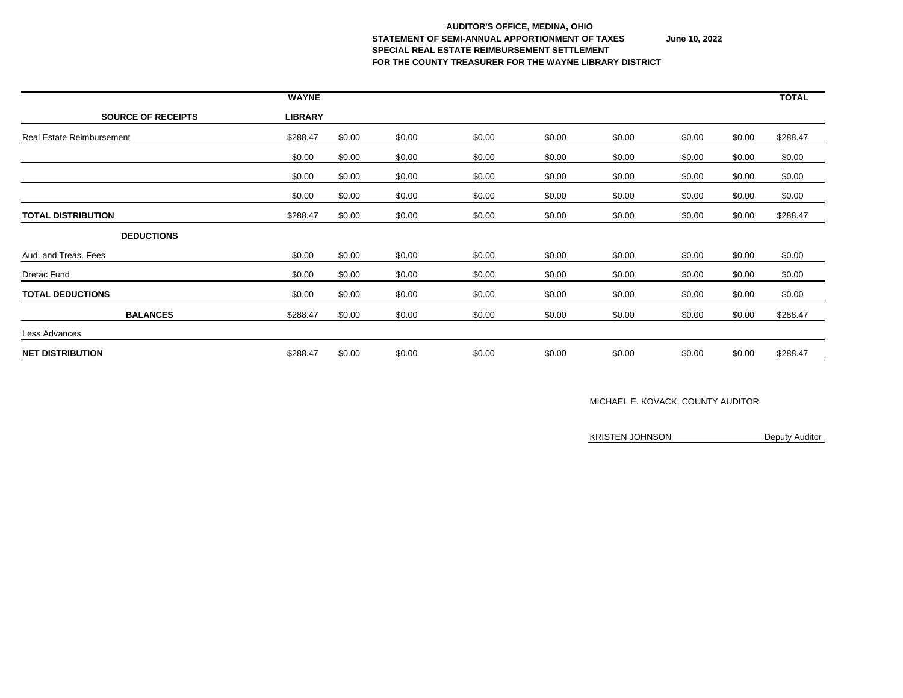#### **AUDITOR'S OFFICE, MEDINA, OHIO STATEMENT OF SEMI-ANNUAL APPORTIONMENT OF TAXES June 10, 2022 SPECIAL REAL ESTATE REIMBURSEMENT SETTLEMENT FOR THE COUNTY TREASURER FOR THE WAYNE LIBRARY DISTRICT**

|                                  | <b>WAYNE</b>   |        |        |        |        |        |        |        | <b>TOTAL</b> |
|----------------------------------|----------------|--------|--------|--------|--------|--------|--------|--------|--------------|
| <b>SOURCE OF RECEIPTS</b>        | <b>LIBRARY</b> |        |        |        |        |        |        |        |              |
| <b>Real Estate Reimbursement</b> | \$288.47       | \$0.00 | \$0.00 | \$0.00 | \$0.00 | \$0.00 | \$0.00 | \$0.00 | \$288.47     |
|                                  | \$0.00         | \$0.00 | \$0.00 | \$0.00 | \$0.00 | \$0.00 | \$0.00 | \$0.00 | \$0.00       |
|                                  | \$0.00         | \$0.00 | \$0.00 | \$0.00 | \$0.00 | \$0.00 | \$0.00 | \$0.00 | \$0.00       |
|                                  | \$0.00         | \$0.00 | \$0.00 | \$0.00 | \$0.00 | \$0.00 | \$0.00 | \$0.00 | \$0.00       |
| <b>TOTAL DISTRIBUTION</b>        | \$288.47       | \$0.00 | \$0.00 | \$0.00 | \$0.00 | \$0.00 | \$0.00 | \$0.00 | \$288.47     |
| <b>DEDUCTIONS</b>                |                |        |        |        |        |        |        |        |              |
| Aud. and Treas. Fees             | \$0.00         | \$0.00 | \$0.00 | \$0.00 | \$0.00 | \$0.00 | \$0.00 | \$0.00 | \$0.00       |
| <b>Dretac Fund</b>               | \$0.00         | \$0.00 | \$0.00 | \$0.00 | \$0.00 | \$0.00 | \$0.00 | \$0.00 | \$0.00       |
| <b>TOTAL DEDUCTIONS</b>          | \$0.00         | \$0.00 | \$0.00 | \$0.00 | \$0.00 | \$0.00 | \$0.00 | \$0.00 | \$0.00       |
| <b>BALANCES</b>                  | \$288.47       | \$0.00 | \$0.00 | \$0.00 | \$0.00 | \$0.00 | \$0.00 | \$0.00 | \$288.47     |
| Less Advances                    |                |        |        |        |        |        |        |        |              |
| <b>NET DISTRIBUTION</b>          | \$288.47       | \$0.00 | \$0.00 | \$0.00 | \$0.00 | \$0.00 | \$0.00 | \$0.00 | \$288.47     |

### MICHAEL E. KOVACK, COUNTY AUDITOR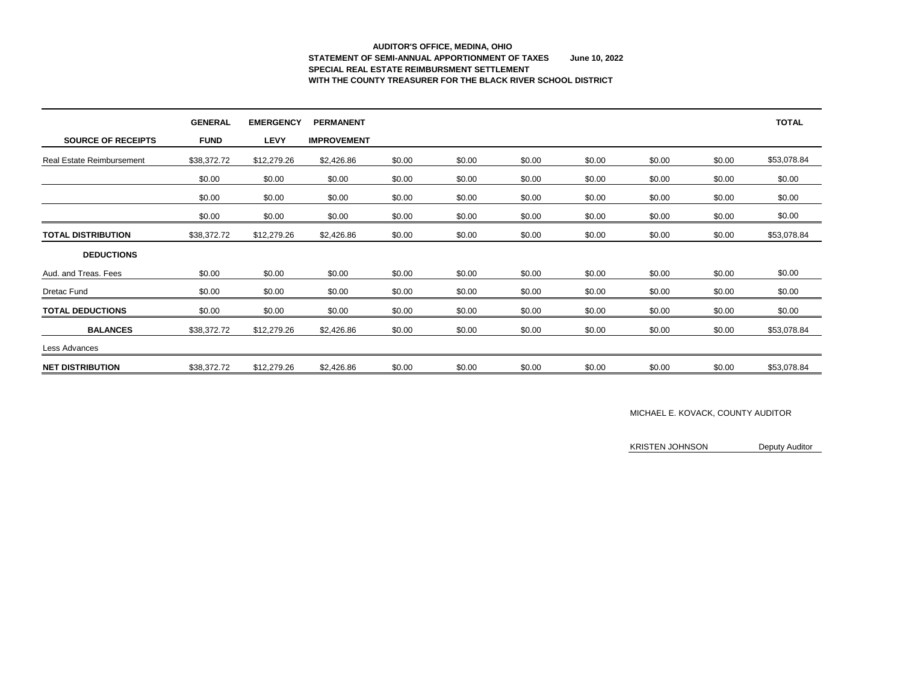# **AUDITOR'S OFFICE, MEDINA, OHIO STATEMENT OF SEMI-ANNUAL APPORTIONMENT OF TAXES June 10, 2022 SPECIAL REAL ESTATE REIMBURSMENT SETTLEMENT WITH THE COUNTY TREASURER FOR THE BLACK RIVER SCHOOL DISTRICT**

|                                  | <b>GENERAL</b> | <b>EMERGENCY</b> | <b>PERMANENT</b>   |        |        |        |        |        |        | <b>TOTAL</b> |
|----------------------------------|----------------|------------------|--------------------|--------|--------|--------|--------|--------|--------|--------------|
| <b>SOURCE OF RECEIPTS</b>        | <b>FUND</b>    | <b>LEVY</b>      | <b>IMPROVEMENT</b> |        |        |        |        |        |        |              |
| <b>Real Estate Reimbursement</b> | \$38,372.72    | \$12,279.26      | \$2,426.86         | \$0.00 | \$0.00 | \$0.00 | \$0.00 | \$0.00 | \$0.00 | \$53,078.84  |
|                                  | \$0.00         | \$0.00           | \$0.00             | \$0.00 | \$0.00 | \$0.00 | \$0.00 | \$0.00 | \$0.00 | \$0.00       |
|                                  | \$0.00         | \$0.00           | \$0.00             | \$0.00 | \$0.00 | \$0.00 | \$0.00 | \$0.00 | \$0.00 | \$0.00       |
|                                  | \$0.00         | \$0.00           | \$0.00             | \$0.00 | \$0.00 | \$0.00 | \$0.00 | \$0.00 | \$0.00 | \$0.00       |
| <b>TOTAL DISTRIBUTION</b>        | \$38,372.72    | \$12,279.26      | \$2,426.86         | \$0.00 | \$0.00 | \$0.00 | \$0.00 | \$0.00 | \$0.00 | \$53,078.84  |
| <b>DEDUCTIONS</b>                |                |                  |                    |        |        |        |        |        |        |              |
| Aud. and Treas. Fees             | \$0.00         | \$0.00           | \$0.00             | \$0.00 | \$0.00 | \$0.00 | \$0.00 | \$0.00 | \$0.00 | \$0.00       |
| <b>Dretac Fund</b>               | \$0.00         | \$0.00           | \$0.00             | \$0.00 | \$0.00 | \$0.00 | \$0.00 | \$0.00 | \$0.00 | \$0.00       |
| <b>TOTAL DEDUCTIONS</b>          | \$0.00         | \$0.00           | \$0.00             | \$0.00 | \$0.00 | \$0.00 | \$0.00 | \$0.00 | \$0.00 | \$0.00       |
| <b>BALANCES</b>                  | \$38,372.72    | \$12,279.26      | \$2,426.86         | \$0.00 | \$0.00 | \$0.00 | \$0.00 | \$0.00 | \$0.00 | \$53,078.84  |
| Less Advances                    |                |                  |                    |        |        |        |        |        |        |              |
| <b>NET DISTRIBUTION</b>          | \$38,372.72    | \$12,279.26      | \$2,426.86         | \$0.00 | \$0.00 | \$0.00 | \$0.00 | \$0.00 | \$0.00 | \$53,078.84  |

### MICHAEL E. KOVACK, COUNTY AUDITOR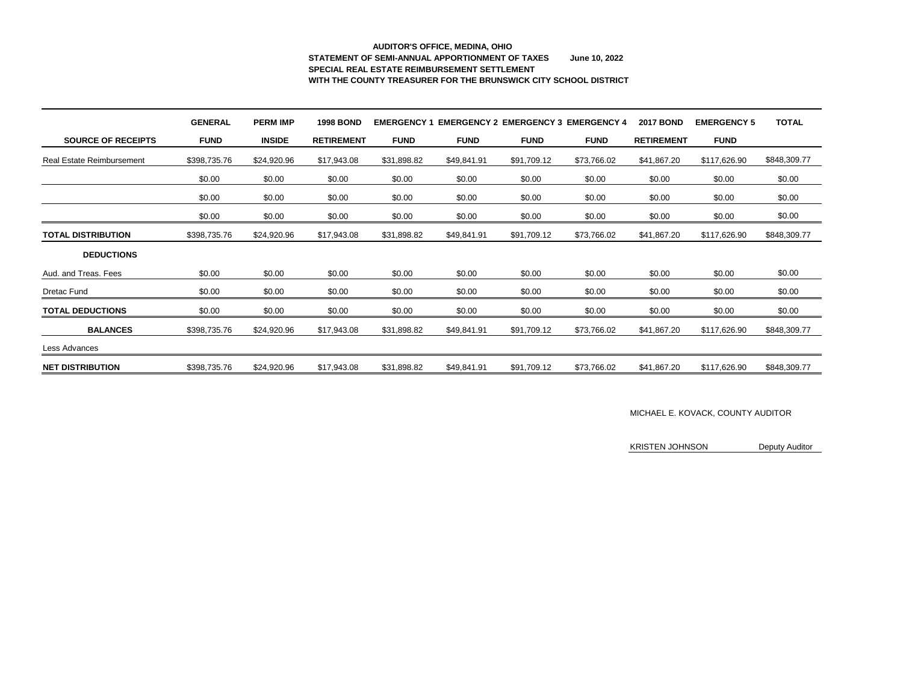# **AUDITOR'S OFFICE, MEDINA, OHIO STATEMENT OF SEMI-ANNUAL APPORTIONMENT OF TAXES June 10, 2022 SPECIAL REAL ESTATE REIMBURSEMENT SETTLEMENT WITH THE COUNTY TREASURER FOR THE BRUNSWICK CITY SCHOOL DISTRICT**

|                                  | <b>GENERAL</b> | <b>PERM IMP</b> | <b>1998 BOND</b>  | <b>EMERGENCY</b> |             | <b>EMERGENCY 2 EMERGENCY 3</b> | <b>EMERGENCY 4</b> | <b>2017 BOND</b>  | <b>EMERGENCY 5</b> | <b>TOTAL</b> |
|----------------------------------|----------------|-----------------|-------------------|------------------|-------------|--------------------------------|--------------------|-------------------|--------------------|--------------|
| <b>SOURCE OF RECEIPTS</b>        | <b>FUND</b>    | <b>INSIDE</b>   | <b>RETIREMENT</b> | <b>FUND</b>      | <b>FUND</b> | <b>FUND</b>                    | <b>FUND</b>        | <b>RETIREMENT</b> | <b>FUND</b>        |              |
| <b>Real Estate Reimbursement</b> | \$398,735.76   | \$24,920.96     | \$17,943.08       | \$31,898.82      | \$49,841.91 | \$91,709.12                    | \$73,766.02        | \$41,867.20       | \$117,626.90       | \$848,309.77 |
|                                  | \$0.00         | \$0.00          | \$0.00            | \$0.00           | \$0.00      | \$0.00                         | \$0.00             | \$0.00            | \$0.00             | \$0.00       |
|                                  | \$0.00         | \$0.00          | \$0.00            | \$0.00           | \$0.00      | \$0.00                         | \$0.00             | \$0.00            | \$0.00             | \$0.00       |
|                                  | \$0.00         | \$0.00          | \$0.00            | \$0.00           | \$0.00      | \$0.00                         | \$0.00             | \$0.00            | \$0.00             | \$0.00       |
| <b>TOTAL DISTRIBUTION</b>        | \$398,735.76   | \$24,920.96     | \$17,943.08       | \$31,898.82      | \$49,841.91 | \$91,709.12                    | \$73,766.02        | \$41,867.20       | \$117,626.90       | \$848,309.77 |
| <b>DEDUCTIONS</b>                |                |                 |                   |                  |             |                                |                    |                   |                    |              |
| Aud. and Treas. Fees             | \$0.00         | \$0.00          | \$0.00            | \$0.00           | \$0.00      | \$0.00                         | \$0.00             | \$0.00            | \$0.00             | \$0.00       |
| <b>Dretac Fund</b>               | \$0.00         | \$0.00          | \$0.00            | \$0.00           | \$0.00      | \$0.00                         | \$0.00             | \$0.00            | \$0.00             | \$0.00       |
| <b>TOTAL DEDUCTIONS</b>          | \$0.00         | \$0.00          | \$0.00            | \$0.00           | \$0.00      | \$0.00                         | \$0.00             | \$0.00            | \$0.00             | \$0.00       |
| <b>BALANCES</b>                  | \$398,735.76   | \$24,920.96     | \$17,943.08       | \$31,898.82      | \$49,841.91 | \$91,709.12                    | \$73,766.02        | \$41,867.20       | \$117,626.90       | \$848,309.77 |
| Less Advances                    |                |                 |                   |                  |             |                                |                    |                   |                    |              |
| <b>NET DISTRIBUTION</b>          | \$398,735.76   | \$24,920.96     | \$17,943.08       | \$31,898.82      | \$49,841.91 | \$91,709.12                    | \$73,766.02        | \$41,867.20       | \$117,626.90       | \$848,309.77 |

#### MICHAEL E. KOVACK, COUNTY AUDITOR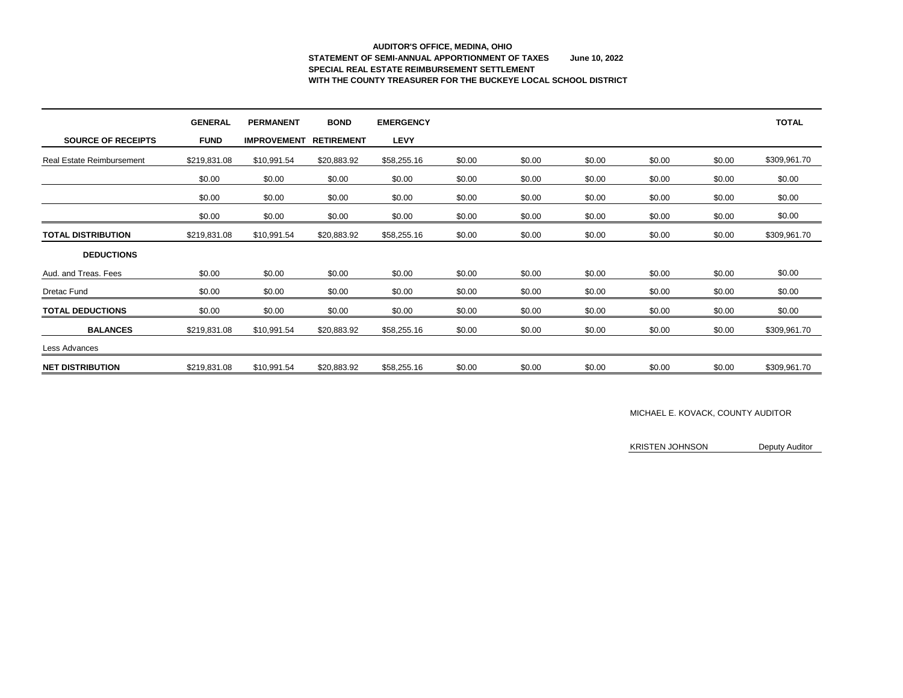# **AUDITOR'S OFFICE, MEDINA, OHIO STATEMENT OF SEMI-ANNUAL APPORTIONMENT OF TAXES June 10, 2022 SPECIAL REAL ESTATE REIMBURSEMENT SETTLEMENT WITH THE COUNTY TREASURER FOR THE BUCKEYE LOCAL SCHOOL DISTRICT**

|                                  | <b>GENERAL</b> | <b>PERMANENT</b>   | <b>BOND</b>       | <b>EMERGENCY</b> |        |        |        |        |        | <b>TOTAL</b> |
|----------------------------------|----------------|--------------------|-------------------|------------------|--------|--------|--------|--------|--------|--------------|
| <b>SOURCE OF RECEIPTS</b>        | <b>FUND</b>    | <b>IMPROVEMENT</b> | <b>RETIREMENT</b> | <b>LEVY</b>      |        |        |        |        |        |              |
| <b>Real Estate Reimbursement</b> | \$219,831.08   | \$10,991.54        | \$20,883.92       | \$58,255.16      | \$0.00 | \$0.00 | \$0.00 | \$0.00 | \$0.00 | \$309,961.70 |
|                                  | \$0.00         | \$0.00             | \$0.00            | \$0.00           | \$0.00 | \$0.00 | \$0.00 | \$0.00 | \$0.00 | \$0.00       |
|                                  | \$0.00         | \$0.00             | \$0.00            | \$0.00           | \$0.00 | \$0.00 | \$0.00 | \$0.00 | \$0.00 | \$0.00       |
|                                  | \$0.00         | \$0.00             | \$0.00            | \$0.00           | \$0.00 | \$0.00 | \$0.00 | \$0.00 | \$0.00 | \$0.00       |
| <b>TOTAL DISTRIBUTION</b>        | \$219,831.08   | \$10,991.54        | \$20,883.92       | \$58,255.16      | \$0.00 | \$0.00 | \$0.00 | \$0.00 | \$0.00 | \$309,961.70 |
| <b>DEDUCTIONS</b>                |                |                    |                   |                  |        |        |        |        |        |              |
| Aud. and Treas. Fees             | \$0.00         | \$0.00             | \$0.00            | \$0.00           | \$0.00 | \$0.00 | \$0.00 | \$0.00 | \$0.00 | \$0.00       |
| <b>Dretac Fund</b>               | \$0.00         | \$0.00             | \$0.00            | \$0.00           | \$0.00 | \$0.00 | \$0.00 | \$0.00 | \$0.00 | \$0.00       |
| <b>TOTAL DEDUCTIONS</b>          | \$0.00         | \$0.00             | \$0.00            | \$0.00           | \$0.00 | \$0.00 | \$0.00 | \$0.00 | \$0.00 | \$0.00       |
| <b>BALANCES</b>                  | \$219,831.08   | \$10,991.54        | \$20,883.92       | \$58,255.16      | \$0.00 | \$0.00 | \$0.00 | \$0.00 | \$0.00 | \$309,961.70 |
| Less Advances                    |                |                    |                   |                  |        |        |        |        |        |              |
| <b>NET DISTRIBUTION</b>          | \$219,831.08   | \$10,991.54        | \$20,883.92       | \$58,255.16      | \$0.00 | \$0.00 | \$0.00 | \$0.00 | \$0.00 | \$309,961.70 |

#### MICHAEL E. KOVACK, COUNTY AUDITOR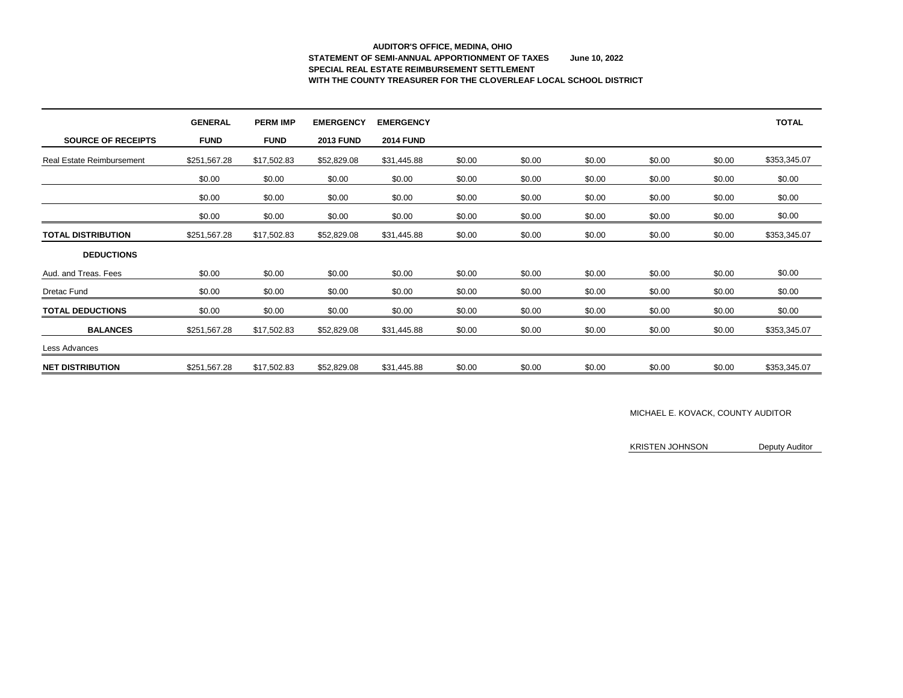# **AUDITOR'S OFFICE, MEDINA, OHIO STATEMENT OF SEMI-ANNUAL APPORTIONMENT OF TAXES June 10, 2022 SPECIAL REAL ESTATE REIMBURSEMENT SETTLEMENT WITH THE COUNTY TREASURER FOR THE CLOVERLEAF LOCAL SCHOOL DISTRICT**

|                                  | <b>GENERAL</b> | <b>PERM IMP</b> | <b>EMERGENCY</b> | <b>EMERGENCY</b> |        |        |        |        |        | <b>TOTAL</b> |
|----------------------------------|----------------|-----------------|------------------|------------------|--------|--------|--------|--------|--------|--------------|
| <b>SOURCE OF RECEIPTS</b>        | <b>FUND</b>    | <b>FUND</b>     | <b>2013 FUND</b> | <b>2014 FUND</b> |        |        |        |        |        |              |
| <b>Real Estate Reimbursement</b> | \$251,567.28   | \$17,502.83     | \$52,829.08      | \$31,445.88      | \$0.00 | \$0.00 | \$0.00 | \$0.00 | \$0.00 | \$353,345.07 |
|                                  | \$0.00         | \$0.00          | \$0.00           | \$0.00           | \$0.00 | \$0.00 | \$0.00 | \$0.00 | \$0.00 | \$0.00       |
|                                  | \$0.00         | \$0.00          | \$0.00           | \$0.00           | \$0.00 | \$0.00 | \$0.00 | \$0.00 | \$0.00 | \$0.00       |
|                                  | \$0.00         | \$0.00          | \$0.00           | \$0.00           | \$0.00 | \$0.00 | \$0.00 | \$0.00 | \$0.00 | \$0.00       |
| <b>TOTAL DISTRIBUTION</b>        | \$251,567.28   | \$17,502.83     | \$52,829.08      | \$31,445.88      | \$0.00 | \$0.00 | \$0.00 | \$0.00 | \$0.00 | \$353,345.07 |
| <b>DEDUCTIONS</b>                |                |                 |                  |                  |        |        |        |        |        |              |
| Aud. and Treas. Fees             | \$0.00         | \$0.00          | \$0.00           | \$0.00           | \$0.00 | \$0.00 | \$0.00 | \$0.00 | \$0.00 | \$0.00       |
| <b>Dretac Fund</b>               | \$0.00         | \$0.00          | \$0.00           | \$0.00           | \$0.00 | \$0.00 | \$0.00 | \$0.00 | \$0.00 | \$0.00       |
| <b>TOTAL DEDUCTIONS</b>          | \$0.00         | \$0.00          | \$0.00           | \$0.00           | \$0.00 | \$0.00 | \$0.00 | \$0.00 | \$0.00 | \$0.00       |
| <b>BALANCES</b>                  | \$251,567.28   | \$17,502.83     | \$52,829.08      | \$31,445.88      | \$0.00 | \$0.00 | \$0.00 | \$0.00 | \$0.00 | \$353,345.07 |
| Less Advances                    |                |                 |                  |                  |        |        |        |        |        |              |
| <b>NET DISTRIBUTION</b>          | \$251,567.28   | \$17,502.83     | \$52,829.08      | \$31,445.88      | \$0.00 | \$0.00 | \$0.00 | \$0.00 | \$0.00 | \$353,345.07 |

### MICHAEL E. KOVACK, COUNTY AUDITOR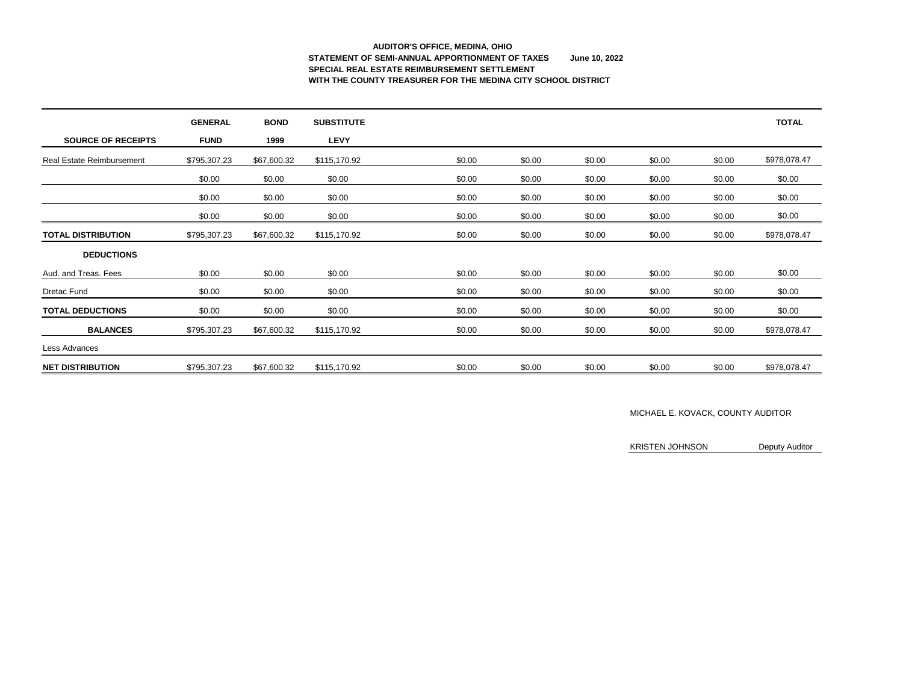# **AUDITOR'S OFFICE, MEDINA, OHIO STATEMENT OF SEMI-ANNUAL APPORTIONMENT OF TAXES June 10, 2022 SPECIAL REAL ESTATE REIMBURSEMENT SETTLEMENT WITH THE COUNTY TREASURER FOR THE MEDINA CITY SCHOOL DISTRICT**

|                                  | <b>GENERAL</b> | <b>BOND</b> | <b>SUBSTITUTE</b> |        |        |        |        |        | <b>TOTAL</b> |
|----------------------------------|----------------|-------------|-------------------|--------|--------|--------|--------|--------|--------------|
| <b>SOURCE OF RECEIPTS</b>        | <b>FUND</b>    | 1999        | <b>LEVY</b>       |        |        |        |        |        |              |
| <b>Real Estate Reimbursement</b> | \$795,307.23   | \$67,600.32 | \$115,170.92      | \$0.00 | \$0.00 | \$0.00 | \$0.00 | \$0.00 | \$978,078.47 |
|                                  | \$0.00         | \$0.00      | \$0.00            | \$0.00 | \$0.00 | \$0.00 | \$0.00 | \$0.00 | \$0.00       |
|                                  | \$0.00         | \$0.00      | \$0.00            | \$0.00 | \$0.00 | \$0.00 | \$0.00 | \$0.00 | \$0.00       |
|                                  | \$0.00         | \$0.00      | \$0.00            | \$0.00 | \$0.00 | \$0.00 | \$0.00 | \$0.00 | \$0.00       |
| <b>TOTAL DISTRIBUTION</b>        | \$795,307.23   | \$67,600.32 | \$115,170.92      | \$0.00 | \$0.00 | \$0.00 | \$0.00 | \$0.00 | \$978,078.47 |
| <b>DEDUCTIONS</b>                |                |             |                   |        |        |        |        |        |              |
| Aud. and Treas. Fees             | \$0.00         | \$0.00      | \$0.00            | \$0.00 | \$0.00 | \$0.00 | \$0.00 | \$0.00 | \$0.00       |
| <b>Dretac Fund</b>               | \$0.00         | \$0.00      | \$0.00            | \$0.00 | \$0.00 | \$0.00 | \$0.00 | \$0.00 | \$0.00       |
| <b>TOTAL DEDUCTIONS</b>          | \$0.00         | \$0.00      | \$0.00            | \$0.00 | \$0.00 | \$0.00 | \$0.00 | \$0.00 | \$0.00       |
| <b>BALANCES</b>                  | \$795,307.23   | \$67,600.32 | \$115,170.92      | \$0.00 | \$0.00 | \$0.00 | \$0.00 | \$0.00 | \$978,078.47 |
| Less Advances                    |                |             |                   |        |        |        |        |        |              |
| <b>NET DISTRIBUTION</b>          | \$795,307.23   | \$67,600.32 | \$115,170.92      | \$0.00 | \$0.00 | \$0.00 | \$0.00 | \$0.00 | \$978,078.47 |

### MICHAEL E. KOVACK, COUNTY AUDITOR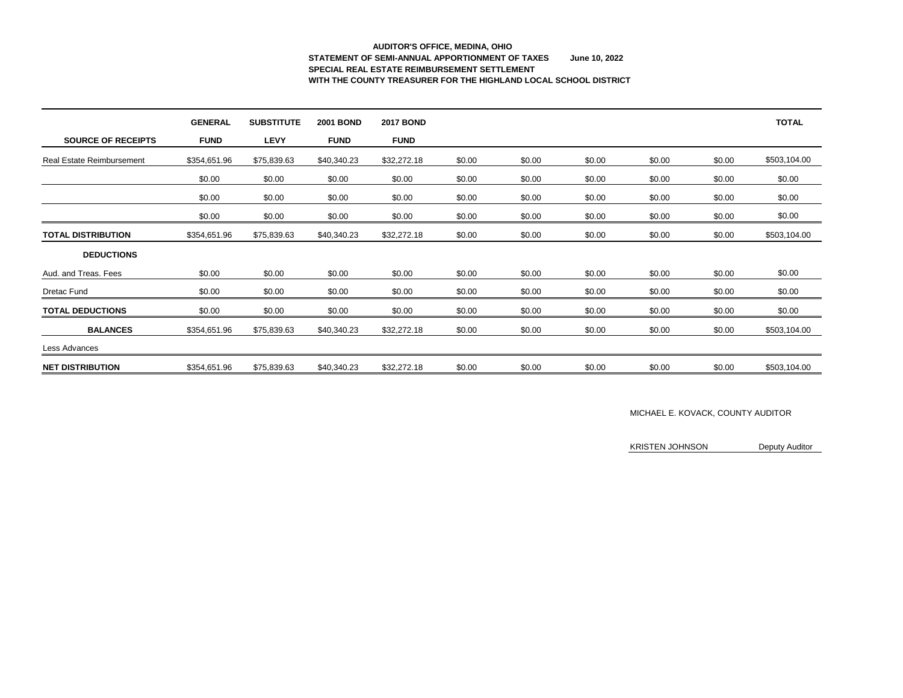# **AUDITOR'S OFFICE, MEDINA, OHIO STATEMENT OF SEMI-ANNUAL APPORTIONMENT OF TAXES June 10, 2022 SPECIAL REAL ESTATE REIMBURSEMENT SETTLEMENT WITH THE COUNTY TREASURER FOR THE HIGHLAND LOCAL SCHOOL DISTRICT**

|                                  | <b>GENERAL</b> | <b>SUBSTITUTE</b> | <b>2001 BOND</b> | <b>2017 BOND</b> |        |        |        |        |        | <b>TOTAL</b> |
|----------------------------------|----------------|-------------------|------------------|------------------|--------|--------|--------|--------|--------|--------------|
| <b>SOURCE OF RECEIPTS</b>        | <b>FUND</b>    | <b>LEVY</b>       | <b>FUND</b>      | <b>FUND</b>      |        |        |        |        |        |              |
| <b>Real Estate Reimbursement</b> | \$354,651.96   | \$75,839.63       | \$40,340.23      | \$32,272.18      | \$0.00 | \$0.00 | \$0.00 | \$0.00 | \$0.00 | \$503,104.00 |
|                                  | \$0.00         | \$0.00            | \$0.00           | \$0.00           | \$0.00 | \$0.00 | \$0.00 | \$0.00 | \$0.00 | \$0.00       |
|                                  | \$0.00         | \$0.00            | \$0.00           | \$0.00           | \$0.00 | \$0.00 | \$0.00 | \$0.00 | \$0.00 | \$0.00       |
|                                  | \$0.00         | \$0.00            | \$0.00           | \$0.00           | \$0.00 | \$0.00 | \$0.00 | \$0.00 | \$0.00 | \$0.00       |
| <b>TOTAL DISTRIBUTION</b>        | \$354,651.96   | \$75,839.63       | \$40,340.23      | \$32,272.18      | \$0.00 | \$0.00 | \$0.00 | \$0.00 | \$0.00 | \$503,104.00 |
| <b>DEDUCTIONS</b>                |                |                   |                  |                  |        |        |        |        |        |              |
| Aud. and Treas. Fees             | \$0.00         | \$0.00            | \$0.00           | \$0.00           | \$0.00 | \$0.00 | \$0.00 | \$0.00 | \$0.00 | \$0.00       |
| <b>Dretac Fund</b>               | \$0.00         | \$0.00            | \$0.00           | \$0.00           | \$0.00 | \$0.00 | \$0.00 | \$0.00 | \$0.00 | \$0.00       |
| <b>TOTAL DEDUCTIONS</b>          | \$0.00         | \$0.00            | \$0.00           | \$0.00           | \$0.00 | \$0.00 | \$0.00 | \$0.00 | \$0.00 | \$0.00       |
| <b>BALANCES</b>                  | \$354,651.96   | \$75,839.63       | \$40,340.23      | \$32,272.18      | \$0.00 | \$0.00 | \$0.00 | \$0.00 | \$0.00 | \$503,104.00 |
| Less Advances                    |                |                   |                  |                  |        |        |        |        |        |              |
| <b>NET DISTRIBUTION</b>          | \$354,651.96   | \$75,839.63       | \$40,340.23      | \$32,272.18      | \$0.00 | \$0.00 | \$0.00 | \$0.00 | \$0.00 | \$503,104.00 |

#### MICHAEL E. KOVACK, COUNTY AUDITOR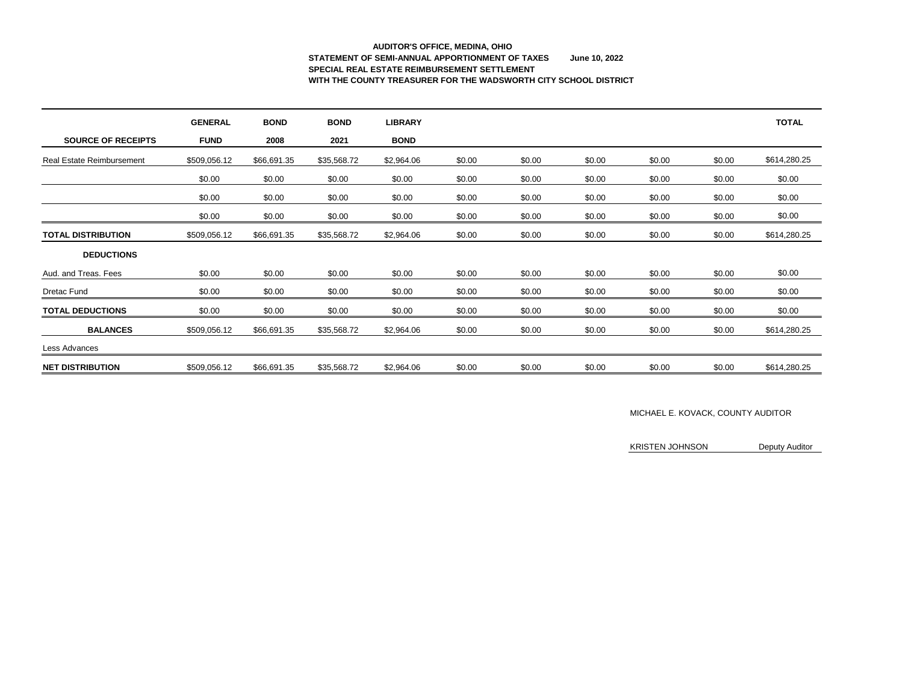# **AUDITOR'S OFFICE, MEDINA, OHIO STATEMENT OF SEMI-ANNUAL APPORTIONMENT OF TAXES June 10, 2022 SPECIAL REAL ESTATE REIMBURSEMENT SETTLEMENT WITH THE COUNTY TREASURER FOR THE WADSWORTH CITY SCHOOL DISTRICT**

|                                  | <b>GENERAL</b> | <b>BOND</b> | <b>BOND</b> | <b>LIBRARY</b> |        |        |        |        |        | <b>TOTAL</b> |
|----------------------------------|----------------|-------------|-------------|----------------|--------|--------|--------|--------|--------|--------------|
| <b>SOURCE OF RECEIPTS</b>        | <b>FUND</b>    | 2008        | 2021        | <b>BOND</b>    |        |        |        |        |        |              |
| <b>Real Estate Reimbursement</b> | \$509,056.12   | \$66,691.35 | \$35,568.72 | \$2,964.06     | \$0.00 | \$0.00 | \$0.00 | \$0.00 | \$0.00 | \$614,280.25 |
|                                  | \$0.00         | \$0.00      | \$0.00      | \$0.00         | \$0.00 | \$0.00 | \$0.00 | \$0.00 | \$0.00 | \$0.00       |
|                                  | \$0.00         | \$0.00      | \$0.00      | \$0.00         | \$0.00 | \$0.00 | \$0.00 | \$0.00 | \$0.00 | \$0.00       |
|                                  | \$0.00         | \$0.00      | \$0.00      | \$0.00         | \$0.00 | \$0.00 | \$0.00 | \$0.00 | \$0.00 | \$0.00       |
| <b>TOTAL DISTRIBUTION</b>        | \$509,056.12   | \$66,691.35 | \$35,568.72 | \$2,964.06     | \$0.00 | \$0.00 | \$0.00 | \$0.00 | \$0.00 | \$614,280.25 |
| <b>DEDUCTIONS</b>                |                |             |             |                |        |        |        |        |        |              |
| Aud. and Treas. Fees             | \$0.00         | \$0.00      | \$0.00      | \$0.00         | \$0.00 | \$0.00 | \$0.00 | \$0.00 | \$0.00 | \$0.00       |
| Dretac Fund                      | \$0.00         | \$0.00      | \$0.00      | \$0.00         | \$0.00 | \$0.00 | \$0.00 | \$0.00 | \$0.00 | \$0.00       |
| <b>TOTAL DEDUCTIONS</b>          | \$0.00         | \$0.00      | \$0.00      | \$0.00         | \$0.00 | \$0.00 | \$0.00 | \$0.00 | \$0.00 | \$0.00       |
| <b>BALANCES</b>                  | \$509,056.12   | \$66,691.35 | \$35,568.72 | \$2,964.06     | \$0.00 | \$0.00 | \$0.00 | \$0.00 | \$0.00 | \$614,280.25 |
| Less Advances                    |                |             |             |                |        |        |        |        |        |              |
| <b>NET DISTRIBUTION</b>          | \$509,056.12   | \$66,691.35 | \$35,568.72 | \$2,964.06     | \$0.00 | \$0.00 | \$0.00 | \$0.00 | \$0.00 | \$614,280.25 |

#### MICHAEL E. KOVACK, COUNTY AUDITOR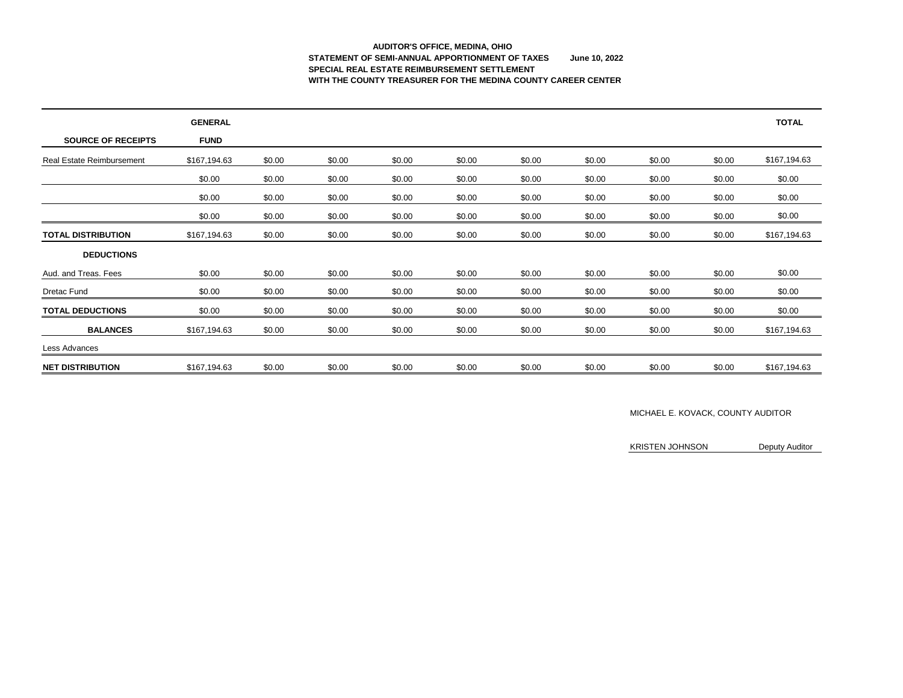# **AUDITOR'S OFFICE, MEDINA, OHIO STATEMENT OF SEMI-ANNUAL APPORTIONMENT OF TAXES June 10, 2022 SPECIAL REAL ESTATE REIMBURSEMENT SETTLEMENT WITH THE COUNTY TREASURER FOR THE MEDINA COUNTY CAREER CENTER**

|                                  | <b>GENERAL</b> |        |        |        |        |        |        |        |        | <b>TOTAL</b> |
|----------------------------------|----------------|--------|--------|--------|--------|--------|--------|--------|--------|--------------|
| <b>SOURCE OF RECEIPTS</b>        | <b>FUND</b>    |        |        |        |        |        |        |        |        |              |
| <b>Real Estate Reimbursement</b> | \$167,194.63   | \$0.00 | \$0.00 | \$0.00 | \$0.00 | \$0.00 | \$0.00 | \$0.00 | \$0.00 | \$167,194.63 |
|                                  | \$0.00         | \$0.00 | \$0.00 | \$0.00 | \$0.00 | \$0.00 | \$0.00 | \$0.00 | \$0.00 | \$0.00       |
|                                  | \$0.00         | \$0.00 | \$0.00 | \$0.00 | \$0.00 | \$0.00 | \$0.00 | \$0.00 | \$0.00 | \$0.00       |
|                                  | \$0.00         | \$0.00 | \$0.00 | \$0.00 | \$0.00 | \$0.00 | \$0.00 | \$0.00 | \$0.00 | \$0.00       |
| <b>TOTAL DISTRIBUTION</b>        | \$167,194.63   | \$0.00 | \$0.00 | \$0.00 | \$0.00 | \$0.00 | \$0.00 | \$0.00 | \$0.00 | \$167,194.63 |
| <b>DEDUCTIONS</b>                |                |        |        |        |        |        |        |        |        |              |
| Aud. and Treas. Fees             | \$0.00         | \$0.00 | \$0.00 | \$0.00 | \$0.00 | \$0.00 | \$0.00 | \$0.00 | \$0.00 | \$0.00       |
| Dretac Fund                      | \$0.00         | \$0.00 | \$0.00 | \$0.00 | \$0.00 | \$0.00 | \$0.00 | \$0.00 | \$0.00 | \$0.00       |
| <b>TOTAL DEDUCTIONS</b>          | \$0.00         | \$0.00 | \$0.00 | \$0.00 | \$0.00 | \$0.00 | \$0.00 | \$0.00 | \$0.00 | \$0.00       |
| <b>BALANCES</b>                  | \$167,194.63   | \$0.00 | \$0.00 | \$0.00 | \$0.00 | \$0.00 | \$0.00 | \$0.00 | \$0.00 | \$167,194.63 |
| Less Advances                    |                |        |        |        |        |        |        |        |        |              |
| <b>NET DISTRIBUTION</b>          | \$167,194.63   | \$0.00 | \$0.00 | \$0.00 | \$0.00 | \$0.00 | \$0.00 | \$0.00 | \$0.00 | \$167,194.63 |

#### MICHAEL E. KOVACK, COUNTY AUDITOR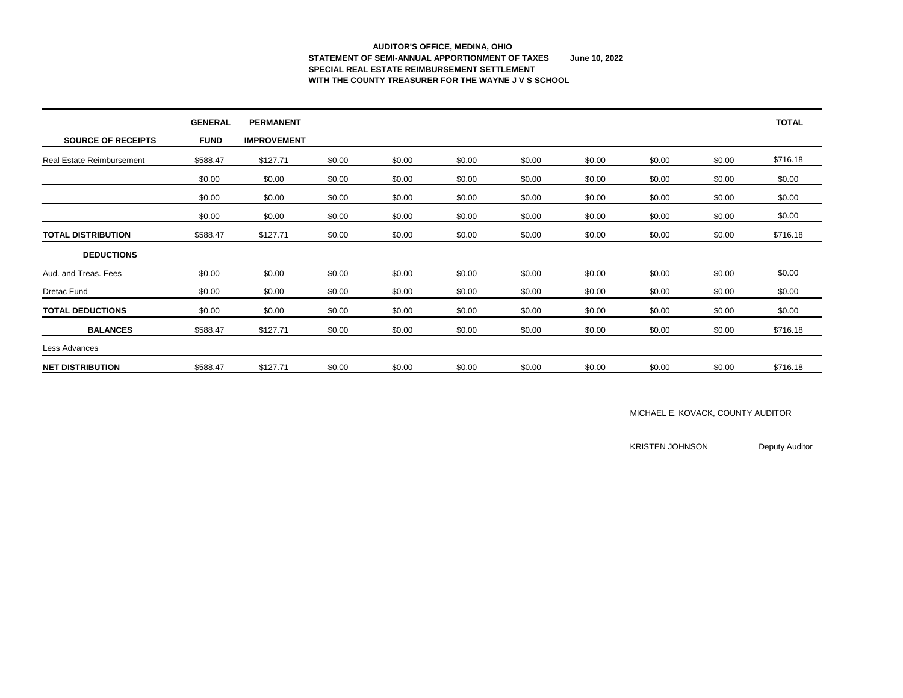### **AUDITOR'S OFFICE, MEDINA, OHIO STATEMENT OF SEMI-ANNUAL APPORTIONMENT OF TAXES June 10, 2022 SPECIAL REAL ESTATE REIMBURSEMENT SETTLEMENT WITH THE COUNTY TREASURER FOR THE WAYNE J V S SCHOOL**

|                                  | <b>GENERAL</b> | <b>PERMANENT</b>   |        |        |        |        |        |        |        | <b>TOTAL</b> |
|----------------------------------|----------------|--------------------|--------|--------|--------|--------|--------|--------|--------|--------------|
| <b>SOURCE OF RECEIPTS</b>        | <b>FUND</b>    | <b>IMPROVEMENT</b> |        |        |        |        |        |        |        |              |
| <b>Real Estate Reimbursement</b> | \$588.47       | \$127.71           | \$0.00 | \$0.00 | \$0.00 | \$0.00 | \$0.00 | \$0.00 | \$0.00 | \$716.18     |
|                                  | \$0.00         | \$0.00             | \$0.00 | \$0.00 | \$0.00 | \$0.00 | \$0.00 | \$0.00 | \$0.00 | \$0.00       |
|                                  | \$0.00         | \$0.00             | \$0.00 | \$0.00 | \$0.00 | \$0.00 | \$0.00 | \$0.00 | \$0.00 | \$0.00       |
|                                  | \$0.00         | \$0.00             | \$0.00 | \$0.00 | \$0.00 | \$0.00 | \$0.00 | \$0.00 | \$0.00 | \$0.00       |
| <b>TOTAL DISTRIBUTION</b>        | \$588.47       | \$127.71           | \$0.00 | \$0.00 | \$0.00 | \$0.00 | \$0.00 | \$0.00 | \$0.00 | \$716.18     |
| <b>DEDUCTIONS</b>                |                |                    |        |        |        |        |        |        |        |              |
| Aud. and Treas. Fees             | \$0.00         | \$0.00             | \$0.00 | \$0.00 | \$0.00 | \$0.00 | \$0.00 | \$0.00 | \$0.00 | \$0.00       |
| <b>Dretac Fund</b>               | \$0.00         | \$0.00             | \$0.00 | \$0.00 | \$0.00 | \$0.00 | \$0.00 | \$0.00 | \$0.00 | \$0.00       |
| <b>TOTAL DEDUCTIONS</b>          | \$0.00         | \$0.00             | \$0.00 | \$0.00 | \$0.00 | \$0.00 | \$0.00 | \$0.00 | \$0.00 | \$0.00       |
| <b>BALANCES</b>                  | \$588.47       | \$127.71           | \$0.00 | \$0.00 | \$0.00 | \$0.00 | \$0.00 | \$0.00 | \$0.00 | \$716.18     |
| Less Advances                    |                |                    |        |        |        |        |        |        |        |              |
| <b>NET DISTRIBUTION</b>          | \$588.47       | \$127.71           | \$0.00 | \$0.00 | \$0.00 | \$0.00 | \$0.00 | \$0.00 | \$0.00 | \$716.18     |

### MICHAEL E. KOVACK, COUNTY AUDITOR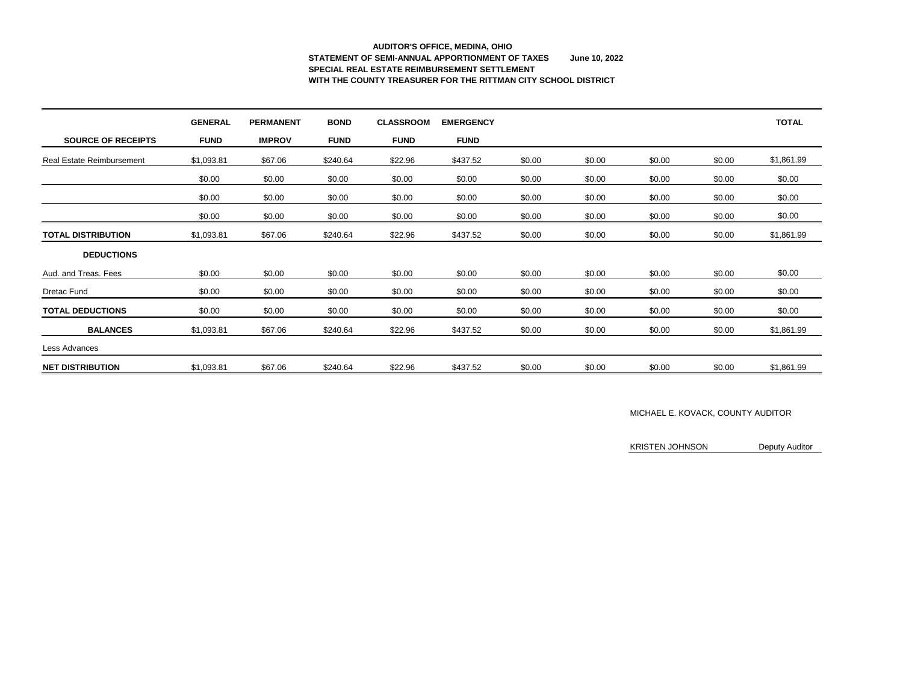# **AUDITOR'S OFFICE, MEDINA, OHIO STATEMENT OF SEMI-ANNUAL APPORTIONMENT OF TAXES June 10, 2022 SPECIAL REAL ESTATE REIMBURSEMENT SETTLEMENT WITH THE COUNTY TREASURER FOR THE RITTMAN CITY SCHOOL DISTRICT**

|                                  | <b>GENERAL</b> | <b>PERMANENT</b> | <b>BOND</b> | <b>CLASSROOM</b> | <b>EMERGENCY</b> |        |        |        |        | <b>TOTAL</b> |
|----------------------------------|----------------|------------------|-------------|------------------|------------------|--------|--------|--------|--------|--------------|
| <b>SOURCE OF RECEIPTS</b>        | <b>FUND</b>    | <b>IMPROV</b>    | <b>FUND</b> | <b>FUND</b>      | <b>FUND</b>      |        |        |        |        |              |
| <b>Real Estate Reimbursement</b> | \$1,093.81     | \$67.06          | \$240.64    | \$22.96          | \$437.52         | \$0.00 | \$0.00 | \$0.00 | \$0.00 | \$1,861.99   |
|                                  | \$0.00         | \$0.00           | \$0.00      | \$0.00           | \$0.00           | \$0.00 | \$0.00 | \$0.00 | \$0.00 | \$0.00       |
|                                  | \$0.00         | \$0.00           | \$0.00      | \$0.00           | \$0.00           | \$0.00 | \$0.00 | \$0.00 | \$0.00 | \$0.00       |
|                                  | \$0.00         | \$0.00           | \$0.00      | \$0.00           | \$0.00           | \$0.00 | \$0.00 | \$0.00 | \$0.00 | \$0.00       |
| <b>TOTAL DISTRIBUTION</b>        | \$1,093.81     | \$67.06          | \$240.64    | \$22.96          | \$437.52         | \$0.00 | \$0.00 | \$0.00 | \$0.00 | \$1,861.99   |
| <b>DEDUCTIONS</b>                |                |                  |             |                  |                  |        |        |        |        |              |
| Aud. and Treas. Fees             | \$0.00         | \$0.00           | \$0.00      | \$0.00           | \$0.00           | \$0.00 | \$0.00 | \$0.00 | \$0.00 | \$0.00       |
| <b>Dretac Fund</b>               | \$0.00         | \$0.00           | \$0.00      | \$0.00           | \$0.00           | \$0.00 | \$0.00 | \$0.00 | \$0.00 | \$0.00       |
| <b>TOTAL DEDUCTIONS</b>          | \$0.00         | \$0.00           | \$0.00      | \$0.00           | \$0.00           | \$0.00 | \$0.00 | \$0.00 | \$0.00 | \$0.00       |
| <b>BALANCES</b>                  | \$1,093.81     | \$67.06          | \$240.64    | \$22.96          | \$437.52         | \$0.00 | \$0.00 | \$0.00 | \$0.00 | \$1,861.99   |
| Less Advances                    |                |                  |             |                  |                  |        |        |        |        |              |
| <b>NET DISTRIBUTION</b>          | \$1,093.81     | \$67.06          | \$240.64    | \$22.96          | \$437.52         | \$0.00 | \$0.00 | \$0.00 | \$0.00 | \$1,861.99   |

#### MICHAEL E. KOVACK, COUNTY AUDITOR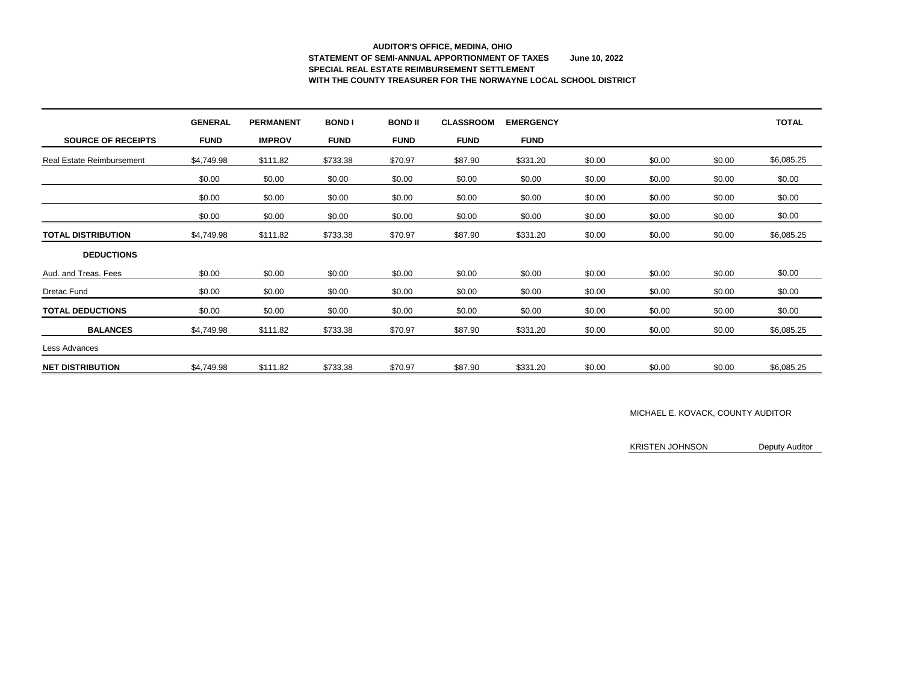# **AUDITOR'S OFFICE, MEDINA, OHIO STATEMENT OF SEMI-ANNUAL APPORTIONMENT OF TAXES June 10, 2022 SPECIAL REAL ESTATE REIMBURSEMENT SETTLEMENT WITH THE COUNTY TREASURER FOR THE NORWAYNE LOCAL SCHOOL DISTRICT**

|                                  | <b>GENERAL</b> | <b>PERMANENT</b> | <b>BONDI</b> | <b>BOND II</b> | <b>CLASSROOM</b> | <b>EMERGENCY</b> |        |        |        | <b>TOTAL</b> |
|----------------------------------|----------------|------------------|--------------|----------------|------------------|------------------|--------|--------|--------|--------------|
| <b>SOURCE OF RECEIPTS</b>        | <b>FUND</b>    | <b>IMPROV</b>    | <b>FUND</b>  | <b>FUND</b>    | <b>FUND</b>      | <b>FUND</b>      |        |        |        |              |
| <b>Real Estate Reimbursement</b> | \$4,749.98     | \$111.82         | \$733.38     | \$70.97        | \$87.90          | \$331.20         | \$0.00 | \$0.00 | \$0.00 | \$6,085.25   |
|                                  | \$0.00         | \$0.00           | \$0.00       | \$0.00         | \$0.00           | \$0.00           | \$0.00 | \$0.00 | \$0.00 | \$0.00       |
|                                  | \$0.00         | \$0.00           | \$0.00       | \$0.00         | \$0.00           | \$0.00           | \$0.00 | \$0.00 | \$0.00 | \$0.00       |
|                                  | \$0.00         | \$0.00           | \$0.00       | \$0.00         | \$0.00           | \$0.00           | \$0.00 | \$0.00 | \$0.00 | \$0.00       |
| <b>TOTAL DISTRIBUTION</b>        | \$4,749.98     | \$111.82         | \$733.38     | \$70.97        | \$87.90          | \$331.20         | \$0.00 | \$0.00 | \$0.00 | \$6,085.25   |
| <b>DEDUCTIONS</b>                |                |                  |              |                |                  |                  |        |        |        |              |
| Aud. and Treas. Fees             | \$0.00         | \$0.00           | \$0.00       | \$0.00         | \$0.00           | \$0.00           | \$0.00 | \$0.00 | \$0.00 | \$0.00       |
| <b>Dretac Fund</b>               | \$0.00         | \$0.00           | \$0.00       | \$0.00         | \$0.00           | \$0.00           | \$0.00 | \$0.00 | \$0.00 | \$0.00       |
| <b>TOTAL DEDUCTIONS</b>          | \$0.00         | \$0.00           | \$0.00       | \$0.00         | \$0.00           | \$0.00           | \$0.00 | \$0.00 | \$0.00 | \$0.00       |
| <b>BALANCES</b>                  | \$4,749.98     | \$111.82         | \$733.38     | \$70.97        | \$87.90          | \$331.20         | \$0.00 | \$0.00 | \$0.00 | \$6,085.25   |
| Less Advances                    |                |                  |              |                |                  |                  |        |        |        |              |
| <b>NET DISTRIBUTION</b>          | \$4,749.98     | \$111.82         | \$733.38     | \$70.97        | \$87.90          | \$331.20         | \$0.00 | \$0.00 | \$0.00 | \$6,085.25   |

#### MICHAEL E. KOVACK, COUNTY AUDITOR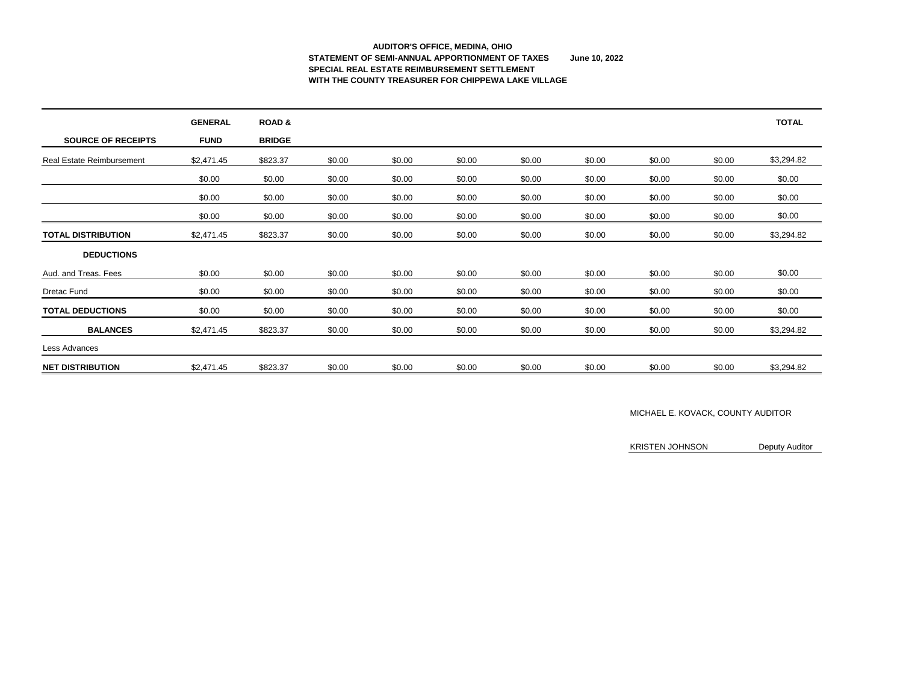## **AUDITOR'S OFFICE, MEDINA, OHIO STATEMENT OF SEMI-ANNUAL APPORTIONMENT OF TAXES June 10, 2022 SPECIAL REAL ESTATE REIMBURSEMENT SETTLEMENT WITH THE COUNTY TREASURER FOR CHIPPEWA LAKE VILLAGE**

|                                  | <b>GENERAL</b> | <b>ROAD &amp;</b> |        |        |        |        |        |        |        | <b>TOTAL</b> |
|----------------------------------|----------------|-------------------|--------|--------|--------|--------|--------|--------|--------|--------------|
| <b>SOURCE OF RECEIPTS</b>        | <b>FUND</b>    | <b>BRIDGE</b>     |        |        |        |        |        |        |        |              |
| <b>Real Estate Reimbursement</b> | \$2,471.45     | \$823.37          | \$0.00 | \$0.00 | \$0.00 | \$0.00 | \$0.00 | \$0.00 | \$0.00 | \$3,294.82   |
|                                  | \$0.00         | \$0.00            | \$0.00 | \$0.00 | \$0.00 | \$0.00 | \$0.00 | \$0.00 | \$0.00 | \$0.00       |
|                                  | \$0.00         | \$0.00            | \$0.00 | \$0.00 | \$0.00 | \$0.00 | \$0.00 | \$0.00 | \$0.00 | \$0.00       |
|                                  | \$0.00         | \$0.00            | \$0.00 | \$0.00 | \$0.00 | \$0.00 | \$0.00 | \$0.00 | \$0.00 | \$0.00       |
| <b>TOTAL DISTRIBUTION</b>        | \$2,471.45     | \$823.37          | \$0.00 | \$0.00 | \$0.00 | \$0.00 | \$0.00 | \$0.00 | \$0.00 | \$3,294.82   |
| <b>DEDUCTIONS</b>                |                |                   |        |        |        |        |        |        |        |              |
| Aud. and Treas. Fees             | \$0.00         | \$0.00            | \$0.00 | \$0.00 | \$0.00 | \$0.00 | \$0.00 | \$0.00 | \$0.00 | \$0.00       |
| Dretac Fund                      | \$0.00         | \$0.00            | \$0.00 | \$0.00 | \$0.00 | \$0.00 | \$0.00 | \$0.00 | \$0.00 | \$0.00       |
| <b>TOTAL DEDUCTIONS</b>          | \$0.00         | \$0.00            | \$0.00 | \$0.00 | \$0.00 | \$0.00 | \$0.00 | \$0.00 | \$0.00 | \$0.00       |
| <b>BALANCES</b>                  | \$2,471.45     | \$823.37          | \$0.00 | \$0.00 | \$0.00 | \$0.00 | \$0.00 | \$0.00 | \$0.00 | \$3,294.82   |
| Less Advances                    |                |                   |        |        |        |        |        |        |        |              |
| <b>NET DISTRIBUTION</b>          | \$2,471.45     | \$823.37          | \$0.00 | \$0.00 | \$0.00 | \$0.00 | \$0.00 | \$0.00 | \$0.00 | \$3,294.82   |

### MICHAEL E. KOVACK, COUNTY AUDITOR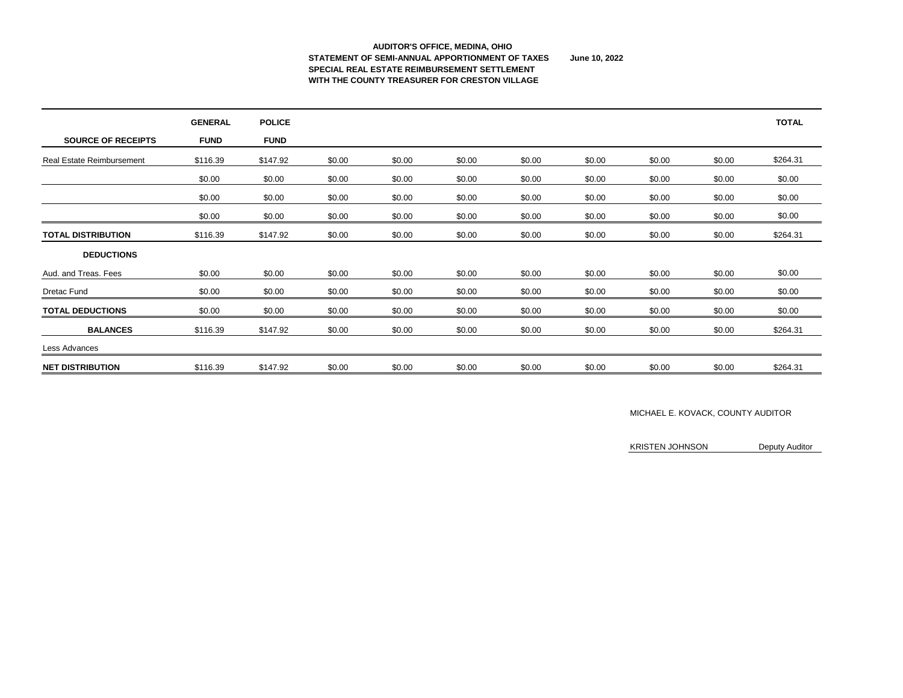#### **AUDITOR'S OFFICE, MEDINA, OHIO STATEMENT OF SEMI-ANNUAL APPORTIONMENT OF TAXES June 10, 2022 SPECIAL REAL ESTATE REIMBURSEMENT SETTLEMENT WITH THE COUNTY TREASURER FOR CRESTON VILLAGE**

|                                  | <b>GENERAL</b> | <b>POLICE</b> |        |        |        |        |        |        |        | <b>TOTAL</b> |
|----------------------------------|----------------|---------------|--------|--------|--------|--------|--------|--------|--------|--------------|
| <b>SOURCE OF RECEIPTS</b>        | <b>FUND</b>    | <b>FUND</b>   |        |        |        |        |        |        |        |              |
| <b>Real Estate Reimbursement</b> | \$116.39       | \$147.92      | \$0.00 | \$0.00 | \$0.00 | \$0.00 | \$0.00 | \$0.00 | \$0.00 | \$264.31     |
|                                  | \$0.00         | \$0.00        | \$0.00 | \$0.00 | \$0.00 | \$0.00 | \$0.00 | \$0.00 | \$0.00 | \$0.00       |
|                                  | \$0.00         | \$0.00        | \$0.00 | \$0.00 | \$0.00 | \$0.00 | \$0.00 | \$0.00 | \$0.00 | \$0.00       |
|                                  | \$0.00         | \$0.00        | \$0.00 | \$0.00 | \$0.00 | \$0.00 | \$0.00 | \$0.00 | \$0.00 | \$0.00       |
| <b>TOTAL DISTRIBUTION</b>        | \$116.39       | \$147.92      | \$0.00 | \$0.00 | \$0.00 | \$0.00 | \$0.00 | \$0.00 | \$0.00 | \$264.31     |
| <b>DEDUCTIONS</b>                |                |               |        |        |        |        |        |        |        |              |
| Aud. and Treas. Fees             | \$0.00         | \$0.00        | \$0.00 | \$0.00 | \$0.00 | \$0.00 | \$0.00 | \$0.00 | \$0.00 | \$0.00       |
| <b>Dretac Fund</b>               | \$0.00         | \$0.00        | \$0.00 | \$0.00 | \$0.00 | \$0.00 | \$0.00 | \$0.00 | \$0.00 | \$0.00       |
| <b>TOTAL DEDUCTIONS</b>          | \$0.00         | \$0.00        | \$0.00 | \$0.00 | \$0.00 | \$0.00 | \$0.00 | \$0.00 | \$0.00 | \$0.00       |
| <b>BALANCES</b>                  | \$116.39       | \$147.92      | \$0.00 | \$0.00 | \$0.00 | \$0.00 | \$0.00 | \$0.00 | \$0.00 | \$264.31     |
| Less Advances                    |                |               |        |        |        |        |        |        |        |              |
| <b>NET DISTRIBUTION</b>          | \$116.39       | \$147.92      | \$0.00 | \$0.00 | \$0.00 | \$0.00 | \$0.00 | \$0.00 | \$0.00 | \$264.31     |

### MICHAEL E. KOVACK, COUNTY AUDITOR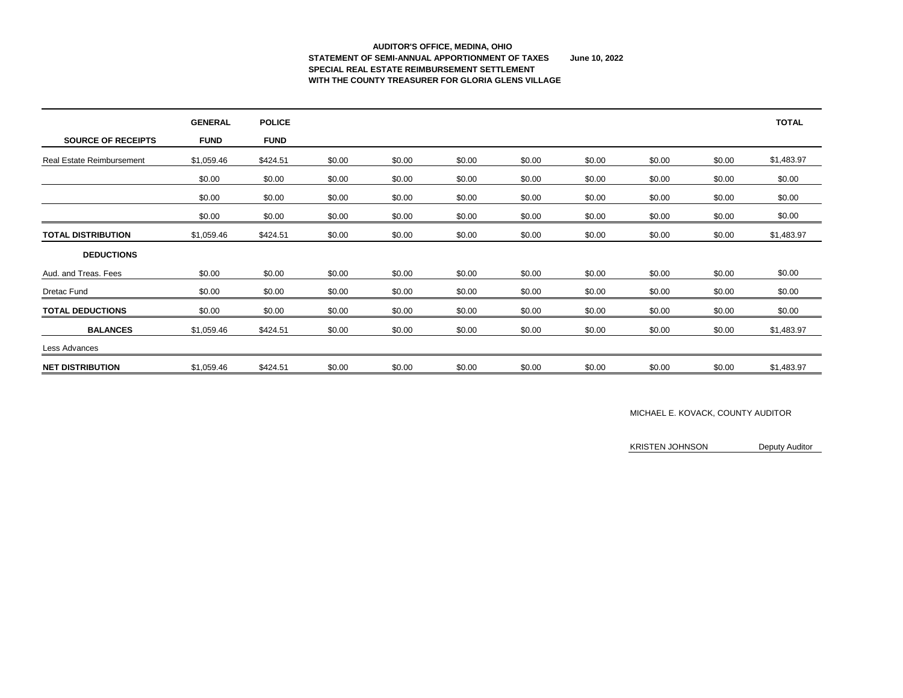# **AUDITOR'S OFFICE, MEDINA, OHIO STATEMENT OF SEMI-ANNUAL APPORTIONMENT OF TAXES June 10, 2022 SPECIAL REAL ESTATE REIMBURSEMENT SETTLEMENT WITH THE COUNTY TREASURER FOR GLORIA GLENS VILLAGE**

|                                  | <b>GENERAL</b> | <b>POLICE</b> |        |        |        |        |        |        |        | <b>TOTAL</b> |
|----------------------------------|----------------|---------------|--------|--------|--------|--------|--------|--------|--------|--------------|
| <b>SOURCE OF RECEIPTS</b>        | <b>FUND</b>    | <b>FUND</b>   |        |        |        |        |        |        |        |              |
| <b>Real Estate Reimbursement</b> | \$1,059.46     | \$424.51      | \$0.00 | \$0.00 | \$0.00 | \$0.00 | \$0.00 | \$0.00 | \$0.00 | \$1,483.97   |
|                                  | \$0.00         | \$0.00        | \$0.00 | \$0.00 | \$0.00 | \$0.00 | \$0.00 | \$0.00 | \$0.00 | \$0.00       |
|                                  | \$0.00         | \$0.00        | \$0.00 | \$0.00 | \$0.00 | \$0.00 | \$0.00 | \$0.00 | \$0.00 | \$0.00       |
|                                  | \$0.00         | \$0.00        | \$0.00 | \$0.00 | \$0.00 | \$0.00 | \$0.00 | \$0.00 | \$0.00 | \$0.00       |
| <b>TOTAL DISTRIBUTION</b>        | \$1,059.46     | \$424.51      | \$0.00 | \$0.00 | \$0.00 | \$0.00 | \$0.00 | \$0.00 | \$0.00 | \$1,483.97   |
| <b>DEDUCTIONS</b>                |                |               |        |        |        |        |        |        |        |              |
| Aud. and Treas. Fees             | \$0.00         | \$0.00        | \$0.00 | \$0.00 | \$0.00 | \$0.00 | \$0.00 | \$0.00 | \$0.00 | \$0.00       |
| <b>Dretac Fund</b>               | \$0.00         | \$0.00        | \$0.00 | \$0.00 | \$0.00 | \$0.00 | \$0.00 | \$0.00 | \$0.00 | \$0.00       |
| <b>TOTAL DEDUCTIONS</b>          | \$0.00         | \$0.00        | \$0.00 | \$0.00 | \$0.00 | \$0.00 | \$0.00 | \$0.00 | \$0.00 | \$0.00       |
| <b>BALANCES</b>                  | \$1,059.46     | \$424.51      | \$0.00 | \$0.00 | \$0.00 | \$0.00 | \$0.00 | \$0.00 | \$0.00 | \$1,483.97   |
| Less Advances                    |                |               |        |        |        |        |        |        |        |              |
| <b>NET DISTRIBUTION</b>          | \$1,059.46     | \$424.51      | \$0.00 | \$0.00 | \$0.00 | \$0.00 | \$0.00 | \$0.00 | \$0.00 | \$1,483.97   |

### MICHAEL E. KOVACK, COUNTY AUDITOR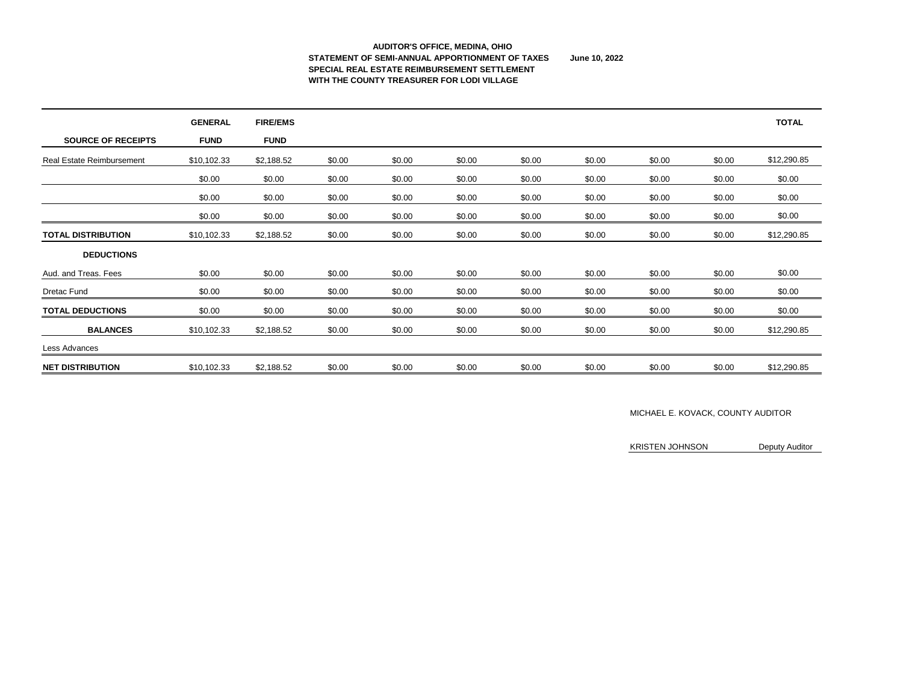#### **AUDITOR'S OFFICE, MEDINA, OHIO STATEMENT OF SEMI-ANNUAL APPORTIONMENT OF TAXES June 10, 2022 SPECIAL REAL ESTATE REIMBURSEMENT SETTLEMENT WITH THE COUNTY TREASURER FOR LODI VILLAGE**

|                                  | <b>GENERAL</b> | <b>FIRE/EMS</b> |        |        |        |        |        |        |        | <b>TOTAL</b> |
|----------------------------------|----------------|-----------------|--------|--------|--------|--------|--------|--------|--------|--------------|
| <b>SOURCE OF RECEIPTS</b>        | <b>FUND</b>    | <b>FUND</b>     |        |        |        |        |        |        |        |              |
| <b>Real Estate Reimbursement</b> | \$10,102.33    | \$2,188.52      | \$0.00 | \$0.00 | \$0.00 | \$0.00 | \$0.00 | \$0.00 | \$0.00 | \$12,290.85  |
|                                  | \$0.00         | \$0.00          | \$0.00 | \$0.00 | \$0.00 | \$0.00 | \$0.00 | \$0.00 | \$0.00 | \$0.00       |
|                                  | \$0.00         | \$0.00          | \$0.00 | \$0.00 | \$0.00 | \$0.00 | \$0.00 | \$0.00 | \$0.00 | \$0.00       |
|                                  | \$0.00         | \$0.00          | \$0.00 | \$0.00 | \$0.00 | \$0.00 | \$0.00 | \$0.00 | \$0.00 | \$0.00       |
| <b>TOTAL DISTRIBUTION</b>        | \$10,102.33    | \$2,188.52      | \$0.00 | \$0.00 | \$0.00 | \$0.00 | \$0.00 | \$0.00 | \$0.00 | \$12,290.85  |
| <b>DEDUCTIONS</b>                |                |                 |        |        |        |        |        |        |        |              |
| Aud. and Treas. Fees             | \$0.00         | \$0.00          | \$0.00 | \$0.00 | \$0.00 | \$0.00 | \$0.00 | \$0.00 | \$0.00 | \$0.00       |
| <b>Dretac Fund</b>               | \$0.00         | \$0.00          | \$0.00 | \$0.00 | \$0.00 | \$0.00 | \$0.00 | \$0.00 | \$0.00 | \$0.00       |
| <b>TOTAL DEDUCTIONS</b>          | \$0.00         | \$0.00          | \$0.00 | \$0.00 | \$0.00 | \$0.00 | \$0.00 | \$0.00 | \$0.00 | \$0.00       |
| <b>BALANCES</b>                  | \$10,102.33    | \$2,188.52      | \$0.00 | \$0.00 | \$0.00 | \$0.00 | \$0.00 | \$0.00 | \$0.00 | \$12,290.85  |
| Less Advances                    |                |                 |        |        |        |        |        |        |        |              |
| <b>NET DISTRIBUTION</b>          | \$10,102.33    | \$2,188.52      | \$0.00 | \$0.00 | \$0.00 | \$0.00 | \$0.00 | \$0.00 | \$0.00 | \$12,290.85  |

### MICHAEL E. KOVACK, COUNTY AUDITOR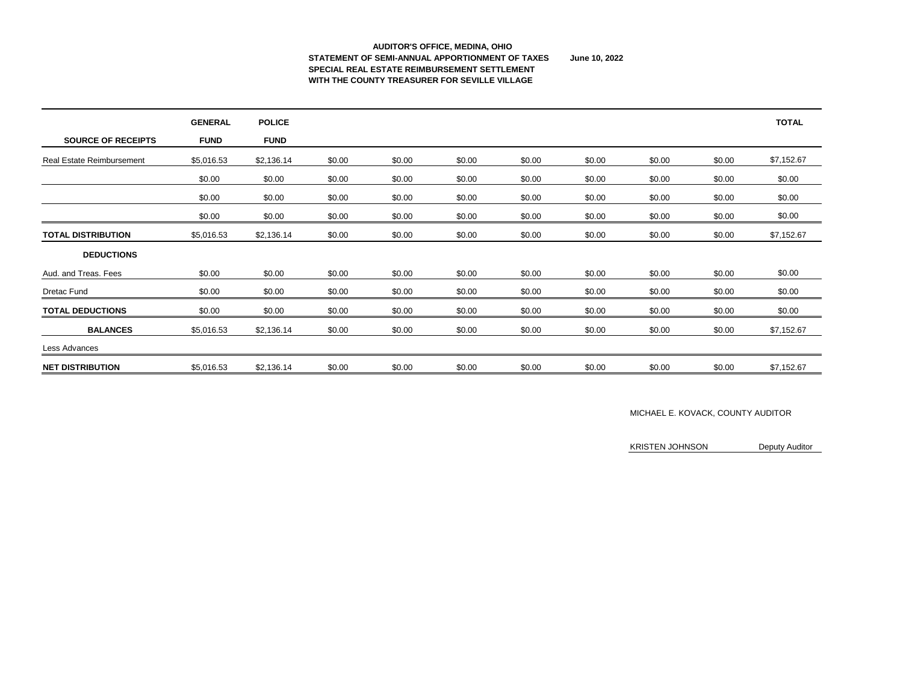#### **AUDITOR'S OFFICE, MEDINA, OHIO STATEMENT OF SEMI-ANNUAL APPORTIONMENT OF TAXES June 10, 2022 SPECIAL REAL ESTATE REIMBURSEMENT SETTLEMENT WITH THE COUNTY TREASURER FOR SEVILLE VILLAGE**

|                                  | <b>GENERAL</b> | <b>POLICE</b> |        |        |        |        |        |        |        | <b>TOTAL</b> |
|----------------------------------|----------------|---------------|--------|--------|--------|--------|--------|--------|--------|--------------|
| <b>SOURCE OF RECEIPTS</b>        | <b>FUND</b>    | <b>FUND</b>   |        |        |        |        |        |        |        |              |
| <b>Real Estate Reimbursement</b> | \$5,016.53     | \$2,136.14    | \$0.00 | \$0.00 | \$0.00 | \$0.00 | \$0.00 | \$0.00 | \$0.00 | \$7,152.67   |
|                                  | \$0.00         | \$0.00        | \$0.00 | \$0.00 | \$0.00 | \$0.00 | \$0.00 | \$0.00 | \$0.00 | \$0.00       |
|                                  | \$0.00         | \$0.00        | \$0.00 | \$0.00 | \$0.00 | \$0.00 | \$0.00 | \$0.00 | \$0.00 | \$0.00       |
|                                  | \$0.00         | \$0.00        | \$0.00 | \$0.00 | \$0.00 | \$0.00 | \$0.00 | \$0.00 | \$0.00 | \$0.00       |
| <b>TOTAL DISTRIBUTION</b>        | \$5,016.53     | \$2,136.14    | \$0.00 | \$0.00 | \$0.00 | \$0.00 | \$0.00 | \$0.00 | \$0.00 | \$7,152.67   |
| <b>DEDUCTIONS</b>                |                |               |        |        |        |        |        |        |        |              |
| Aud. and Treas. Fees             | \$0.00         | \$0.00        | \$0.00 | \$0.00 | \$0.00 | \$0.00 | \$0.00 | \$0.00 | \$0.00 | \$0.00       |
| <b>Dretac Fund</b>               | \$0.00         | \$0.00        | \$0.00 | \$0.00 | \$0.00 | \$0.00 | \$0.00 | \$0.00 | \$0.00 | \$0.00       |
| <b>TOTAL DEDUCTIONS</b>          | \$0.00         | \$0.00        | \$0.00 | \$0.00 | \$0.00 | \$0.00 | \$0.00 | \$0.00 | \$0.00 | \$0.00       |
| <b>BALANCES</b>                  | \$5,016.53     | \$2,136.14    | \$0.00 | \$0.00 | \$0.00 | \$0.00 | \$0.00 | \$0.00 | \$0.00 | \$7,152.67   |
| Less Advances                    |                |               |        |        |        |        |        |        |        |              |
| <b>NET DISTRIBUTION</b>          | \$5,016.53     | \$2,136.14    | \$0.00 | \$0.00 | \$0.00 | \$0.00 | \$0.00 | \$0.00 | \$0.00 | \$7,152.67   |

### MICHAEL E. KOVACK, COUNTY AUDITOR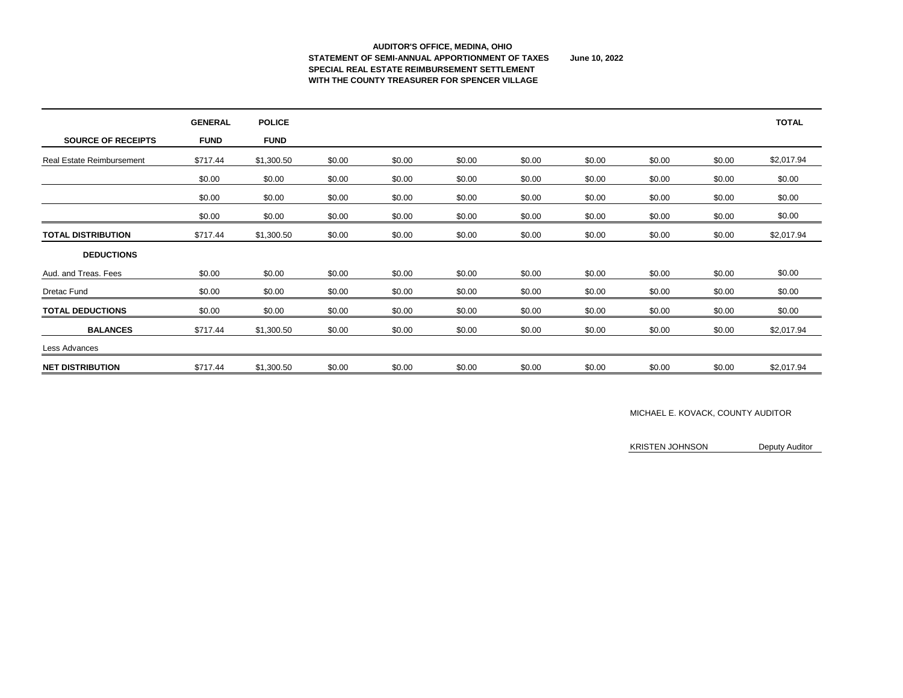#### **AUDITOR'S OFFICE, MEDINA, OHIO STATEMENT OF SEMI-ANNUAL APPORTIONMENT OF TAXES June 10, 2022 SPECIAL REAL ESTATE REIMBURSEMENT SETTLEMENT WITH THE COUNTY TREASURER FOR SPENCER VILLAGE**

|                                  | <b>GENERAL</b> | <b>POLICE</b> |        |        |        |        |        |        |        | <b>TOTAL</b> |
|----------------------------------|----------------|---------------|--------|--------|--------|--------|--------|--------|--------|--------------|
| <b>SOURCE OF RECEIPTS</b>        | <b>FUND</b>    | <b>FUND</b>   |        |        |        |        |        |        |        |              |
| <b>Real Estate Reimbursement</b> | \$717.44       | \$1,300.50    | \$0.00 | \$0.00 | \$0.00 | \$0.00 | \$0.00 | \$0.00 | \$0.00 | \$2,017.94   |
|                                  | \$0.00         | \$0.00        | \$0.00 | \$0.00 | \$0.00 | \$0.00 | \$0.00 | \$0.00 | \$0.00 | \$0.00       |
|                                  | \$0.00         | \$0.00        | \$0.00 | \$0.00 | \$0.00 | \$0.00 | \$0.00 | \$0.00 | \$0.00 | \$0.00       |
|                                  | \$0.00         | \$0.00        | \$0.00 | \$0.00 | \$0.00 | \$0.00 | \$0.00 | \$0.00 | \$0.00 | \$0.00       |
| <b>TOTAL DISTRIBUTION</b>        | \$717.44       | \$1,300.50    | \$0.00 | \$0.00 | \$0.00 | \$0.00 | \$0.00 | \$0.00 | \$0.00 | \$2,017.94   |
| <b>DEDUCTIONS</b>                |                |               |        |        |        |        |        |        |        |              |
| Aud. and Treas. Fees             | \$0.00         | \$0.00        | \$0.00 | \$0.00 | \$0.00 | \$0.00 | \$0.00 | \$0.00 | \$0.00 | \$0.00       |
| <b>Dretac Fund</b>               | \$0.00         | \$0.00        | \$0.00 | \$0.00 | \$0.00 | \$0.00 | \$0.00 | \$0.00 | \$0.00 | \$0.00       |
| <b>TOTAL DEDUCTIONS</b>          | \$0.00         | \$0.00        | \$0.00 | \$0.00 | \$0.00 | \$0.00 | \$0.00 | \$0.00 | \$0.00 | \$0.00       |
| <b>BALANCES</b>                  | \$717.44       | \$1,300.50    | \$0.00 | \$0.00 | \$0.00 | \$0.00 | \$0.00 | \$0.00 | \$0.00 | \$2,017.94   |
| Less Advances                    |                |               |        |        |        |        |        |        |        |              |
| <b>NET DISTRIBUTION</b>          | \$717.44       | \$1,300.50    | \$0.00 | \$0.00 | \$0.00 | \$0.00 | \$0.00 | \$0.00 | \$0.00 | \$2,017.94   |

### MICHAEL E. KOVACK, COUNTY AUDITOR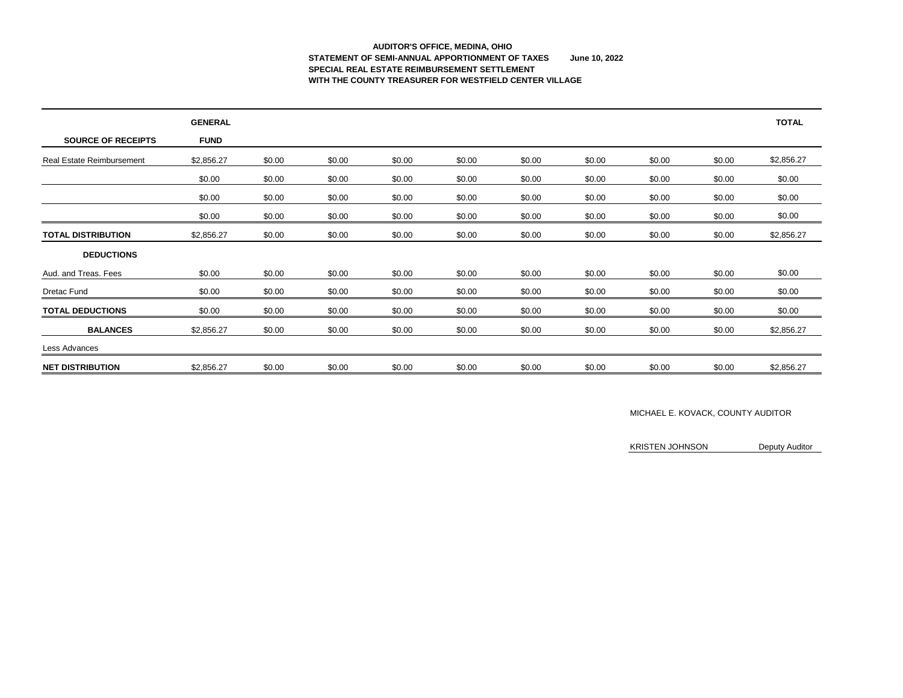### **AUDITOR'S OFFICE, MEDINA, OHIO STATEMENT OF SEMI-ANNUAL APPORTIONMENT OF TAXES June 10, 2022 SPECIAL REAL ESTATE REIMBURSEMENT SETTLEMENT WITH THE COUNTY TREASURER FOR WESTFIELD CENTER VILLAGE**

|                                  | <b>GENERAL</b> |        |        |        |        |        |        |        |        | <b>TOTAL</b> |
|----------------------------------|----------------|--------|--------|--------|--------|--------|--------|--------|--------|--------------|
| <b>SOURCE OF RECEIPTS</b>        | <b>FUND</b>    |        |        |        |        |        |        |        |        |              |
| <b>Real Estate Reimbursement</b> | \$2,856.27     | \$0.00 | \$0.00 | \$0.00 | \$0.00 | \$0.00 | \$0.00 | \$0.00 | \$0.00 | \$2,856.27   |
|                                  | \$0.00         | \$0.00 | \$0.00 | \$0.00 | \$0.00 | \$0.00 | \$0.00 | \$0.00 | \$0.00 | \$0.00       |
|                                  | \$0.00         | \$0.00 | \$0.00 | \$0.00 | \$0.00 | \$0.00 | \$0.00 | \$0.00 | \$0.00 | \$0.00       |
|                                  | \$0.00         | \$0.00 | \$0.00 | \$0.00 | \$0.00 | \$0.00 | \$0.00 | \$0.00 | \$0.00 | \$0.00       |
| <b>TOTAL DISTRIBUTION</b>        | \$2,856.27     | \$0.00 | \$0.00 | \$0.00 | \$0.00 | \$0.00 | \$0.00 | \$0.00 | \$0.00 | \$2,856.27   |
| <b>DEDUCTIONS</b>                |                |        |        |        |        |        |        |        |        |              |
| Aud. and Treas. Fees             | \$0.00         | \$0.00 | \$0.00 | \$0.00 | \$0.00 | \$0.00 | \$0.00 | \$0.00 | \$0.00 | \$0.00       |
| <b>Dretac Fund</b>               | \$0.00         | \$0.00 | \$0.00 | \$0.00 | \$0.00 | \$0.00 | \$0.00 | \$0.00 | \$0.00 | \$0.00       |
| <b>TOTAL DEDUCTIONS</b>          | \$0.00         | \$0.00 | \$0.00 | \$0.00 | \$0.00 | \$0.00 | \$0.00 | \$0.00 | \$0.00 | \$0.00       |
| <b>BALANCES</b>                  | \$2,856.27     | \$0.00 | \$0.00 | \$0.00 | \$0.00 | \$0.00 | \$0.00 | \$0.00 | \$0.00 | \$2,856.27   |
| Less Advances                    |                |        |        |        |        |        |        |        |        |              |
| <b>NET DISTRIBUTION</b>          | \$2,856.27     | \$0.00 | \$0.00 | \$0.00 | \$0.00 | \$0.00 | \$0.00 | \$0.00 | \$0.00 | \$2,856.27   |

### MICHAEL E. KOVACK, COUNTY AUDITOR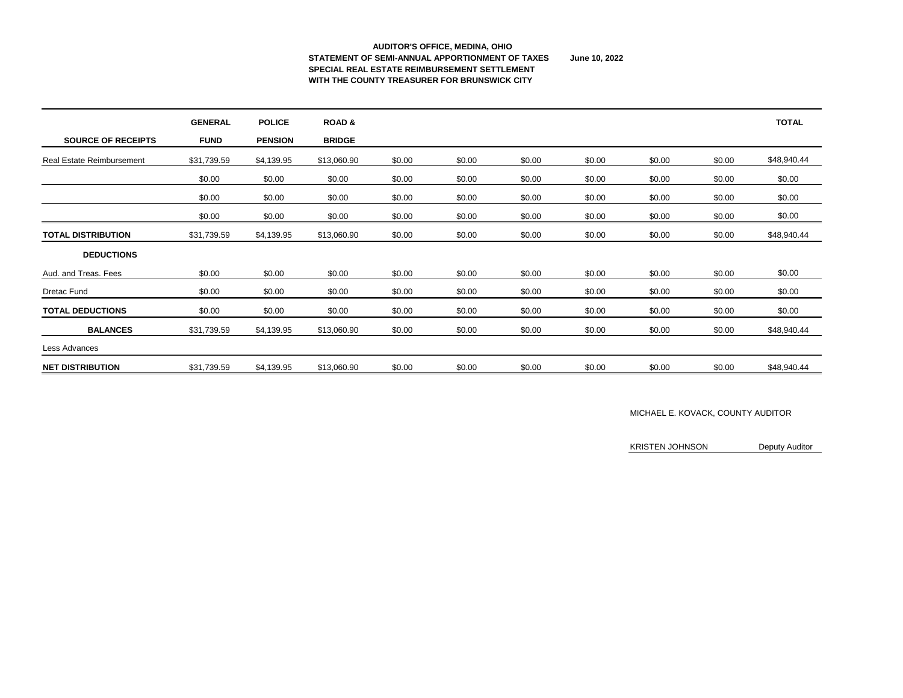#### **AUDITOR'S OFFICE, MEDINA, OHIO STATEMENT OF SEMI-ANNUAL APPORTIONMENT OF TAXES June 10, 2022 SPECIAL REAL ESTATE REIMBURSEMENT SETTLEMENT WITH THE COUNTY TREASURER FOR BRUNSWICK CITY**

|                                  | <b>GENERAL</b> | <b>POLICE</b>  | <b>ROAD&amp;</b> |        |        |        |        |        |        | <b>TOTAL</b> |
|----------------------------------|----------------|----------------|------------------|--------|--------|--------|--------|--------|--------|--------------|
| <b>SOURCE OF RECEIPTS</b>        | <b>FUND</b>    | <b>PENSION</b> | <b>BRIDGE</b>    |        |        |        |        |        |        |              |
| <b>Real Estate Reimbursement</b> | \$31,739.59    | \$4,139.95     | \$13,060.90      | \$0.00 | \$0.00 | \$0.00 | \$0.00 | \$0.00 | \$0.00 | \$48,940.44  |
|                                  | \$0.00         | \$0.00         | \$0.00           | \$0.00 | \$0.00 | \$0.00 | \$0.00 | \$0.00 | \$0.00 | \$0.00       |
|                                  | \$0.00         | \$0.00         | \$0.00           | \$0.00 | \$0.00 | \$0.00 | \$0.00 | \$0.00 | \$0.00 | \$0.00       |
|                                  | \$0.00         | \$0.00         | \$0.00           | \$0.00 | \$0.00 | \$0.00 | \$0.00 | \$0.00 | \$0.00 | \$0.00       |
| <b>TOTAL DISTRIBUTION</b>        | \$31,739.59    | \$4,139.95     | \$13,060.90      | \$0.00 | \$0.00 | \$0.00 | \$0.00 | \$0.00 | \$0.00 | \$48,940.44  |
| <b>DEDUCTIONS</b>                |                |                |                  |        |        |        |        |        |        |              |
| Aud. and Treas. Fees             | \$0.00         | \$0.00         | \$0.00           | \$0.00 | \$0.00 | \$0.00 | \$0.00 | \$0.00 | \$0.00 | \$0.00       |
| <b>Dretac Fund</b>               | \$0.00         | \$0.00         | \$0.00           | \$0.00 | \$0.00 | \$0.00 | \$0.00 | \$0.00 | \$0.00 | \$0.00       |
| <b>TOTAL DEDUCTIONS</b>          | \$0.00         | \$0.00         | \$0.00           | \$0.00 | \$0.00 | \$0.00 | \$0.00 | \$0.00 | \$0.00 | \$0.00       |
| <b>BALANCES</b>                  | \$31,739.59    | \$4,139.95     | \$13,060.90      | \$0.00 | \$0.00 | \$0.00 | \$0.00 | \$0.00 | \$0.00 | \$48,940.44  |
| Less Advances                    |                |                |                  |        |        |        |        |        |        |              |
| <b>NET DISTRIBUTION</b>          | \$31,739.59    | \$4,139.95     | \$13,060.90      | \$0.00 | \$0.00 | \$0.00 | \$0.00 | \$0.00 | \$0.00 | \$48,940.44  |

### MICHAEL E. KOVACK, COUNTY AUDITOR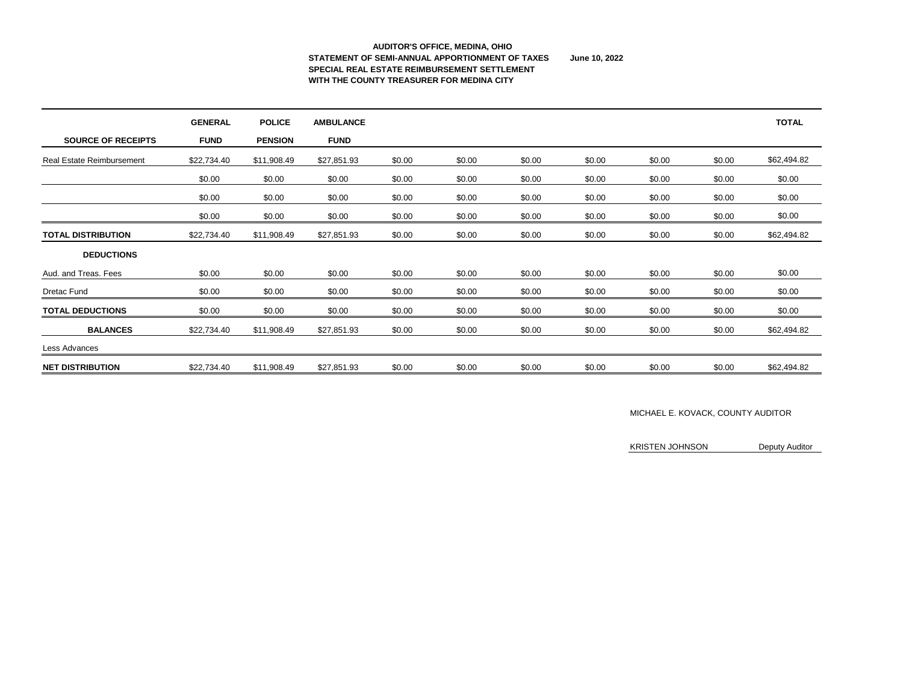### **AUDITOR'S OFFICE, MEDINA, OHIO STATEMENT OF SEMI-ANNUAL APPORTIONMENT OF TAXES June 10, 2022 SPECIAL REAL ESTATE REIMBURSEMENT SETTLEMENT WITH THE COUNTY TREASURER FOR MEDINA CITY**

|                                  | <b>GENERAL</b> | <b>POLICE</b>  | <b>AMBULANCE</b> |        |        |        |        |        |        | <b>TOTAL</b> |
|----------------------------------|----------------|----------------|------------------|--------|--------|--------|--------|--------|--------|--------------|
| <b>SOURCE OF RECEIPTS</b>        | <b>FUND</b>    | <b>PENSION</b> | <b>FUND</b>      |        |        |        |        |        |        |              |
| <b>Real Estate Reimbursement</b> | \$22,734.40    | \$11,908.49    | \$27,851.93      | \$0.00 | \$0.00 | \$0.00 | \$0.00 | \$0.00 | \$0.00 | \$62,494.82  |
|                                  | \$0.00         | \$0.00         | \$0.00           | \$0.00 | \$0.00 | \$0.00 | \$0.00 | \$0.00 | \$0.00 | \$0.00       |
|                                  | \$0.00         | \$0.00         | \$0.00           | \$0.00 | \$0.00 | \$0.00 | \$0.00 | \$0.00 | \$0.00 | \$0.00       |
|                                  | \$0.00         | \$0.00         | \$0.00           | \$0.00 | \$0.00 | \$0.00 | \$0.00 | \$0.00 | \$0.00 | \$0.00       |
| <b>TOTAL DISTRIBUTION</b>        | \$22,734.40    | \$11,908.49    | \$27,851.93      | \$0.00 | \$0.00 | \$0.00 | \$0.00 | \$0.00 | \$0.00 | \$62,494.82  |
| <b>DEDUCTIONS</b>                |                |                |                  |        |        |        |        |        |        |              |
| Aud. and Treas. Fees             | \$0.00         | \$0.00         | \$0.00           | \$0.00 | \$0.00 | \$0.00 | \$0.00 | \$0.00 | \$0.00 | \$0.00       |
| <b>Dretac Fund</b>               | \$0.00         | \$0.00         | \$0.00           | \$0.00 | \$0.00 | \$0.00 | \$0.00 | \$0.00 | \$0.00 | \$0.00       |
| <b>TOTAL DEDUCTIONS</b>          | \$0.00         | \$0.00         | \$0.00           | \$0.00 | \$0.00 | \$0.00 | \$0.00 | \$0.00 | \$0.00 | \$0.00       |
| <b>BALANCES</b>                  | \$22,734.40    | \$11,908.49    | \$27,851.93      | \$0.00 | \$0.00 | \$0.00 | \$0.00 | \$0.00 | \$0.00 | \$62,494.82  |
| Less Advances                    |                |                |                  |        |        |        |        |        |        |              |
| <b>NET DISTRIBUTION</b>          | \$22,734.40    | \$11,908.49    | \$27,851.93      | \$0.00 | \$0.00 | \$0.00 | \$0.00 | \$0.00 | \$0.00 | \$62,494.82  |

### MICHAEL E. KOVACK, COUNTY AUDITOR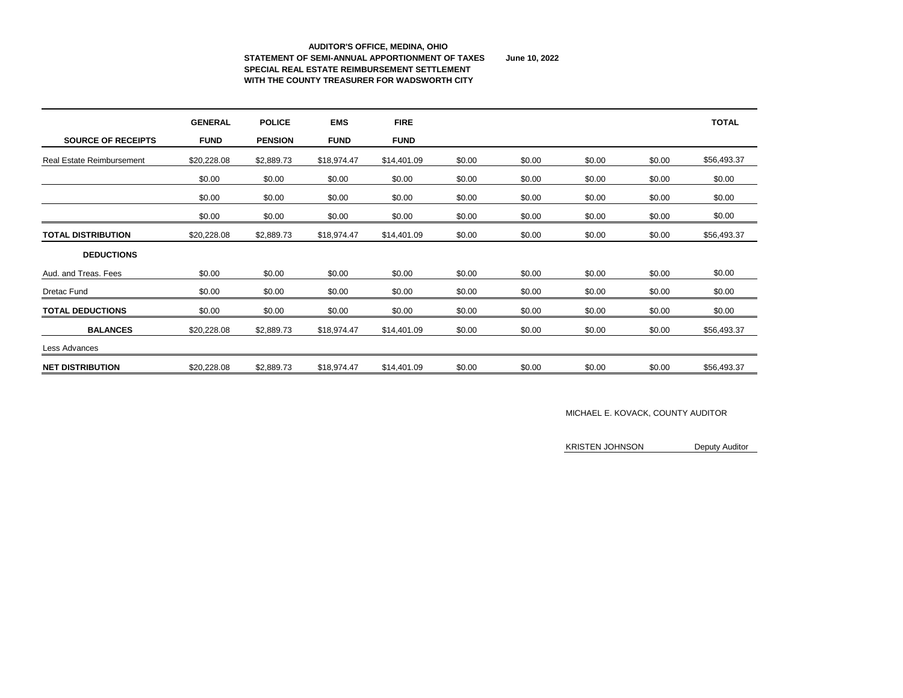#### **AUDITOR'S OFFICE, MEDINA, OHIO STATEMENT OF SEMI-ANNUAL APPORTIONMENT OF TAXES June 10, 2022 SPECIAL REAL ESTATE REIMBURSEMENT SETTLEMENT WITH THE COUNTY TREASURER FOR WADSWORTH CITY**

|                                  | <b>GENERAL</b> | <b>POLICE</b>  | <b>EMS</b>  | <b>FIRE</b> |        |        |        |        | <b>TOTAL</b> |
|----------------------------------|----------------|----------------|-------------|-------------|--------|--------|--------|--------|--------------|
| <b>SOURCE OF RECEIPTS</b>        | <b>FUND</b>    | <b>PENSION</b> | <b>FUND</b> | <b>FUND</b> |        |        |        |        |              |
| <b>Real Estate Reimbursement</b> | \$20,228.08    | \$2,889.73     | \$18,974.47 | \$14,401.09 | \$0.00 | \$0.00 | \$0.00 | \$0.00 | \$56,493.37  |
|                                  | \$0.00         | \$0.00         | \$0.00      | \$0.00      | \$0.00 | \$0.00 | \$0.00 | \$0.00 | \$0.00       |
|                                  | \$0.00         | \$0.00         | \$0.00      | \$0.00      | \$0.00 | \$0.00 | \$0.00 | \$0.00 | \$0.00       |
|                                  | \$0.00         | \$0.00         | \$0.00      | \$0.00      | \$0.00 | \$0.00 | \$0.00 | \$0.00 | \$0.00       |
| <b>TOTAL DISTRIBUTION</b>        | \$20,228.08    | \$2,889.73     | \$18,974.47 | \$14,401.09 | \$0.00 | \$0.00 | \$0.00 | \$0.00 | \$56,493.37  |
| <b>DEDUCTIONS</b>                |                |                |             |             |        |        |        |        |              |
| Aud. and Treas. Fees             | \$0.00         | \$0.00         | \$0.00      | \$0.00      | \$0.00 | \$0.00 | \$0.00 | \$0.00 | \$0.00       |
| <b>Dretac Fund</b>               | \$0.00         | \$0.00         | \$0.00      | \$0.00      | \$0.00 | \$0.00 | \$0.00 | \$0.00 | \$0.00       |
| <b>TOTAL DEDUCTIONS</b>          | \$0.00         | \$0.00         | \$0.00      | \$0.00      | \$0.00 | \$0.00 | \$0.00 | \$0.00 | \$0.00       |
| <b>BALANCES</b>                  | \$20,228.08    | \$2,889.73     | \$18,974.47 | \$14,401.09 | \$0.00 | \$0.00 | \$0.00 | \$0.00 | \$56,493.37  |
| Less Advances                    |                |                |             |             |        |        |        |        |              |
| <b>NET DISTRIBUTION</b>          | \$20,228.08    | \$2,889.73     | \$18,974.47 | \$14,401.09 | \$0.00 | \$0.00 | \$0.00 | \$0.00 | \$56,493.37  |

### MICHAEL E. KOVACK, COUNTY AUDITOR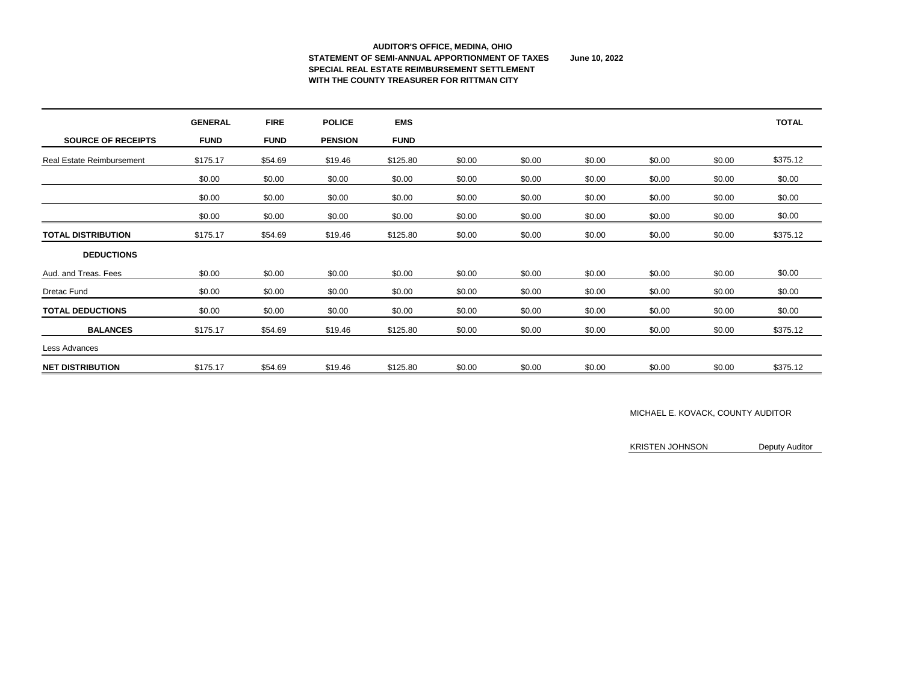### **AUDITOR'S OFFICE, MEDINA, OHIO STATEMENT OF SEMI-ANNUAL APPORTIONMENT OF TAXES June 10, 2022 SPECIAL REAL ESTATE REIMBURSEMENT SETTLEMENT WITH THE COUNTY TREASURER FOR RITTMAN CITY**

|                                  | <b>GENERAL</b> | <b>FIRE</b> | <b>POLICE</b>  | <b>EMS</b>  |        |        |        |        |        | <b>TOTAL</b> |
|----------------------------------|----------------|-------------|----------------|-------------|--------|--------|--------|--------|--------|--------------|
| <b>SOURCE OF RECEIPTS</b>        | <b>FUND</b>    | <b>FUND</b> | <b>PENSION</b> | <b>FUND</b> |        |        |        |        |        |              |
| <b>Real Estate Reimbursement</b> | \$175.17       | \$54.69     | \$19.46        | \$125.80    | \$0.00 | \$0.00 | \$0.00 | \$0.00 | \$0.00 | \$375.12     |
|                                  | \$0.00         | \$0.00      | \$0.00         | \$0.00      | \$0.00 | \$0.00 | \$0.00 | \$0.00 | \$0.00 | \$0.00       |
|                                  | \$0.00         | \$0.00      | \$0.00         | \$0.00      | \$0.00 | \$0.00 | \$0.00 | \$0.00 | \$0.00 | \$0.00       |
|                                  | \$0.00         | \$0.00      | \$0.00         | \$0.00      | \$0.00 | \$0.00 | \$0.00 | \$0.00 | \$0.00 | \$0.00       |
| <b>TOTAL DISTRIBUTION</b>        | \$175.17       | \$54.69     | \$19.46        | \$125.80    | \$0.00 | \$0.00 | \$0.00 | \$0.00 | \$0.00 | \$375.12     |
| <b>DEDUCTIONS</b>                |                |             |                |             |        |        |        |        |        |              |
| Aud. and Treas. Fees             | \$0.00         | \$0.00      | \$0.00         | \$0.00      | \$0.00 | \$0.00 | \$0.00 | \$0.00 | \$0.00 | \$0.00       |
| <b>Dretac Fund</b>               | \$0.00         | \$0.00      | \$0.00         | \$0.00      | \$0.00 | \$0.00 | \$0.00 | \$0.00 | \$0.00 | \$0.00       |
| <b>TOTAL DEDUCTIONS</b>          | \$0.00         | \$0.00      | \$0.00         | \$0.00      | \$0.00 | \$0.00 | \$0.00 | \$0.00 | \$0.00 | \$0.00       |
| <b>BALANCES</b>                  | \$175.17       | \$54.69     | \$19.46        | \$125.80    | \$0.00 | \$0.00 | \$0.00 | \$0.00 | \$0.00 | \$375.12     |
| Less Advances                    |                |             |                |             |        |        |        |        |        |              |
| <b>NET DISTRIBUTION</b>          | \$175.17       | \$54.69     | \$19.46        | \$125.80    | \$0.00 | \$0.00 | \$0.00 | \$0.00 | \$0.00 | \$375.12     |

### MICHAEL E. KOVACK, COUNTY AUDITOR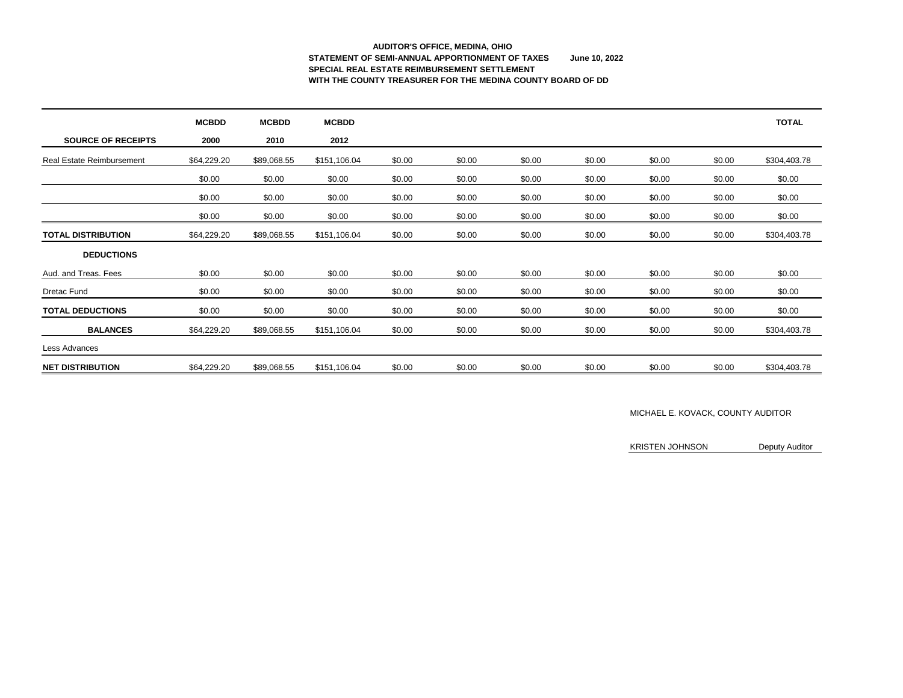# **AUDITOR'S OFFICE, MEDINA, OHIO STATEMENT OF SEMI-ANNUAL APPORTIONMENT OF TAXES June 10, 2022 SPECIAL REAL ESTATE REIMBURSEMENT SETTLEMENT WITH THE COUNTY TREASURER FOR THE MEDINA COUNTY BOARD OF DD**

|                                  | <b>MCBDD</b> | <b>MCBDD</b> | <b>MCBDD</b> |        |        |        |        |        |        | <b>TOTAL</b> |
|----------------------------------|--------------|--------------|--------------|--------|--------|--------|--------|--------|--------|--------------|
| <b>SOURCE OF RECEIPTS</b>        | 2000         | 2010         | 2012         |        |        |        |        |        |        |              |
| <b>Real Estate Reimbursement</b> | \$64,229.20  | \$89,068.55  | \$151,106.04 | \$0.00 | \$0.00 | \$0.00 | \$0.00 | \$0.00 | \$0.00 | \$304,403.78 |
|                                  | \$0.00       | \$0.00       | \$0.00       | \$0.00 | \$0.00 | \$0.00 | \$0.00 | \$0.00 | \$0.00 | \$0.00       |
|                                  | \$0.00       | \$0.00       | \$0.00       | \$0.00 | \$0.00 | \$0.00 | \$0.00 | \$0.00 | \$0.00 | \$0.00       |
|                                  | \$0.00       | \$0.00       | \$0.00       | \$0.00 | \$0.00 | \$0.00 | \$0.00 | \$0.00 | \$0.00 | \$0.00       |
| <b>TOTAL DISTRIBUTION</b>        | \$64,229.20  | \$89,068.55  | \$151,106.04 | \$0.00 | \$0.00 | \$0.00 | \$0.00 | \$0.00 | \$0.00 | \$304,403.78 |
| <b>DEDUCTIONS</b>                |              |              |              |        |        |        |        |        |        |              |
| Aud. and Treas. Fees             | \$0.00       | \$0.00       | \$0.00       | \$0.00 | \$0.00 | \$0.00 | \$0.00 | \$0.00 | \$0.00 | \$0.00       |
| <b>Dretac Fund</b>               | \$0.00       | \$0.00       | \$0.00       | \$0.00 | \$0.00 | \$0.00 | \$0.00 | \$0.00 | \$0.00 | \$0.00       |
| <b>TOTAL DEDUCTIONS</b>          | \$0.00       | \$0.00       | \$0.00       | \$0.00 | \$0.00 | \$0.00 | \$0.00 | \$0.00 | \$0.00 | \$0.00       |
| <b>BALANCES</b>                  | \$64,229.20  | \$89,068.55  | \$151,106.04 | \$0.00 | \$0.00 | \$0.00 | \$0.00 | \$0.00 | \$0.00 | \$304,403.78 |
| Less Advances                    |              |              |              |        |        |        |        |        |        |              |
| <b>NET DISTRIBUTION</b>          | \$64,229.20  | \$89,068.55  | \$151,106.04 | \$0.00 | \$0.00 | \$0.00 | \$0.00 | \$0.00 | \$0.00 | \$304,403.78 |

### MICHAEL E. KOVACK, COUNTY AUDITOR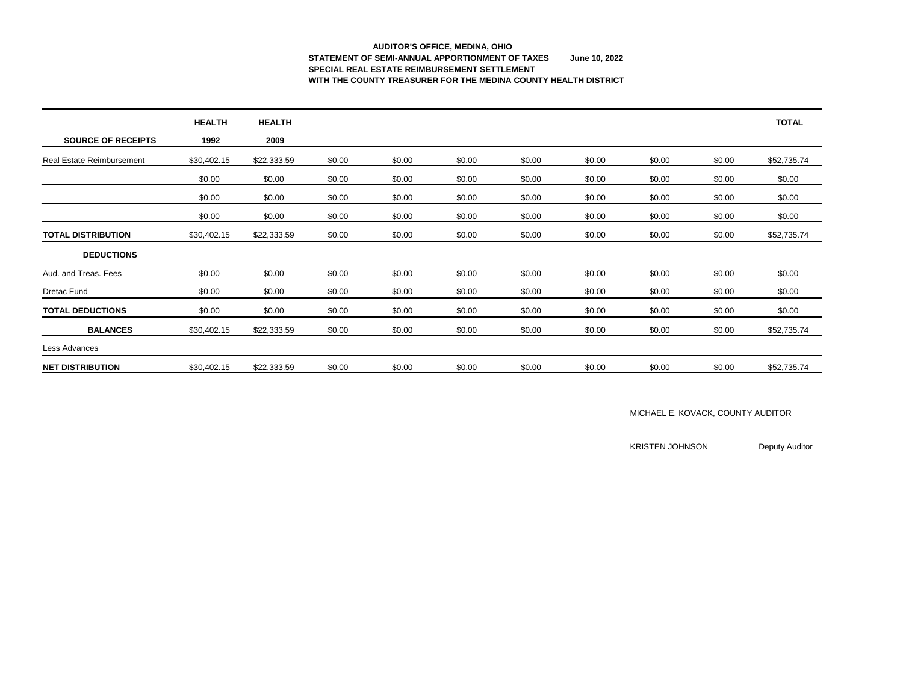# **AUDITOR'S OFFICE, MEDINA, OHIO STATEMENT OF SEMI-ANNUAL APPORTIONMENT OF TAXES June 10, 2022 SPECIAL REAL ESTATE REIMBURSEMENT SETTLEMENT WITH THE COUNTY TREASURER FOR THE MEDINA COUNTY HEALTH DISTRICT**

|                                  | <b>HEALTH</b> | <b>HEALTH</b> |        |        |        |        |        |        |        | <b>TOTAL</b> |
|----------------------------------|---------------|---------------|--------|--------|--------|--------|--------|--------|--------|--------------|
| <b>SOURCE OF RECEIPTS</b>        | 1992          | 2009          |        |        |        |        |        |        |        |              |
| <b>Real Estate Reimbursement</b> | \$30,402.15   | \$22,333.59   | \$0.00 | \$0.00 | \$0.00 | \$0.00 | \$0.00 | \$0.00 | \$0.00 | \$52,735.74  |
|                                  | \$0.00        | \$0.00        | \$0.00 | \$0.00 | \$0.00 | \$0.00 | \$0.00 | \$0.00 | \$0.00 | \$0.00       |
|                                  | \$0.00        | \$0.00        | \$0.00 | \$0.00 | \$0.00 | \$0.00 | \$0.00 | \$0.00 | \$0.00 | \$0.00       |
|                                  | \$0.00        | \$0.00        | \$0.00 | \$0.00 | \$0.00 | \$0.00 | \$0.00 | \$0.00 | \$0.00 | \$0.00       |
| <b>TOTAL DISTRIBUTION</b>        | \$30,402.15   | \$22,333.59   | \$0.00 | \$0.00 | \$0.00 | \$0.00 | \$0.00 | \$0.00 | \$0.00 | \$52,735.74  |
| <b>DEDUCTIONS</b>                |               |               |        |        |        |        |        |        |        |              |
| Aud. and Treas. Fees             | \$0.00        | \$0.00        | \$0.00 | \$0.00 | \$0.00 | \$0.00 | \$0.00 | \$0.00 | \$0.00 | \$0.00       |
| <b>Dretac Fund</b>               | \$0.00        | \$0.00        | \$0.00 | \$0.00 | \$0.00 | \$0.00 | \$0.00 | \$0.00 | \$0.00 | \$0.00       |
| <b>TOTAL DEDUCTIONS</b>          | \$0.00        | \$0.00        | \$0.00 | \$0.00 | \$0.00 | \$0.00 | \$0.00 | \$0.00 | \$0.00 | \$0.00       |
| <b>BALANCES</b>                  | \$30,402.15   | \$22,333.59   | \$0.00 | \$0.00 | \$0.00 | \$0.00 | \$0.00 | \$0.00 | \$0.00 | \$52,735.74  |
| Less Advances                    |               |               |        |        |        |        |        |        |        |              |
| <b>NET DISTRIBUTION</b>          | \$30,402.15   | \$22,333.59   | \$0.00 | \$0.00 | \$0.00 | \$0.00 | \$0.00 | \$0.00 | \$0.00 | \$52,735.74  |

### MICHAEL E. KOVACK, COUNTY AUDITOR